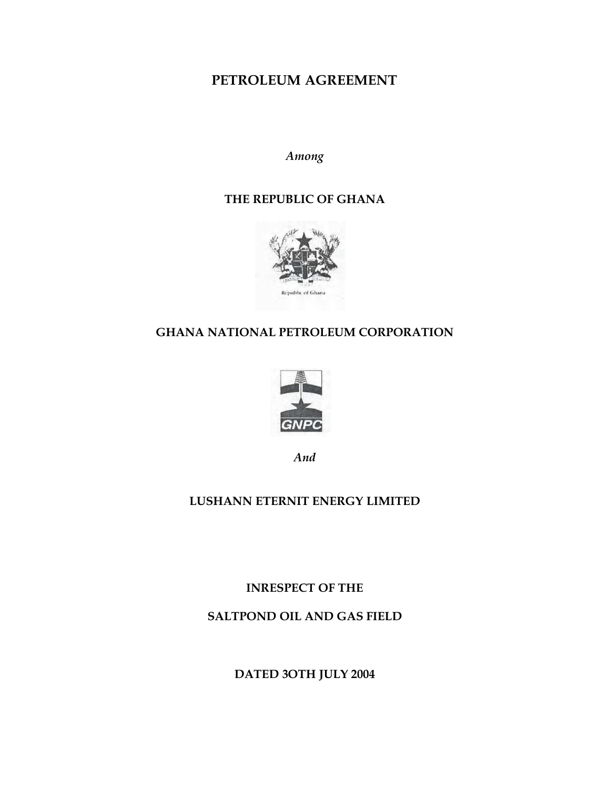# **PETROLEUM AGREEMENT**

*Among*

## **THE REPUBLIC OF GHANA**



# **GHANA NATIONAL PETROLEUM CORPORATION**



*And*

# **LUSHANN ETERNIT ENERGY LIMITED**

**INRESPECT OF THE**

**SALTPOND OIL AND GAS FIELD**

**DATED 3OTH JULY 2004**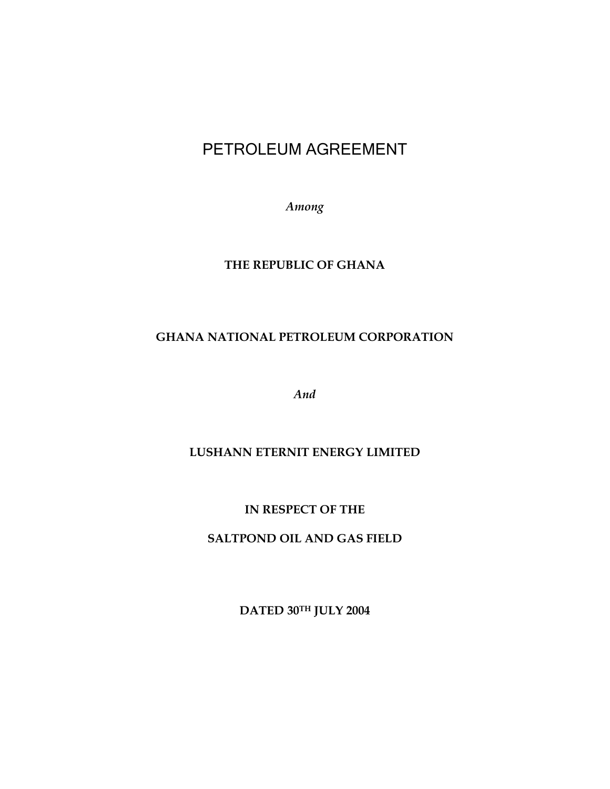# PETROLEUM AGREEMENT

*Among*

## **THE REPUBLIC OF GHANA**

# **GHANA NATIONAL PETROLEUM CORPORATION**

*And*

#### **LUSHANN ETERNIT ENERGY LIMITED**

**IN RESPECT OF THE**

**SALTPOND OIL AND GAS FIELD**

**DATED 30TH JULY 2004**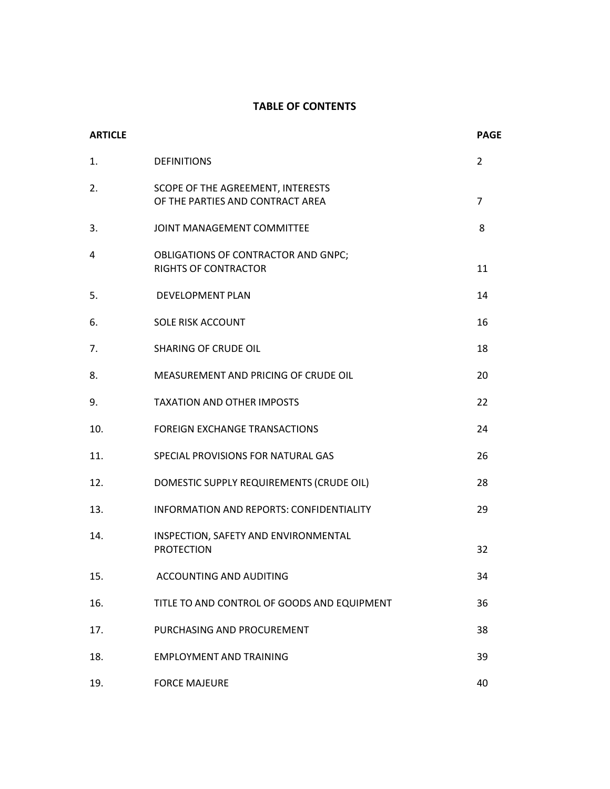#### **TABLE OF CONTENTS**

| <b>ARTICLE</b> |                                                                       | <b>PAGE</b>    |
|----------------|-----------------------------------------------------------------------|----------------|
| 1.             | <b>DEFINITIONS</b>                                                    | $\overline{2}$ |
| 2.             | SCOPE OF THE AGREEMENT, INTERESTS<br>OF THE PARTIES AND CONTRACT AREA | $\overline{7}$ |
| 3.             | JOINT MANAGEMENT COMMITTEE                                            | 8              |
| 4              | OBLIGATIONS OF CONTRACTOR AND GNPC;<br><b>RIGHTS OF CONTRACTOR</b>    | 11             |
| 5.             | <b>DEVELOPMENT PLAN</b>                                               | 14             |
| 6.             | <b>SOLE RISK ACCOUNT</b>                                              | 16             |
| 7.             | <b>SHARING OF CRUDE OIL</b>                                           | 18             |
| 8.             | MEASUREMENT AND PRICING OF CRUDE OIL                                  | 20             |
| 9.             | <b>TAXATION AND OTHER IMPOSTS</b>                                     | 22             |
| 10.            | <b>FOREIGN EXCHANGE TRANSACTIONS</b>                                  | 24             |
| 11.            | SPECIAL PROVISIONS FOR NATURAL GAS                                    | 26             |
| 12.            | DOMESTIC SUPPLY REQUIREMENTS (CRUDE OIL)                              | 28             |
| 13.            | INFORMATION AND REPORTS: CONFIDENTIALITY                              | 29             |
| 14.            | INSPECTION, SAFETY AND ENVIRONMENTAL<br><b>PROTECTION</b>             | 32             |
| 15.            | ACCOUNTING AND AUDITING                                               | 34             |
| 16.            | TITLE TO AND CONTROL OF GOODS AND EQUIPMENT                           | 36             |
| 17.            | PURCHASING AND PROCUREMENT                                            | 38             |
| 18.            | <b>EMPLOYMENT AND TRAINING</b>                                        | 39             |
| 19.            | <b>FORCE MAJEURE</b>                                                  | 40             |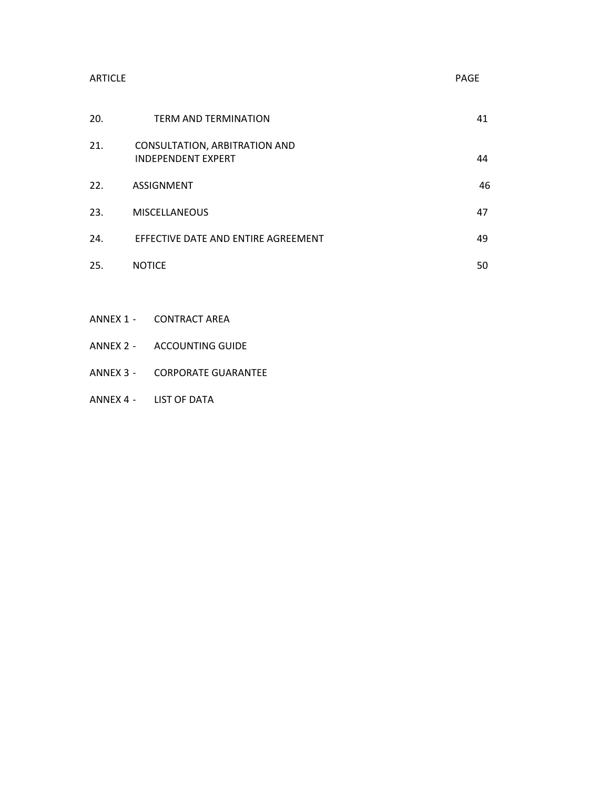| <b>ARTICLE</b> |                                                                   | PAGE |
|----------------|-------------------------------------------------------------------|------|
| 20.            | <b>TERM AND TERMINATION</b>                                       | 41   |
| 21.            | <b>CONSULTATION, ARBITRATION AND</b><br><b>INDEPENDENT EXPERT</b> | 44   |
| 22.            | ASSIGNMENT                                                        | 46   |
| 23.            | <b>MISCELLANEOUS</b>                                              | 47   |
| 24.            | EFFECTIVE DATE AND ENTIRE AGREEMENT                               | 49   |
| 25.            | <b>NOTICE</b>                                                     | 50   |

- ANNEX 1 CONTRACT AREA
- ANNEX 2 ACCOUNTING GUIDE
- ANNEX 3 CORPORATE GUARANTEE
- ANNEX 4 LIST OF DATA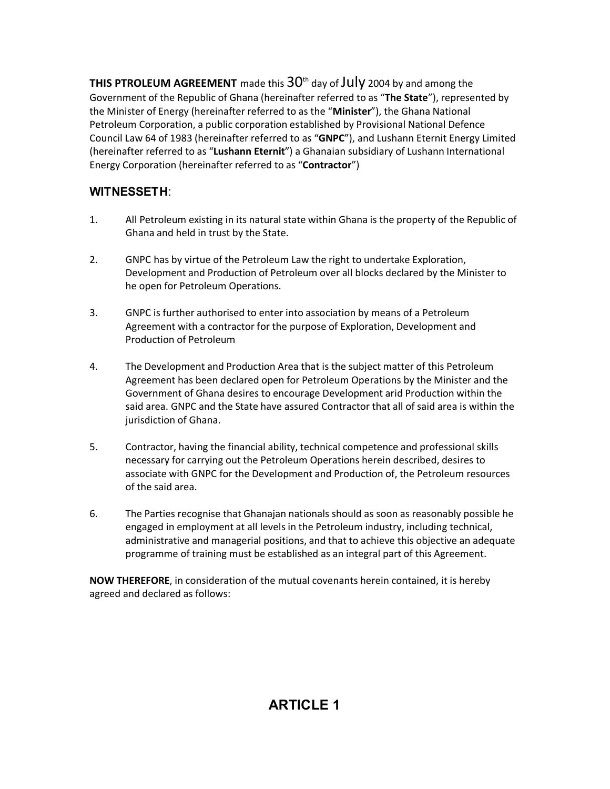**THIS PTROLEUM AGREEMENT** made this  $30<sup>th</sup>$  day of JUly 2004 by and among the Government of the Republic of Ghana (hereinafter referred to as "**The State**"), represented by the Minister of Energy (hereinafter referred to as the "**Minister**"), the Ghana National Petroleum Corporation, a public corporation established by Provisional National Defence Council Law 64 of 1983 (hereinafter referred to as "**GNPC**"), and Lushann Eternit Energy Limited (hereinafter referred to as "**Lushann Eternit**") a Ghanaian subsidiary of Lushann International Energy Corporation (hereinafter referred to as "**Contractor**")

# **WITNESSETH**:

- 1. All Petroleum existing in its natural state within Ghana is the property of the Republic of Ghana and held in trust by the State.
- 2. GNPC has by virtue of the Petroleum Law the right to undertake Exploration, Development and Production of Petroleum over all blocks declared by the Minister to he open for Petroleum Operations.
- 3. GNPC is further authorised to enter into association by means of a Petroleum Agreement with a contractor for the purpose of Exploration, Development and Production of Petroleum
- 4. The Development and Production Area that is the subject matter of this Petroleum Agreement has been declared open for Petroleum Operations by the Minister and the Government of Ghana desires to encourage Development arid Production within the said area. GNPC and the State have assured Contractor that all of said area is within the jurisdiction of Ghana.
- 5. Contractor, having the financial ability, technical competence and professional skills necessary for carrying out the Petroleum Operations herein described, desires to associate with GNPC for the Development and Production of, the Petroleum resources of the said area.
- 6. The Parties recognise that Ghanajan nationals should as soon as reasonably possible he engaged in employment at all levels in the Petroleum industry, including technical, administrative and managerial positions, and that to achieve this objective an adequate programme of training must be established as an integral part of this Agreement.

**NOW THEREFORE**, in consideration of the mutual covenants herein contained, it is hereby agreed and declared as follows:

# **ARTICLE 1**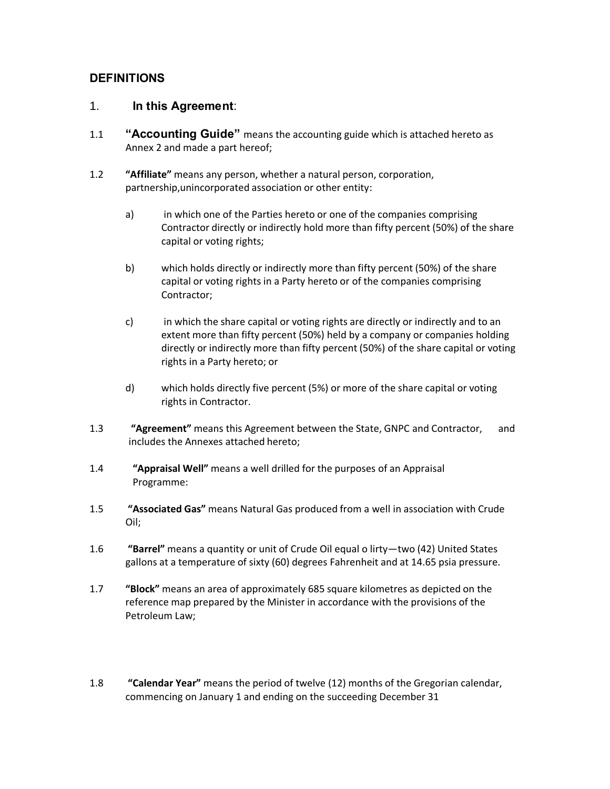#### **DEFINITIONS**

#### 1. **In this Agreement**:

- 1.1 **"Accounting Guide"** means the accounting guide which is attached hereto as Annex 2 and made a part hereof;
- 1.2 **"Affiliate"** means any person, whether a natural person, corporation, partnership,unincorporated association or other entity:
	- a) in which one of the Parties hereto or one of the companies comprising Contractor directly or indirectly hold more than fifty percent (50%) of the share capital or voting rights;
	- b) which holds directly or indirectly more than fifty percent (50%) of the share capital or voting rights in a Party hereto or of the companies comprising Contractor;
	- c) in which the share capital or voting rights are directly or indirectly and to an extent more than fifty percent (50%) held by a company or companies holding directly or indirectly more than fifty percent (50%) of the share capital or voting rights in a Party hereto; or
	- d) which holds directly five percent (5%) or more of the share capital or voting rights in Contractor.
- 1.3 **"Agreement"** means this Agreement between the State, GNPC and Contractor, and includes the Annexes attached hereto;
- 1.4 **"Appraisal Well"** means a well drilled for the purposes of an Appraisal Programme:
- 1.5 **"Associated Gas"** means Natural Gas produced from a well in association with Crude Oil;
- 1.6 **"Barrel"** means a quantity or unit of Crude Oil equal o lirty—two (42) United States gallons at a temperature of sixty (60) degrees Fahrenheit and at 14.65 psia pressure.
- 1.7 **"Block"** means an area of approximately 685 square kilometres as depicted on the reference map prepared by the Minister in accordance with the provisions of the Petroleum Law;
- 1.8 **"Calendar Year"** means the period of twelve (12) months of the Gregorian calendar, commencing on January 1 and ending on the succeeding December 31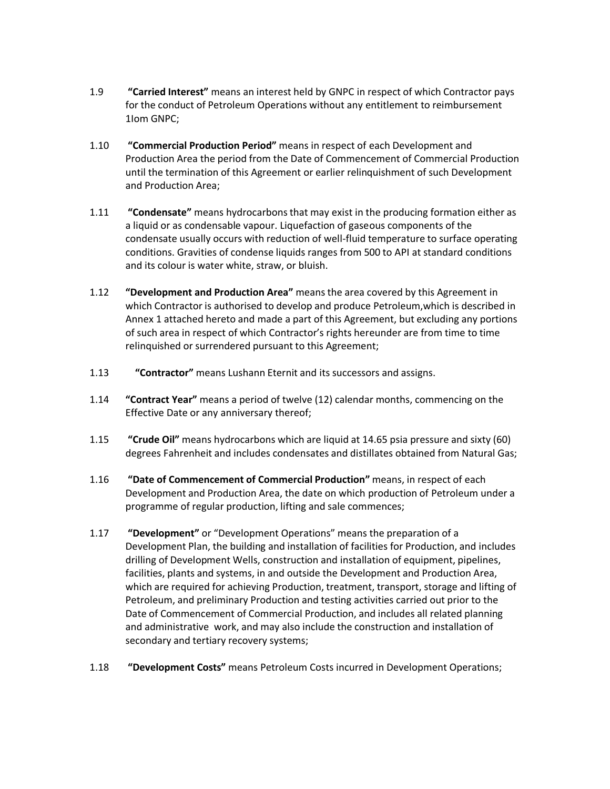- 1.9 **"Carried Interest"** means an interest held by GNPC in respect of which Contractor pays for the conduct of Petroleum Operations without any entitlement to reimbursement 1Iom GNPC;
- 1.10 **"Commercial Production Period"** means in respect of each Development and Production Area the period from the Date of Commencement of Commercial Production until the termination of this Agreement or earlier relinquishment of such Development and Production Area;
- 1.11 **"Condensate"** means hydrocarbons that may exist in the producing formation either as a liquid or as condensable vapour. Liquefaction of gaseous components of the condensate usually occurs with reduction of well-fluid temperature to surface operating conditions. Gravities of condense liquids ranges from 500 to API at standard conditions and its colour is water white, straw, or bluish.
- 1.12 **"Development and Production Area"** means the area covered by this Agreement in which Contractor is authorised to develop and produce Petroleum,which is described in Annex 1 attached hereto and made a part of this Agreement, but excluding any portions of such area in respect of which Contractor's rights hereunder are from time to time relinquished or surrendered pursuant to this Agreement;
- 1.13 **"Contractor"** means Lushann Eternit and its successors and assigns.
- 1.14 **"Contract Year"** means a period of twelve (12) calendar months, commencing on the Effective Date or any anniversary thereof;
- 1.15 **"Crude Oil"** means hydrocarbons which are liquid at 14.65 psia pressure and sixty (60) degrees Fahrenheit and includes condensates and distillates obtained from Natural Gas;
- 1.16 **"Date of Commencement of Commercial Production"** means, in respect of each Development and Production Area, the date on which production of Petroleum under a programme of regular production, lifting and sale commences;
- 1.17 **"Development"** or "Development Operations" means the preparation of a Development Plan, the building and installation of facilities for Production, and includes drilling of Development Wells, construction and installation of equipment, pipelines, facilities, plants and systems, in and outside the Development and Production Area, which are required for achieving Production, treatment, transport, storage and lifting of Petroleum, and preliminary Production and testing activities carried out prior to the Date of Commencement of Commercial Production, and includes all related planning and administrative work, and may also include the construction and installation of secondary and tertiary recovery systems;
- 1.18 **"Development Costs"** means Petroleum Costs incurred in Development Operations;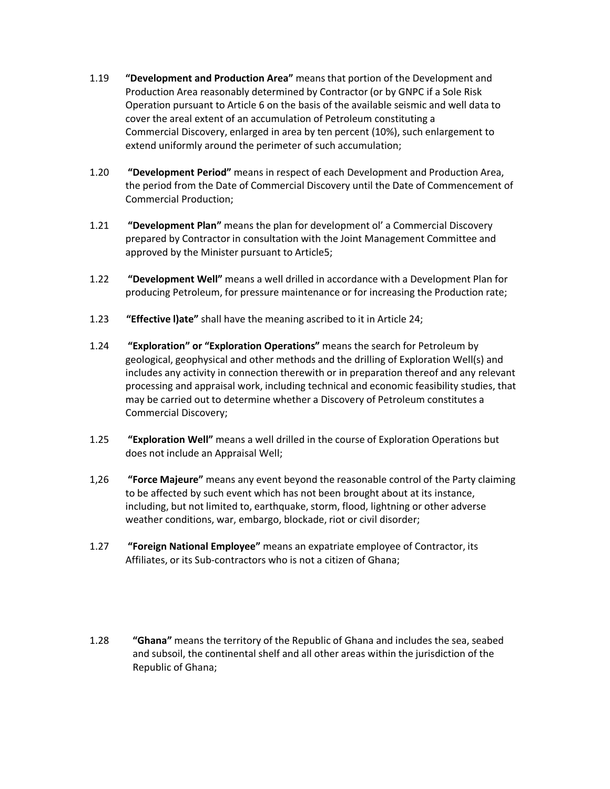- 1.19 **"Development and Production Area"** means that portion of the Development and Production Area reasonably determined by Contractor (or by GNPC if a Sole Risk Operation pursuant to Article 6 on the basis of the available seismic and well data to cover the areal extent of an accumulation of Petroleum constituting a Commercial Discovery, enlarged in area by ten percent (10%), such enlargement to extend uniformly around the perimeter of such accumulation;
- 1.20 **"Development Period"** means in respect of each Development and Production Area, the period from the Date of Commercial Discovery until the Date of Commencement of Commercial Production;
- 1.21 **"Development Plan"** means the plan for development ol' a Commercial Discovery prepared by Contractor in consultation with the Joint Management Committee and approved by the Minister pursuant to Article5;
- 1.22 **"Development Well"** means a well drilled in accordance with a Development Plan for producing Petroleum, for pressure maintenance or for increasing the Production rate;
- 1.23 **"Effective l)ate"** shall have the meaning ascribed to it in Article 24;
- 1.24 **"Exploration" or "Exploration Operations"** means the search for Petroleum by geological, geophysical and other methods and the drilling of Exploration Well(s) and includes any activity in connection therewith or in preparation thereof and any relevant processing and appraisal work, including technical and economic feasibility studies, that may be carried out to determine whether a Discovery of Petroleum constitutes a Commercial Discovery;
- 1.25 **"Exploration Well"** means a well drilled in the course of Exploration Operations but does not include an Appraisal Well;
- 1,26 **"Force Majeure"** means any event beyond the reasonable control of the Party claiming to be affected by such event which has not been brought about at its instance, including, but not limited to, earthquake, storm, flood, lightning or other adverse weather conditions, war, embargo, blockade, riot or civil disorder;
- 1.27 **"Foreign National Employee"** means an expatriate employee of Contractor, its Affiliates, or its Sub-contractors who is not a citizen of Ghana;
- 1.28 **"Ghana"** means the territory of the Republic of Ghana and includes the sea, seabed and subsoil, the continental shelf and all other areas within the jurisdiction of the Republic of Ghana;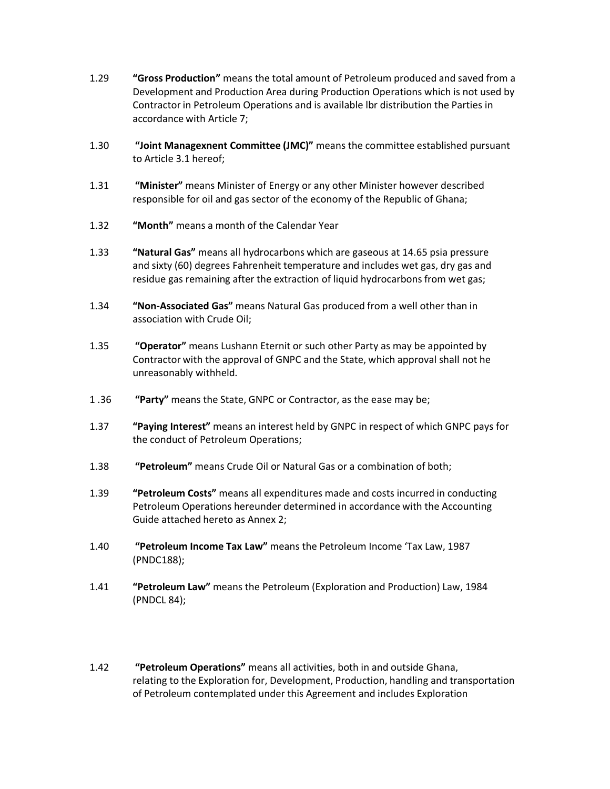- 1.29 **"Gross Production"** means the total amount of Petroleum produced and saved from a Development and Production Area during Production Operations which is not used by Contractor in Petroleum Operations and is available lbr distribution the Parties in accordance with Article 7;
- 1.30 **"Joint Managexnent Committee (JMC)"** means the committee established pursuant to Article 3.1 hereof;
- 1.31 **"Minister"** means Minister of Energy or any other Minister however described responsible for oil and gas sector of the economy of the Republic of Ghana;
- 1.32 **"Month"** means a month of the Calendar Year
- 1.33 **"Natural Gas"** means all hydrocarbons which are gaseous at 14.65 psia pressure and sixty (60) degrees Fahrenheit temperature and includes wet gas, dry gas and residue gas remaining after the extraction of liquid hydrocarbons from wet gas;
- 1.34 **"Non-Associated Gas"** means Natural Gas produced from a well other than in association with Crude Oil;
- 1.35 **"Operator"** means Lushann Eternit or such other Party as may be appointed by Contractor with the approval of GNPC and the State, which approval shall not he unreasonably withheld.
- 1 .36 **"Party"** means the State, GNPC or Contractor, as the ease may be;
- 1.37 **"Paying Interest"** means an interest held by GNPC in respect of which GNPC pays for the conduct of Petroleum Operations;
- 1.38 **"Petroleum"** means Crude Oil or Natural Gas or a combination of both;
- 1.39 **"Petroleum Costs"** means all expenditures made and costs incurred in conducting Petroleum Operations hereunder determined in accordance with the Accounting Guide attached hereto as Annex 2;
- 1.40 **"Petroleum Income Tax Law"** means the Petroleum Income 'Tax Law, 1987 (PNDC188);
- 1.41 **"Petroleum Law"** means the Petroleum (Exploration and Production) Law, 1984 (PNDCL 84);
- 1.42 **"Petroleum Operations"** means all activities, both in and outside Ghana, relating to the Exploration for, Development, Production, handling and transportation of Petroleum contemplated under this Agreement and includes Exploration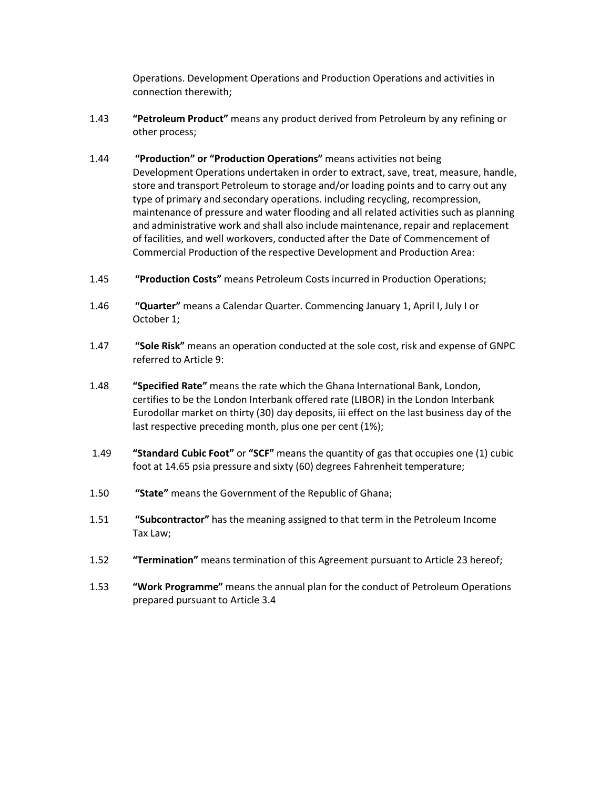Operations. Development Operations and Production Operations and activities in connection therewith;

- 1.43 **"Petroleum Product"** means any product derived from Petroleum by any refining or other process;
- 1.44 **"Production" or "Production Operations"** means activities not being Development Operations undertaken in order to extract, save, treat, measure, handle, store and transport Petroleum to storage and/or loading points and to carry out any type of primary and secondary operations. including recycling, recompression, maintenance of pressure and water flooding and all related activities such as planning and administrative work and shall also include maintenance, repair and replacement of facilities, and well workovers, conducted after the Date of Commencement of Commercial Production of the respective Development and Production Area:
- 1.45 **"Production Costs"** means Petroleum Costs incurred in Production Operations;
- 1.46 **"Quarter"** means a Calendar Quarter. Commencing January 1, April I, July I or October 1;
- 1.47 **"Sole Risk"** means an operation conducted at the sole cost, risk and expense of GNPC referred to Article 9:
- 1.48 **"Specified Rate"** means the rate which the Ghana International Bank, London, certifies to be the London Interbank offered rate (LIBOR) in the London Interbank Eurodollar market on thirty (30) day deposits, iii effect on the last business day of the last respective preceding month, plus one per cent (1%);
- 1.49 **"Standard Cubic Foot"** or **"SCF"** means the quantity of gas that occupies one (1) cubic foot at 14.65 psia pressure and sixty (60) degrees Fahrenheit temperature;
- 1.50 **"State"** means the Government of the Republic of Ghana;
- 1.51 **"Subcontractor"** has the meaning assigned to that term in the Petroleum Income Tax Law;
- 1.52 **"Termination"** means termination of this Agreement pursuant to Article 23 hereof;
- 1.53 **"Work Programme"** means the annual plan for the conduct of Petroleum Operations prepared pursuant to Article 3.4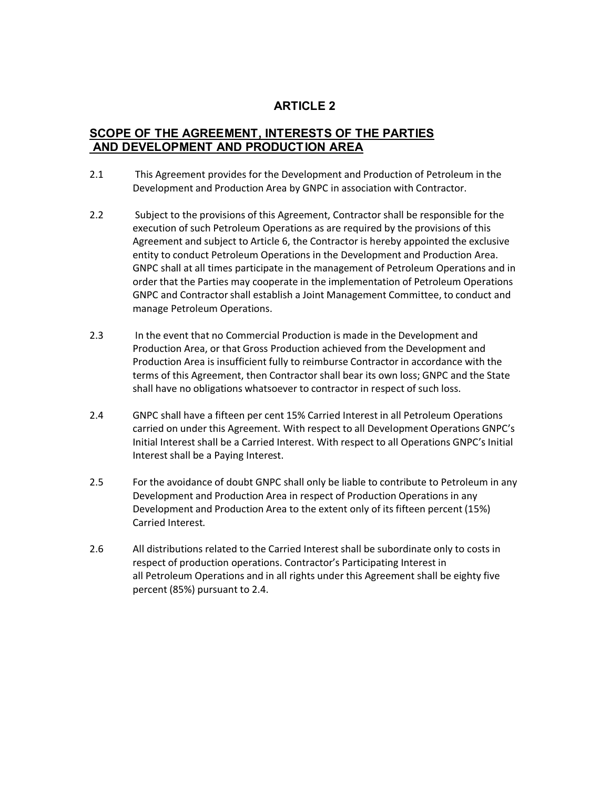#### **SCOPE OF THE AGREEMENT, INTERESTS OF THE PARTIES AND DEVELOPMENT AND PRODUCTION AREA**

- 2.1 This Agreement provides for the Development and Production of Petroleum in the Development and Production Area by GNPC in association with Contractor.
- 2.2 Subject to the provisions of this Agreement, Contractor shall be responsible for the execution of such Petroleum Operations as are required by the provisions of this Agreement and subject to Article 6, the Contractor is hereby appointed the exclusive entity to conduct Petroleum Operations in the Development and Production Area. GNPC shall at all times participate in the management of Petroleum Operations and in order that the Parties may cooperate in the implementation of Petroleum Operations GNPC and Contractor shall establish a Joint Management Committee, to conduct and manage Petroleum Operations.
- 2.3 In the event that no Commercial Production is made in the Development and Production Area, or that Gross Production achieved from the Development and Production Area is insufficient fully to reimburse Contractor in accordance with the terms of this Agreement, then Contractor shall bear its own loss; GNPC and the State shall have no obligations whatsoever to contractor in respect of such loss.
- 2.4 GNPC shall have a fifteen per cent 15% Carried Interest in all Petroleum Operations carried on under this Agreement. With respect to all Development Operations GNPC's Initial Interest shall be a Carried Interest. With respect to all Operations GNPC's Initial Interest shall be a Paying Interest.
- 2.5 For the avoidance of doubt GNPC shall only be liable to contribute to Petroleum in any Development and Production Area in respect of Production Operations in any Development and Production Area to the extent only of its fifteen percent (15%) Carried Interest.
- 2.6 All distributions related to the Carried Interest shall be subordinate only to costs in respect of production operations. Contractor's Participating Interest in all Petroleum Operations and in all rights under this Agreement shall be eighty five percent (85%) pursuant to 2.4.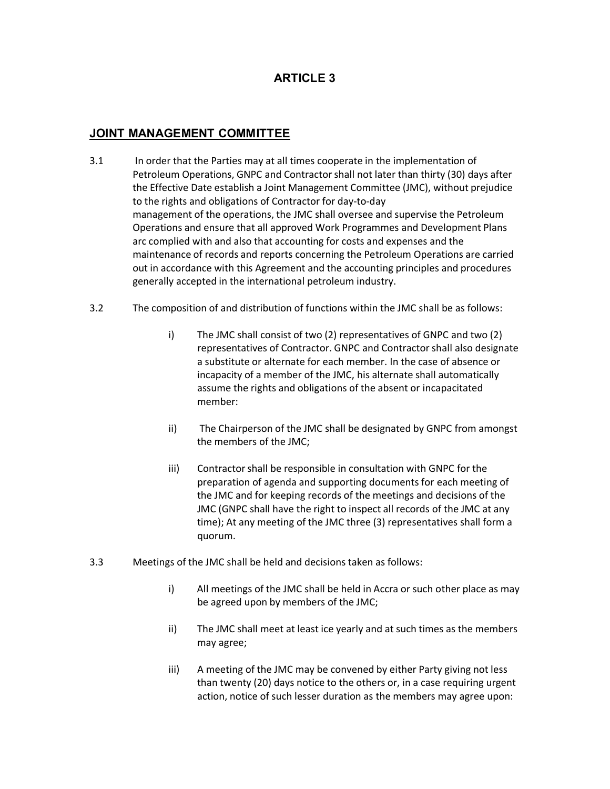#### **JOINT MANAGEMENT COMMITTEE**

- 3.1 In order that the Parties may at all times cooperate in the implementation of Petroleum Operations, GNPC and Contractor shall not later than thirty (30) days after the Effective Date establish a Joint Management Committee (JMC), without prejudice to the rights and obligations of Contractor for day-to-day management of the operations, the JMC shall oversee and supervise the Petroleum Operations and ensure that all approved Work Programmes and Development Plans arc complied with and also that accounting for costs and expenses and the maintenance of records and reports concerning the Petroleum Operations are carried out in accordance with this Agreement and the accounting principles and procedures generally accepted in the international petroleum industry.
- 3.2 The composition of and distribution of functions within the JMC shall be as follows:
	- i) The JMC shall consist of two (2) representatives of GNPC and two (2) representatives of Contractor. GNPC and Contractor shall also designate a substitute or alternate for each member. In the case of absence or incapacity of a member of the JMC, his alternate shall automatically assume the rights and obligations of the absent or incapacitated member:
	- ii) The Chairperson of the JMC shall be designated by GNPC from amongst the members of the JMC;
	- iii) Contractor shall be responsible in consultation with GNPC for the preparation of agenda and supporting documents for each meeting of the JMC and for keeping records of the meetings and decisions of the JMC (GNPC shall have the right to inspect all records of the JMC at any time); At any meeting of the JMC three (3) representatives shall form a quorum.
- 3.3 Meetings of the JMC shall be held and decisions taken as follows:
	- i) All meetings of the JMC shall be held in Accra or such other place as may be agreed upon by members of the JMC;
	- ii) The JMC shall meet at least ice yearly and at such times as the members may agree;
	- iii) A meeting of the JMC may be convened by either Party giving not less than twenty (20) days notice to the others or, in a case requiring urgent action, notice of such lesser duration as the members may agree upon: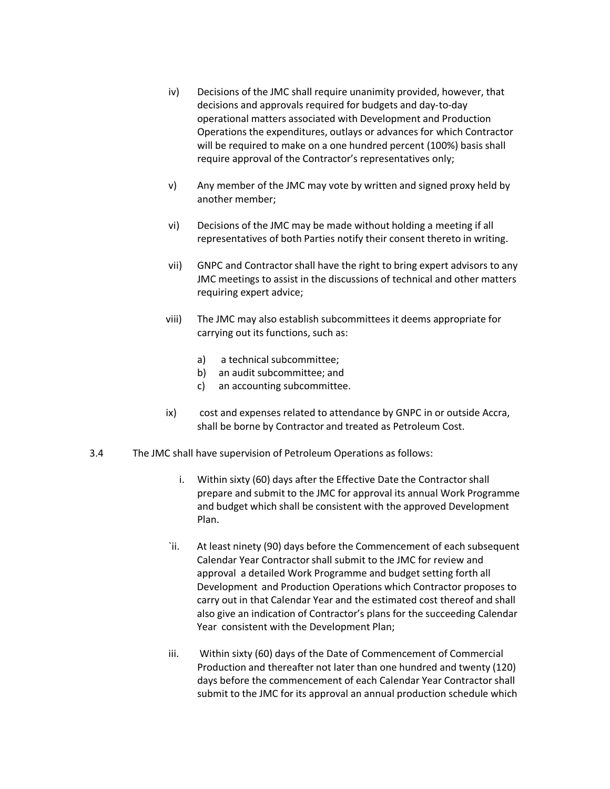- iv) Decisions of the JMC shall require unanimity provided, however, that decisions and approvals required for budgets and day-to-day operational matters associated with Development and Production Operations the expenditures, outlays or advances for which Contractor will be required to make on a one hundred percent (100%) basis shall require approval of the Contractor's representatives only;
- v) Any member of the JMC may vote by written and signed proxy held by another member;
- vi) Decisions of the JMC may be made without holding a meeting if all representatives of both Parties notify their consent thereto in writing.
- vii) GNPC and Contractor shall have the right to bring expert advisors to any JMC meetings to assist in the discussions of technical and other matters requiring expert advice;
- viii) The JMC may also establish subcommittees it deems appropriate for carrying out its functions, such as:
	- a) a technical subcommittee;
	- b) an audit subcommittee; and
	- c) an accounting subcommittee.
- ix) cost and expenses related to attendance by GNPC in or outside Accra, shall be borne by Contractor and treated as Petroleum Cost.
- 3.4 The JMC shall have supervision of Petroleum Operations as follows:
	- i. Within sixty (60) days after the Effective Date the Contractor shall prepare and submit to the JMC for approval its annual Work Programme and budget which shall be consistent with the approved Development Plan.
	- `ii. At least ninety (90) days before the Commencement of each subsequent Calendar Year Contractor shall submit to the JMC for review and approval a detailed Work Programme and budget setting forth all Development and Production Operations which Contractor proposes to carry out in that Calendar Year and the estimated cost thereof and shall also give an indication of Contractor's plans for the succeeding Calendar Year consistent with the Development Plan;
	- iii. Within sixty (60) days of the Date of Commencement of Commercial Production and thereafter not later than one hundred and twenty (120) days before the commencement of each Calendar Year Contractor shall submit to the JMC for its approval an annual production schedule which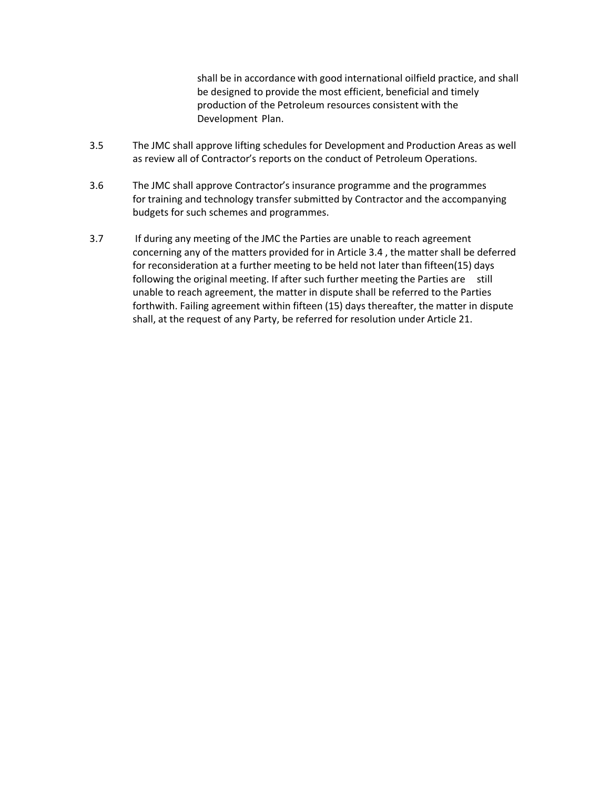shall be in accordance with good international oilfield practice, and shall be designed to provide the most efficient, beneficial and timely production of the Petroleum resources consistent with the Development Plan.

- 3.5 The JMC shall approve lifting schedules for Development and Production Areas as well as review all of Contractor's reports on the conduct of Petroleum Operations.
- 3.6 The JMC shall approve Contractor's insurance programme and the programmes for training and technology transfer submitted by Contractor and the accompanying budgets for such schemes and programmes.
- 3.7 If during any meeting of the JMC the Parties are unable to reach agreement concerning any of the matters provided for in Article 3.4 , the matter shall be deferred for reconsideration at a further meeting to be held not later than fifteen(15) days following the original meeting. If after such further meeting the Parties are still unable to reach agreement, the matter in dispute shall be referred to the Parties forthwith. Failing agreement within fifteen (15) days thereafter, the matter in dispute shall, at the request of any Party, be referred for resolution under Article 21.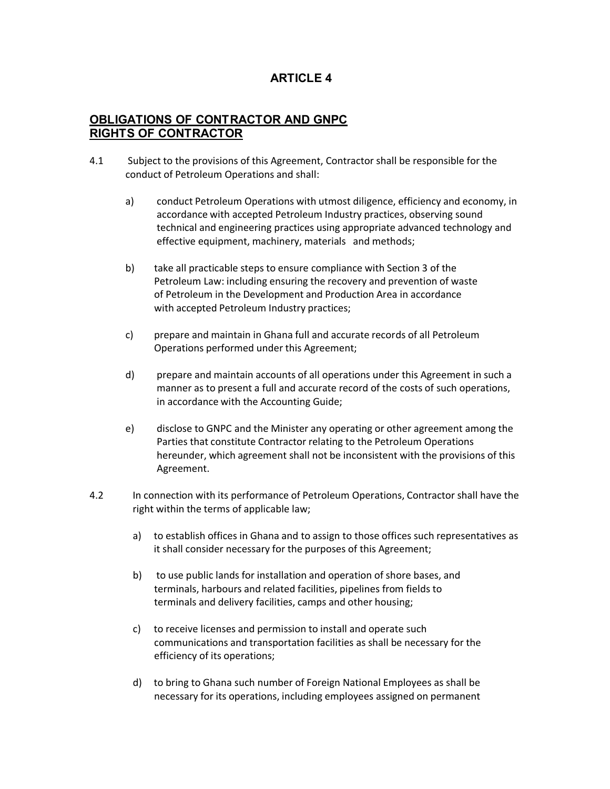#### **OBLIGATIONS OF CONTRACTOR AND GNPC RIGHTS OF CONTRACTOR**

- 4.1 Subject to the provisions of this Agreement, Contractor shall be responsible for the conduct of Petroleum Operations and shall:
	- a) conduct Petroleum Operations with utmost diligence, efficiency and economy, in accordance with accepted Petroleum Industry practices, observing sound technical and engineering practices using appropriate advanced technology and effective equipment, machinery, materials and methods;
	- b) take all practicable steps to ensure compliance with Section 3 of the Petroleum Law: including ensuring the recovery and prevention of waste of Petroleum in the Development and Production Area in accordance with accepted Petroleum Industry practices;
	- c) prepare and maintain in Ghana full and accurate records of all Petroleum Operations performed under this Agreement;
	- d) prepare and maintain accounts of all operations under this Agreement in such a manner as to present a full and accurate record of the costs of such operations, in accordance with the Accounting Guide;
	- e) disclose to GNPC and the Minister any operating or other agreement among the Parties that constitute Contractor relating to the Petroleum Operations hereunder, which agreement shall not be inconsistent with the provisions of this Agreement.
- 4.2 In connection with its performance of Petroleum Operations, Contractor shall have the right within the terms of applicable law;
	- a) to establish offices in Ghana and to assign to those offices such representatives as it shall consider necessary for the purposes of this Agreement;
	- b) to use public lands for installation and operation of shore bases, and terminals, harbours and related facilities, pipelines from fields to terminals and delivery facilities, camps and other housing;
	- c) to receive licenses and permission to install and operate such communications and transportation facilities as shall be necessary for the efficiency of its operations;
	- d) to bring to Ghana such number of Foreign National Employees as shall be necessary for its operations, including employees assigned on permanent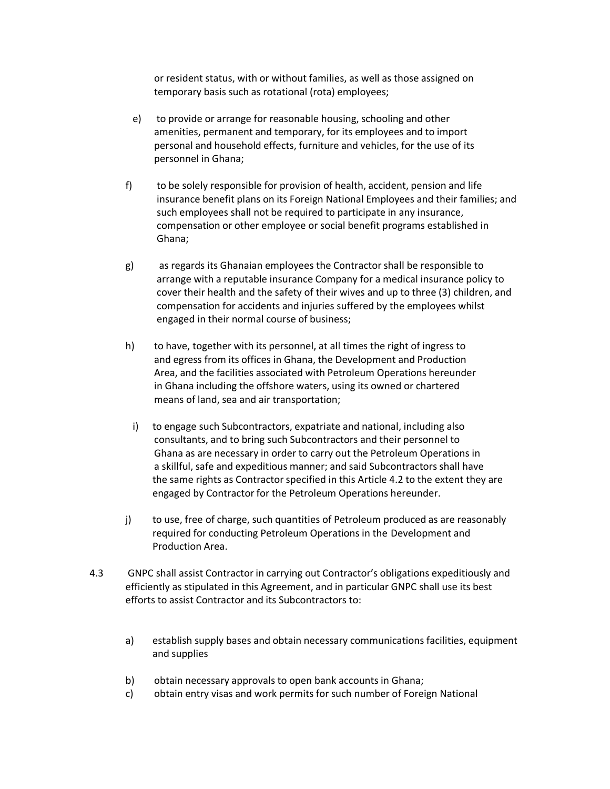or resident status, with or without families, as well as those assigned on temporary basis such as rotational (rota) employees;

- e) to provide or arrange for reasonable housing, schooling and other amenities, permanent and temporary, for its employees and to import personal and household effects, furniture and vehicles, for the use of its personnel in Ghana;
- f) to be solely responsible for provision of health, accident, pension and life insurance benefit plans on its Foreign National Employees and their families; and such employees shall not be required to participate in any insurance, compensation or other employee or social benefit programs established in Ghana;
- g) as regards its Ghanaian employees the Contractor shall be responsible to arrange with a reputable insurance Company for a medical insurance policy to cover their health and the safety of their wives and up to three (3) children, and compensation for accidents and injuries suffered by the employees whilst engaged in their normal course of business;
- h) to have, together with its personnel, at all times the right of ingress to and egress from its offices in Ghana, the Development and Production Area, and the facilities associated with Petroleum Operations hereunder in Ghana including the offshore waters, using its owned or chartered means of land, sea and air transportation;
	- i) to engage such Subcontractors, expatriate and national, including also consultants, and to bring such Subcontractors and their personnel to Ghana as are necessary in order to carry out the Petroleum Operations in a skillful, safe and expeditious manner; and said Subcontractors shall have the same rights as Contractor specified in this Article 4.2 to the extent they are engaged by Contractor for the Petroleum Operations hereunder.
- j) to use, free of charge, such quantities of Petroleum produced as are reasonably required for conducting Petroleum Operations in the Development and Production Area.
- 4.3 GNPC shall assist Contractor in carrying out Contractor's obligations expeditiously and efficiently as stipulated in this Agreement, and in particular GNPC shall use its best efforts to assist Contractor and its Subcontractors to:
	- a) establish supply bases and obtain necessary communications facilities, equipment and supplies
	- b) obtain necessary approvals to open bank accounts in Ghana;
	- c) obtain entry visas and work permits for such number of Foreign National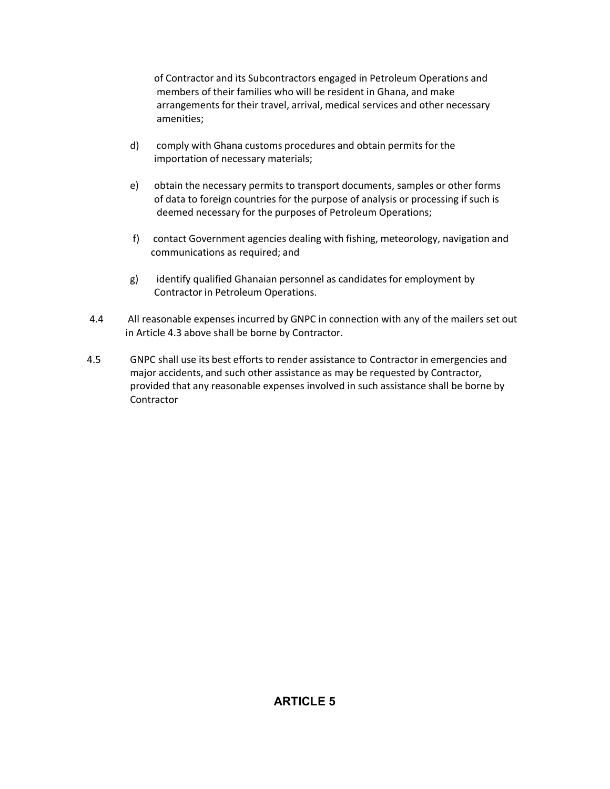of Contractor and its Subcontractors engaged in Petroleum Operations and members of their families who will be resident in Ghana, and make arrangements for their travel, arrival, medical services and other necessary amenities;

- d) comply with Ghana customs procedures and obtain permits for the importation of necessary materials;
- e) obtain the necessary permits to transport documents, samples or other forms of data to foreign countries for the purpose of analysis or processing if such is deemed necessary for the purposes of Petroleum Operations;
- f) contact Government agencies dealing with fishing, meteorology, navigation and communications as required; and
- g) identify qualified Ghanaian personnel as candidates for employment by Contractor in Petroleum Operations.
- 4.4 All reasonable expenses incurred by GNPC in connection with any of the mailers set out in Article 4.3 above shall be borne by Contractor.
- 4.5 GNPC shall use its best efforts to render assistance to Contractor in emergencies and major accidents, and such other assistance as may be requested by Contractor, provided that any reasonable expenses involved in such assistance shall be borne by **Contractor**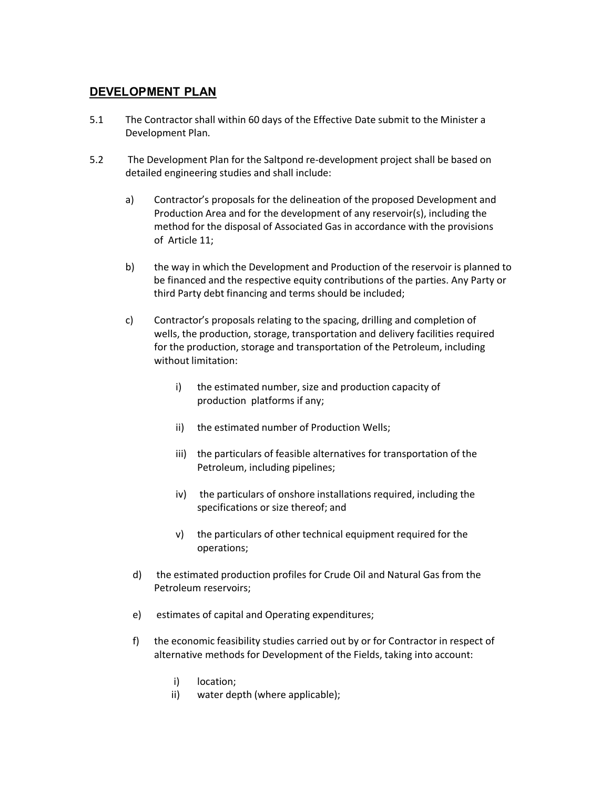#### **DEVELOPMENT PLAN**

- 5.1 The Contractor shall within 60 days of the Effective Date submit to the Minister a Development Plan.
- 5.2 The Development Plan for the Saltpond re-development project shall be based on detailed engineering studies and shall include:
	- a) Contractor's proposals for the delineation of the proposed Development and Production Area and for the development of any reservoir(s), including the method for the disposal of Associated Gas in accordance with the provisions of Article 11;
	- b) the way in which the Development and Production of the reservoir is planned to be financed and the respective equity contributions of the parties. Any Party or third Party debt financing and terms should be included;
	- c) Contractor's proposals relating to the spacing, drilling and completion of wells, the production, storage, transportation and delivery facilities required for the production, storage and transportation of the Petroleum, including without limitation:
		- i) the estimated number, size and production capacity of production platforms if any;
		- ii) the estimated number of Production Wells;
		- iii) the particulars of feasible alternatives for transportation of the Petroleum, including pipelines;
		- iv) the particulars of onshore installations required, including the specifications or size thereof; and
		- v) the particulars of other technical equipment required for the operations;
		- d) the estimated production profiles for Crude Oil and Natural Gas from the Petroleum reservoirs;
		- e) estimates of capital and Operating expenditures;
		- f) the economic feasibility studies carried out by or for Contractor in respect of alternative methods for Development of the Fields, taking into account:
			- i) location;
			- ii) water depth (where applicable);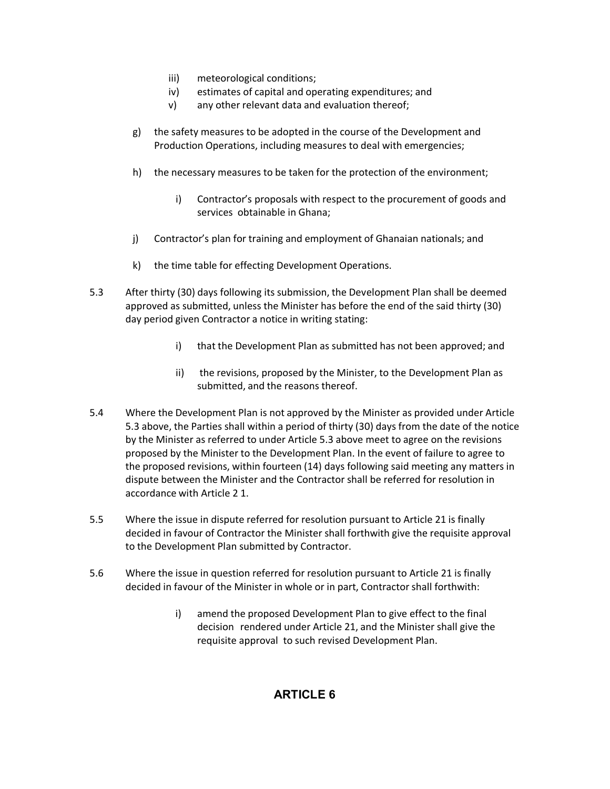- iii) meteorological conditions;
- iv) estimates of capital and operating expenditures; and
- v) any other relevant data and evaluation thereof;
- g) the safety measures to be adopted in the course of the Development and Production Operations, including measures to deal with emergencies;
- h) the necessary measures to be taken for the protection of the environment;
	- i) Contractor's proposals with respect to the procurement of goods and services obtainable in Ghana;
- j) Contractor's plan for training and employment of Ghanaian nationals; and
- k) the time table for effecting Development Operations.
- 5.3 After thirty (30) days following its submission, the Development Plan shall be deemed approved as submitted, unless the Minister has before the end of the said thirty (30) day period given Contractor a notice in writing stating:
	- i) that the Development Plan as submitted has not been approved; and
	- ii) the revisions, proposed by the Minister, to the Development Plan as submitted, and the reasons thereof.
- 5.4 Where the Development Plan is not approved by the Minister as provided under Article 5.3 above, the Parties shall within a period of thirty (30) days from the date of the notice by the Minister as referred to under Article 5.3 above meet to agree on the revisions proposed by the Minister to the Development Plan. In the event of failure to agree to the proposed revisions, within fourteen (14) days following said meeting any matters in dispute between the Minister and the Contractor shall be referred for resolution in accordance with Article 2 1.
- 5.5 Where the issue in dispute referred for resolution pursuant to Article 21 is finally decided in favour of Contractor the Minister shall forthwith give the requisite approval to the Development Plan submitted by Contractor.
- 5.6 Where the issue in question referred for resolution pursuant to Article 21 is finally decided in favour of the Minister in whole or in part, Contractor shall forthwith:
	- i) amend the proposed Development Plan to give effect to the final decision rendered under Article 21, and the Minister shall give the requisite approval to such revised Development Plan.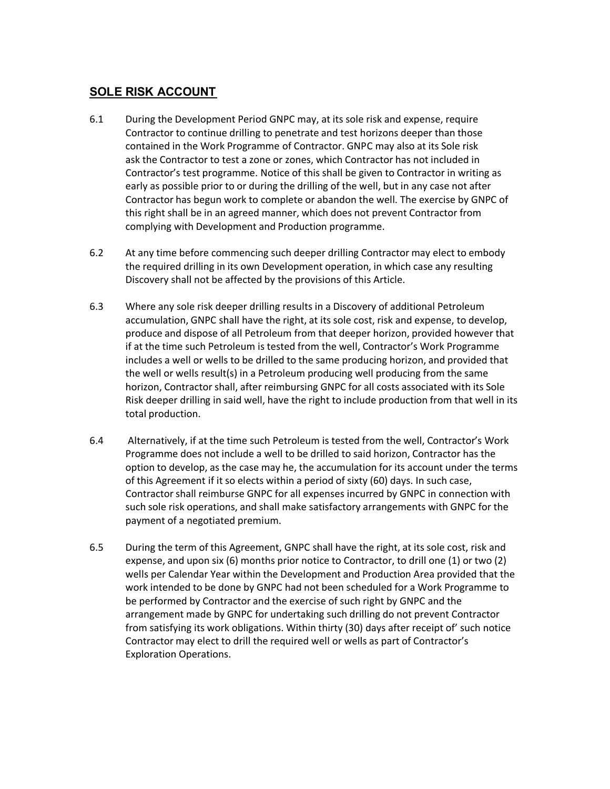# **SOLE RISK ACCOUNT**

- 6.1 During the Development Period GNPC may, at its sole risk and expense, require Contractor to continue drilling to penetrate and test horizons deeper than those contained in the Work Programme of Contractor. GNPC may also at its Sole risk ask the Contractor to test a zone or zones, which Contractor has not included in Contractor's test programme. Notice of this shall be given to Contractor in writing as early as possible prior to or during the drilling of the well, but in any case not after Contractor has begun work to complete or abandon the well. The exercise by GNPC of this right shall be in an agreed manner, which does not prevent Contractor from complying with Development and Production programme.
- 6.2 At any time before commencing such deeper drilling Contractor may elect to embody the required drilling in its own Development operation, in which case any resulting Discovery shall not be affected by the provisions of this Article.
- 6.3 Where any sole risk deeper drilling results in a Discovery of additional Petroleum accumulation, GNPC shall have the right, at its sole cost, risk and expense, to develop, produce and dispose of all Petroleum from that deeper horizon, provided however that if at the time such Petroleum is tested from the well, Contractor's Work Programme includes a well or wells to be drilled to the same producing horizon, and provided that the well or wells result(s) in a Petroleum producing well producing from the same horizon, Contractor shall, after reimbursing GNPC for all costs associated with its Sole Risk deeper drilling in said well, have the right to include production from that well in its total production.
- 6.4 Alternatively, if at the time such Petroleum is tested from the well, Contractor's Work Programme does not include a well to be drilled to said horizon, Contractor has the option to develop, as the case may he, the accumulation for its account under the terms of this Agreement if it so elects within a period of sixty (60) days. In such case, Contractor shall reimburse GNPC for all expenses incurred by GNPC in connection with such sole risk operations, and shall make satisfactory arrangements with GNPC for the payment of a negotiated premium.
- 6.5 During the term of this Agreement, GNPC shall have the right, at its sole cost, risk and expense, and upon six (6) months prior notice to Contractor, to drill one (1) or two (2) wells per Calendar Year within the Development and Production Area provided that the work intended to be done by GNPC had not been scheduled for a Work Programme to be performed by Contractor and the exercise of such right by GNPC and the arrangement made by GNPC for undertaking such drilling do not prevent Contractor from satisfying its work obligations. Within thirty (30) days after receipt of' such notice Contractor may elect to drill the required well or wells as part of Contractor's Exploration Operations.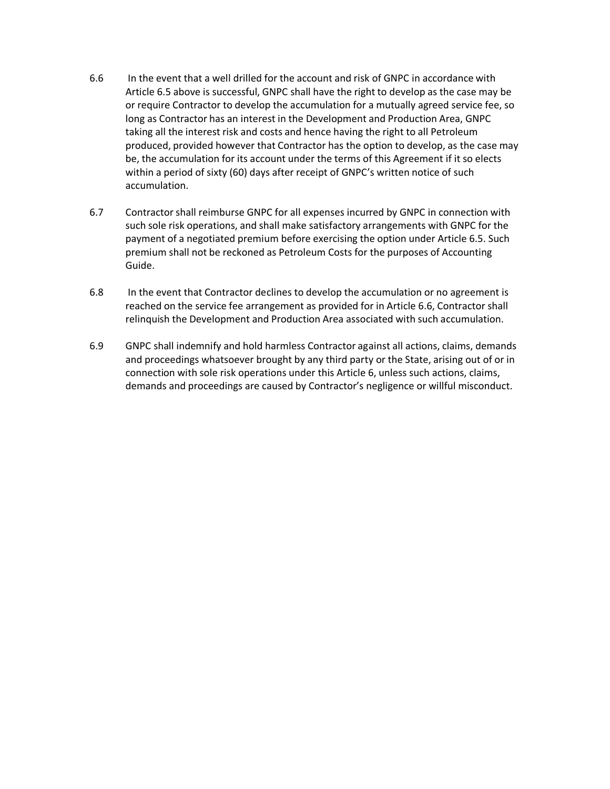- 6.6 In the event that a well drilled for the account and risk of GNPC in accordance with Article 6.5 above is successful, GNPC shall have the right to develop as the case may be or require Contractor to develop the accumulation for a mutually agreed service fee, so long as Contractor has an interest in the Development and Production Area, GNPC taking all the interest risk and costs and hence having the right to all Petroleum produced, provided however that Contractor has the option to develop, as the case may be, the accumulation for its account under the terms of this Agreement if it so elects within a period of sixty (60) days after receipt of GNPC's written notice of such accumulation.
- 6.7 Contractor shall reimburse GNPC for all expenses incurred by GNPC in connection with such sole risk operations, and shall make satisfactory arrangements with GNPC for the payment of a negotiated premium before exercising the option under Article 6.5. Such premium shall not be reckoned as Petroleum Costs for the purposes of Accounting Guide.
- 6.8 In the event that Contractor declines to develop the accumulation or no agreement is reached on the service fee arrangement as provided for in Article 6.6, Contractor shall relinquish the Development and Production Area associated with such accumulation.
- 6.9 GNPC shall indemnify and hold harmless Contractor against all actions, claims, demands and proceedings whatsoever brought by any third party or the State, arising out of or in connection with sole risk operations under this Article 6, unless such actions, claims, demands and proceedings are caused by Contractor's negligence or willful misconduct.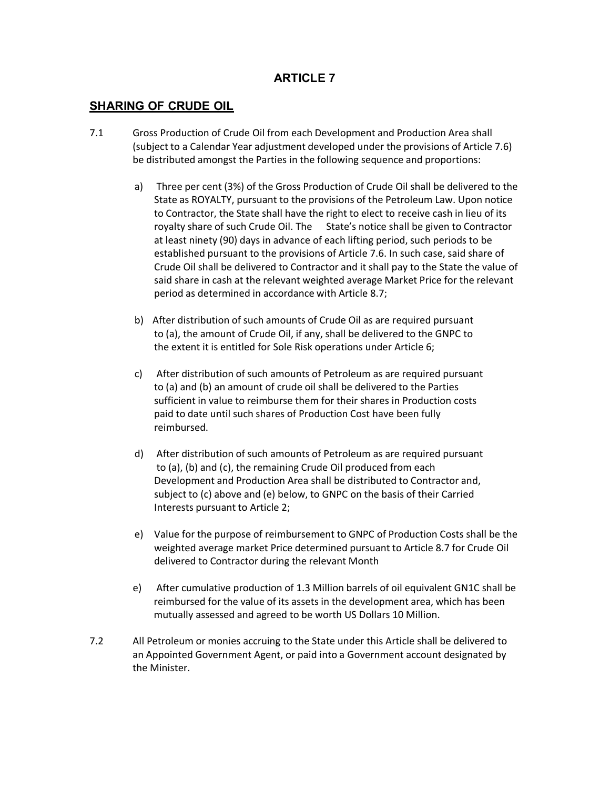#### **SHARING OF CRUDE OIL**

- 7.1 Gross Production of Crude Oil from each Development and Production Area shall (subject to a Calendar Year adjustment developed under the provisions of Article 7.6) be distributed amongst the Parties in the following sequence and proportions:
	- a) Three per cent (3%) of the Gross Production of Crude Oil shall be delivered to the State as ROYALTY, pursuant to the provisions of the Petroleum Law. Upon notice to Contractor, the State shall have the right to elect to receive cash in lieu of its royalty share of such Crude Oil. The State's notice shall be given to Contractor at least ninety (90) days in advance of each lifting period, such periods to be established pursuant to the provisions of Article 7.6. In such case, said share of Crude Oil shall be delivered to Contractor and it shall pay to the State the value of said share in cash at the relevant weighted average Market Price for the relevant period as determined in accordance with Article 8.7;
	- b) After distribution of such amounts of Crude Oil as are required pursuant to (a), the amount of Crude Oil, if any, shall be delivered to the GNPC to the extent it is entitled for Sole Risk operations under Article 6;
	- c) After distribution of such amounts of Petroleum as are required pursuant to (a) and (b) an amount of crude oil shall be delivered to the Parties sufficient in value to reimburse them for their shares in Production costs paid to date until such shares of Production Cost have been fully reimbursed.
	- d) After distribution of such amounts of Petroleum as are required pursuant to (a), (b) and (c), the remaining Crude Oil produced from each Development and Production Area shall be distributed to Contractor and, subject to (c) above and (e) below, to GNPC on the basis of their Carried Interests pursuant to Article 2;
	- e) Value for the purpose of reimbursement to GNPC of Production Costs shall be the weighted average market Price determined pursuant to Article 8.7 for Crude Oil delivered to Contractor during the relevant Month
	- e) After cumulative production of 1.3 Million barrels of oil equivalent GN1C shall be reimbursed for the value of its assets in the development area, which has been mutually assessed and agreed to be worth US Dollars 10 Million.
- 7.2 All Petroleum or monies accruing to the State under this Article shall be delivered to an Appointed Government Agent, or paid into a Government account designated by the Minister.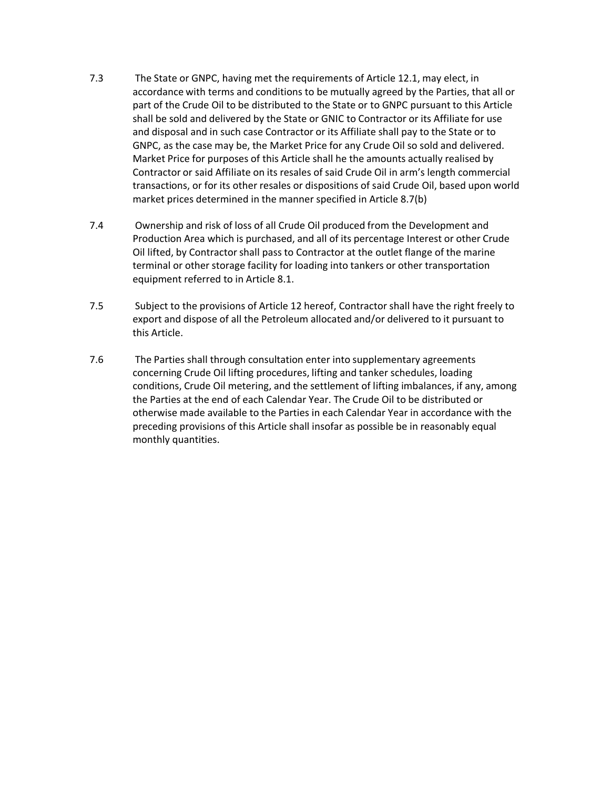- 7.3 The State or GNPC, having met the requirements of Article 12.1, may elect, in accordance with terms and conditions to be mutually agreed by the Parties, that all or part of the Crude Oil to be distributed to the State or to GNPC pursuant to this Article shall be sold and delivered by the State or GNIC to Contractor or its Affiliate for use and disposal and in such case Contractor or its Affiliate shall pay to the State or to GNPC, as the case may be, the Market Price for any Crude Oil so sold and delivered. Market Price for purposes of this Article shall he the amounts actually realised by Contractor or said Affiliate on its resales of said Crude Oil in arm's length commercial transactions, or for its other resales or dispositions of said Crude Oil, based upon world market prices determined in the manner specified in Article 8.7(b)
- 7.4 Ownership and risk of loss of all Crude Oil produced from the Development and Production Area which is purchased, and all of its percentage Interest or other Crude Oil lifted, by Contractor shall pass to Contractor at the outlet flange of the marine terminal or other storage facility for loading into tankers or other transportation equipment referred to in Article 8.1.
- 7.5 Subject to the provisions of Article 12 hereof, Contractor shall have the right freely to export and dispose of all the Petroleum allocated and/or delivered to it pursuant to this Article.
- 7.6 The Parties shall through consultation enter into supplementary agreements concerning Crude Oil lifting procedures, lifting and tanker schedules, loading conditions, Crude Oil metering, and the settlement of lifting imbalances, if any, among the Parties at the end of each Calendar Year. The Crude Oil to be distributed or otherwise made available to the Parties in each Calendar Year in accordance with the preceding provisions of this Article shall insofar as possible be in reasonably equal monthly quantities.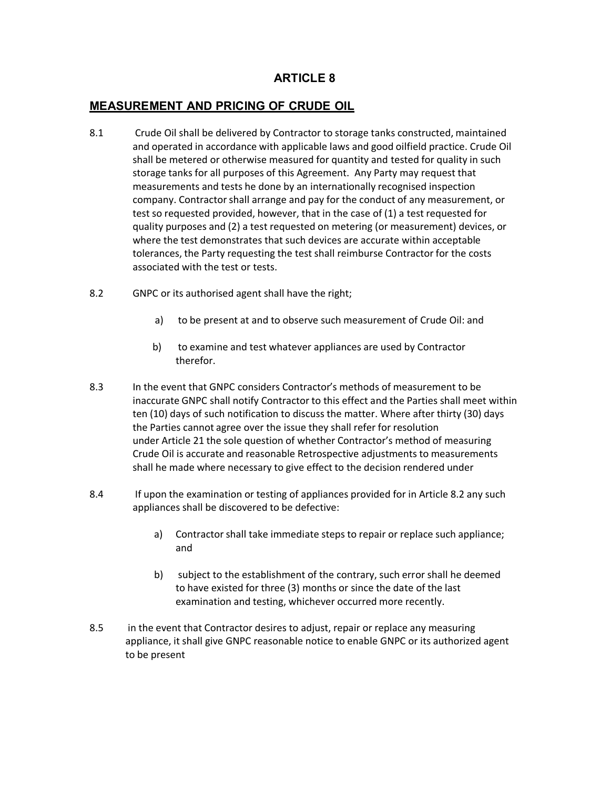#### **MEASUREMENT AND PRICING OF CRUDE OIL**

- 8.1 Crude Oil shall be delivered by Contractor to storage tanks constructed, maintained and operated in accordance with applicable laws and good oilfield practice. Crude Oil shall be metered or otherwise measured for quantity and tested for quality in such storage tanks for all purposes of this Agreement. Any Party may request that measurements and tests he done by an internationally recognised inspection company. Contractor shall arrange and pay for the conduct of any measurement, or test so requested provided, however, that in the case of (1) a test requested for quality purposes and (2) a test requested on metering (or measurement) devices, or where the test demonstrates that such devices are accurate within acceptable tolerances, the Party requesting the test shall reimburse Contractor for the costs associated with the test or tests.
- 8.2 GNPC or its authorised agent shall have the right;
	- a) to be present at and to observe such measurement of Crude Oil: and
	- b) to examine and test whatever appliances are used by Contractor therefor.
- 8.3 In the event that GNPC considers Contractor's methods of measurement to be inaccurate GNPC shall notify Contractor to this effect and the Parties shall meet within ten (10) days of such notification to discuss the matter. Where after thirty (30) days the Parties cannot agree over the issue they shall refer for resolution under Article 21 the sole question of whether Contractor's method of measuring Crude Oil is accurate and reasonable Retrospective adjustments to measurements shall he made where necessary to give effect to the decision rendered under
- 8.4 If upon the examination or testing of appliances provided for in Article 8.2 any such appliances shall be discovered to be defective:
	- a) Contractor shall take immediate steps to repair or replace such appliance; and
	- b) subject to the establishment of the contrary, such error shall he deemed to have existed for three (3) months or since the date of the last examination and testing, whichever occurred more recently.
- 8.5 in the event that Contractor desires to adjust, repair or replace any measuring appliance, it shall give GNPC reasonable notice to enable GNPC or its authorized agent to be present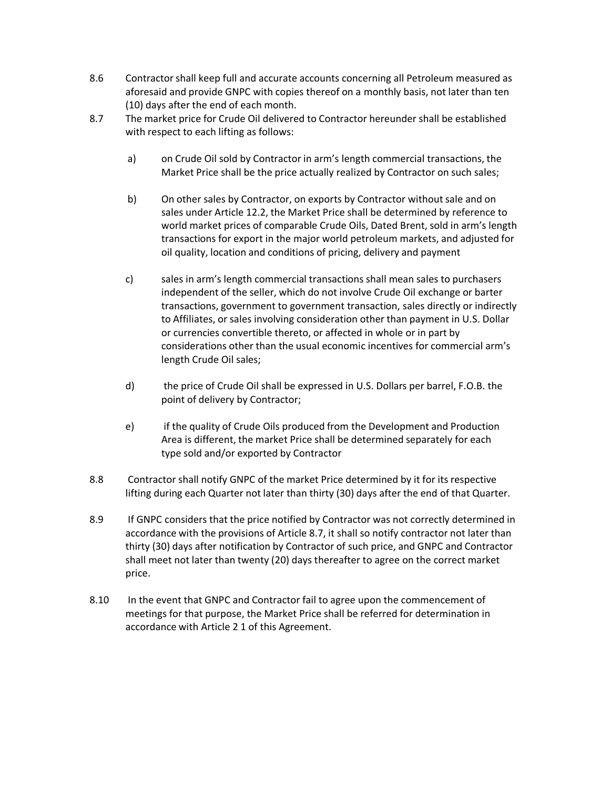- 8.6 Contractor shall keep full and accurate accounts concerning all Petroleum measured as aforesaid and provide GNPC with copies thereof on a monthly basis, not later than ten (10) days after the end of each month.
- 8.7 The market price for Crude Oil delivered to Contractor hereunder shall be established with respect to each lifting as follows:
	- a) on Crude Oil sold by Contractor in arm's length commercial transactions, the Market Price shall be the price actually realized by Contractor on such sales;
	- b) On other sales by Contractor, on exports by Contractor without sale and on sales under Article 12.2, the Market Price shall be determined by reference to world market prices of comparable Crude Oils, Dated Brent, sold in arm's length transactions for export in the major world petroleum markets, and adjusted for oil quality, location and conditions of pricing, delivery and payment
	- c) sales in arm's length commercial transactions shall mean sales to purchasers independent of the seller, which do not involve Crude Oil exchange or barter transactions, government to government transaction, sales directly or indirectly to Affiliates, or sales involving consideration other than payment in U.S. Dollar or currencies convertible thereto, or affected in whole or in part by considerations other than the usual economic incentives for commercial arm's length Crude Oil sales;
	- d) the price of Crude Oil shall be expressed in U.S. Dollars per barrel, F.O.B. the point of delivery by Contractor;
	- e) if the quality of Crude Oils produced from the Development and Production Area is different, the market Price shall be determined separately for each type sold and/or exported by Contractor
- 8.8 Contractor shall notify GNPC of the market Price determined by it for its respective lifting during each Quarter not later than thirty (30) days after the end of that Quarter.
- 8.9 If GNPC considers that the price notified by Contractor was not correctly determined in accordance with the provisions of Article 8.7, it shall so notify contractor not later than thirty (30) days after notification by Contractor of such price, and GNPC and Contractor shall meet not later than twenty (20) days thereafter to agree on the correct market price.
- 8.10 In the event that GNPC and Contractor fail to agree upon the commencement of meetings for that purpose, the Market Price shall be referred for determination in accordance with Article 2 1 of this Agreement.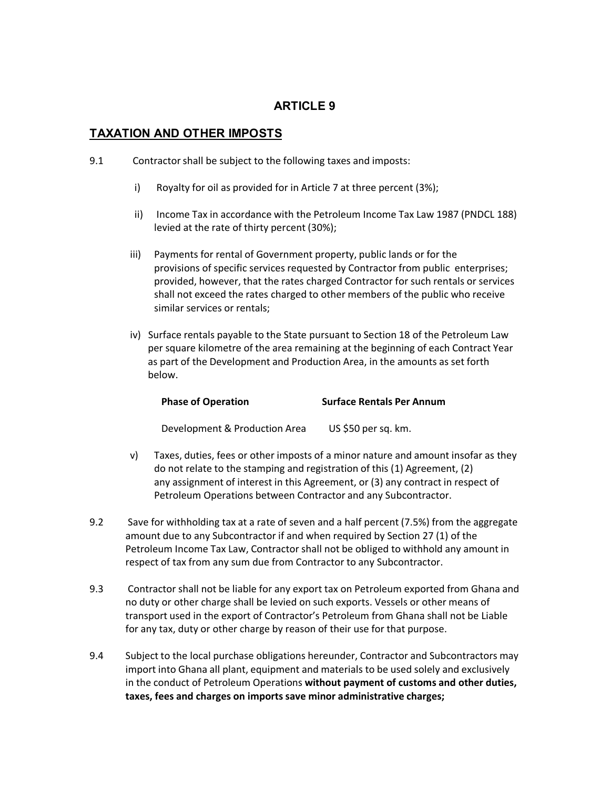#### **TAXATION AND OTHER IMPOSTS**

- 9.1 Contractor shall be subject to the following taxes and imposts:
	- i) Royalty for oil as provided for in Article 7 at three percent (3%);
	- ii) Income Tax in accordance with the Petroleum Income Tax Law 1987 (PNDCL 188) levied at the rate of thirty percent (30%);
	- iii) Payments for rental of Government property, public lands or for the provisions of specific services requested by Contractor from public enterprises; provided, however, that the rates charged Contractor for such rentals or services shall not exceed the rates charged to other members of the public who receive similar services or rentals;
	- iv) Surface rentals payable to the State pursuant to Section 18 of the Petroleum Law per square kilometre of the area remaining at the beginning of each Contract Year as part of the Development and Production Area, in the amounts as set forth below.

| <b>Phase of Operation</b> | <b>Surface Rentals Per Annum</b> |
|---------------------------|----------------------------------|
|                           |                                  |

Development & Production Area US \$50 per sq. km.

- v) Taxes, duties, fees or other imposts of a minor nature and amount insofar as they do not relate to the stamping and registration of this (1) Agreement, (2) any assignment of interest in this Agreement, or (3) any contract in respect of Petroleum Operations between Contractor and any Subcontractor.
- 9.2 Save for withholding tax at a rate of seven and a half percent (7.5%) from the aggregate amount due to any Subcontractor if and when required by Section 27 (1) of the Petroleum Income Tax Law, Contractor shall not be obliged to withhold any amount in respect of tax from any sum due from Contractor to any Subcontractor.
- 9.3 Contractor shall not be liable for any export tax on Petroleum exported from Ghana and no duty or other charge shall be levied on such exports. Vessels or other means of transport used in the export of Contractor's Petroleum from Ghana shall not be Liable for any tax, duty or other charge by reason of their use for that purpose.
- 9.4 Subject to the local purchase obligations hereunder, Contractor and Subcontractors may import into Ghana all plant, equipment and materials to be used solely and exclusively in the conduct of Petroleum Operations **without payment of customs and other duties, taxes, fees and charges on imports save minor administrative charges;**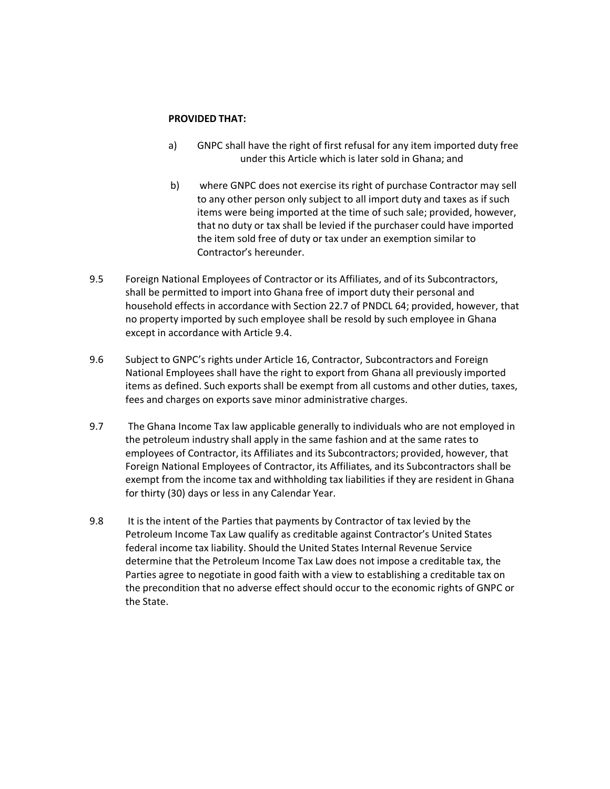#### **PROVIDED THAT:**

- a) GNPC shall have the right of first refusal for any item imported duty free under this Article which is later sold in Ghana; and
- b) where GNPC does not exercise its right of purchase Contractor may sell to any other person only subject to all import duty and taxes as if such items were being imported at the time of such sale; provided, however, that no duty or tax shall be levied if the purchaser could have imported the item sold free of duty or tax under an exemption similar to Contractor's hereunder.
- 9.5 Foreign National Employees of Contractor or its Affiliates, and of its Subcontractors, shall be permitted to import into Ghana free of import duty their personal and household effects in accordance with Section 22.7 of PNDCL 64; provided, however, that no property imported by such employee shall be resold by such employee in Ghana except in accordance with Article 9.4.
- 9.6 Subject to GNPC's rights under Article 16, Contractor, Subcontractors and Foreign National Employees shall have the right to export from Ghana all previously imported items as defined. Such exports shall be exempt from all customs and other duties, taxes, fees and charges on exports save minor administrative charges.
- 9.7 The Ghana Income Tax law applicable generally to individuals who are not employed in the petroleum industry shall apply in the same fashion and at the same rates to employees of Contractor, its Affiliates and its Subcontractors; provided, however, that Foreign National Employees of Contractor, its Affiliates, and its Subcontractors shall be exempt from the income tax and withholding tax liabilities if they are resident in Ghana for thirty (30) days or less in any Calendar Year.
- 9.8 It is the intent of the Parties that payments by Contractor of tax levied by the Petroleum Income Tax Law qualify as creditable against Contractor's United States federal income tax liability. Should the United States Internal Revenue Service determine that the Petroleum Income Tax Law does not impose a creditable tax, the Parties agree to negotiate in good faith with a view to establishing a creditable tax on the precondition that no adverse effect should occur to the economic rights of GNPC or the State.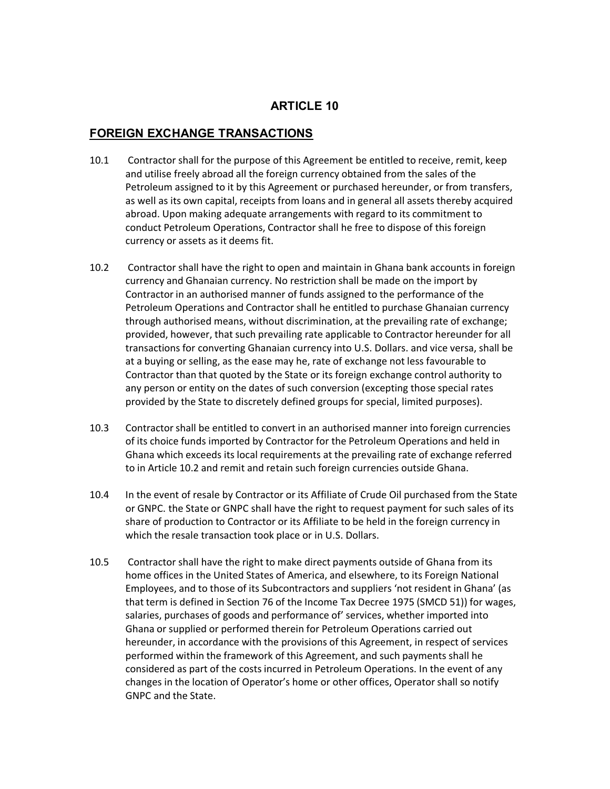#### **FOREIGN EXCHANGE TRANSACTIONS**

- 10.1 Contractor shall for the purpose of this Agreement be entitled to receive, remit, keep and utilise freely abroad all the foreign currency obtained from the sales of the Petroleum assigned to it by this Agreement or purchased hereunder, or from transfers, as well as its own capital, receipts from loans and in general all assets thereby acquired abroad. Upon making adequate arrangements with regard to its commitment to conduct Petroleum Operations, Contractor shall he free to dispose of this foreign currency or assets as it deems fit.
- 10.2 Contractor shall have the right to open and maintain in Ghana bank accounts in foreign currency and Ghanaian currency. No restriction shall be made on the import by Contractor in an authorised manner of funds assigned to the performance of the Petroleum Operations and Contractor shall he entitled to purchase Ghanaian currency through authorised means, without discrimination, at the prevailing rate of exchange; provided, however, that such prevailing rate applicable to Contractor hereunder for all transactions for converting Ghanaian currency into U.S. Dollars. and vice versa, shall be at a buying or selling, as the ease may he, rate of exchange not less favourable to Contractor than that quoted by the State or its foreign exchange control authority to any person or entity on the dates of such conversion (excepting those special rates provided by the State to discretely defined groups for special, limited purposes).
- 10.3 Contractor shall be entitled to convert in an authorised manner into foreign currencies of its choice funds imported by Contractor for the Petroleum Operations and held in Ghana which exceeds its local requirements at the prevailing rate of exchange referred to in Article 10.2 and remit and retain such foreign currencies outside Ghana.
- 10.4 In the event of resale by Contractor or its Affiliate of Crude Oil purchased from the State or GNPC. the State or GNPC shall have the right to request payment for such sales of its share of production to Contractor or its Affiliate to be held in the foreign currency in which the resale transaction took place or in U.S. Dollars.
- 10.5 Contractor shall have the right to make direct payments outside of Ghana from its home offices in the United States of America, and elsewhere, to its Foreign National Employees, and to those of its Subcontractors and suppliers 'not resident in Ghana' (as that term is defined in Section 76 of the Income Tax Decree 1975 (SMCD 51)) for wages, salaries, purchases of goods and performance of' services, whether imported into Ghana or supplied or performed therein for Petroleum Operations carried out hereunder, in accordance with the provisions of this Agreement, in respect of services performed within the framework of this Agreement, and such payments shall he considered as part of the costs incurred in Petroleum Operations. In the event of any changes in the location of Operator's home or other offices, Operator shall so notify GNPC and the State.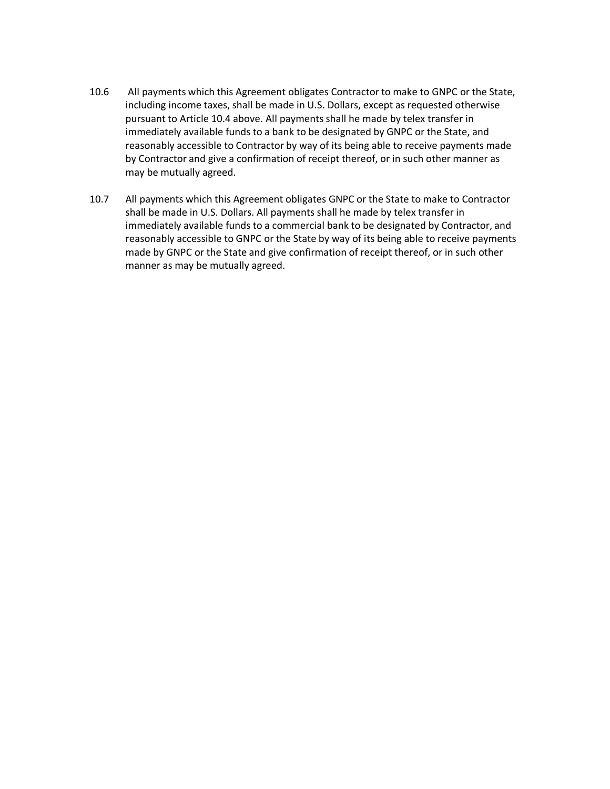- 10.6 All payments which this Agreement obligates Contractor to make to GNPC or the State, including income taxes, shall be made in U.S. Dollars, except as requested otherwise pursuant to Article 10.4 above. All payments shall he made by telex transfer in immediately available funds to a bank to be designated by GNPC or the State, and reasonably accessible to Contractor by way of its being able to receive payments made by Contractor and give a confirmation of receipt thereof, or in such other manner as may be mutually agreed.
- 10.7 All payments which this Agreement obligates GNPC or the State to make to Contractor shall be made in U.S. Dollars. All payments shall he made by telex transfer in immediately available funds to a commercial bank to be designated by Contractor, and reasonably accessible to GNPC or the State by way of its being able to receive payments made by GNPC or the State and give confirmation of receipt thereof, or in such other manner as may be mutually agreed.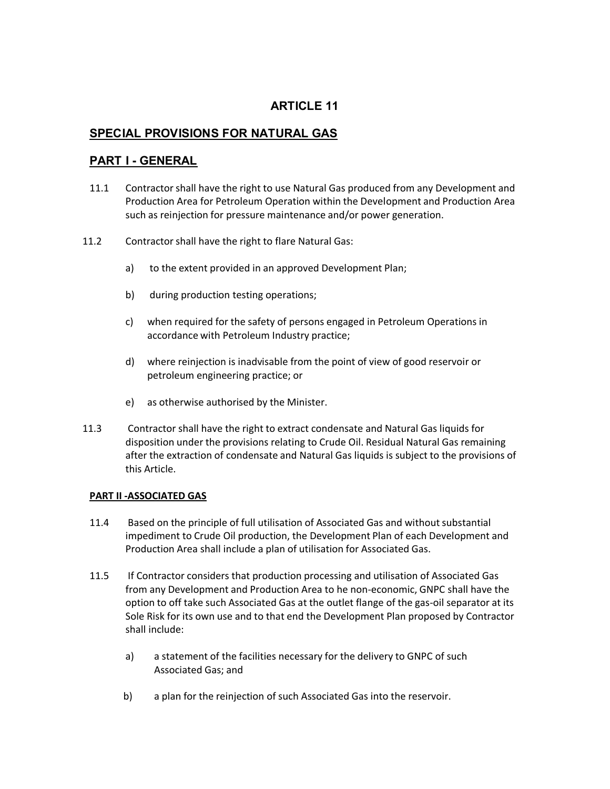#### **SPECIAL PROVISIONS FOR NATURAL GAS**

#### **PART I - GENERAL**

- 11.1 Contractor shall have the right to use Natural Gas produced from any Development and Production Area for Petroleum Operation within the Development and Production Area such as reinjection for pressure maintenance and/or power generation.
- 11.2 Contractor shall have the right to flare Natural Gas:
	- a) to the extent provided in an approved Development Plan;
	- b) during production testing operations;
	- c) when required for the safety of persons engaged in Petroleum Operations in accordance with Petroleum Industry practice;
	- d) where reinjection is inadvisable from the point of view of good reservoir or petroleum engineering practice; or
	- e) as otherwise authorised by the Minister.
- 11.3 Contractor shall have the right to extract condensate and Natural Gas liquids for disposition under the provisions relating to Crude Oil. Residual Natural Gas remaining after the extraction of condensate and Natural Gas liquids is subject to the provisions of this Article.

#### **PART II -ASSOCIATED GAS**

- 11.4 Based on the principle of full utilisation of Associated Gas and without substantial impediment to Crude Oil production, the Development Plan of each Development and Production Area shall include a plan of utilisation for Associated Gas.
- 11.5 If Contractor considers that production processing and utilisation of Associated Gas from any Development and Production Area to he non-economic, GNPC shall have the option to off take such Associated Gas at the outlet flange of the gas-oil separator at its Sole Risk for its own use and to that end the Development Plan proposed by Contractor shall include:
	- a) a statement of the facilities necessary for the delivery to GNPC of such Associated Gas; and
	- b) a plan for the reinjection of such Associated Gas into the reservoir.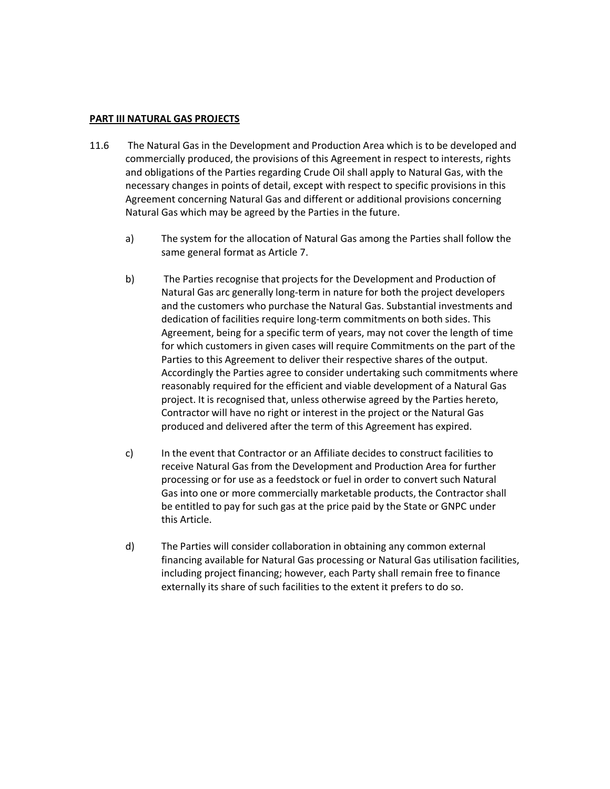#### **PART III NATURAL GAS PROJECTS**

- 11.6 The Natural Gas in the Development and Production Area which is to be developed and commercially produced, the provisions of this Agreement in respect to interests, rights and obligations of the Parties regarding Crude Oil shall apply to Natural Gas, with the necessary changes in points of detail, except with respect to specific provisions in this Agreement concerning Natural Gas and different or additional provisions concerning Natural Gas which may be agreed by the Parties in the future.
	- a) The system for the allocation of Natural Gas among the Parties shall follow the same general format as Article 7.
	- b) The Parties recognise that projects for the Development and Production of Natural Gas arc generally long-term in nature for both the project developers and the customers who purchase the Natural Gas. Substantial investments and dedication of facilities require long-term commitments on both sides. This Agreement, being for a specific term of years, may not cover the length of time for which customers in given cases will require Commitments on the part of the Parties to this Agreement to deliver their respective shares of the output. Accordingly the Parties agree to consider undertaking such commitments where reasonably required for the efficient and viable development of a Natural Gas project. It is recognised that, unless otherwise agreed by the Parties hereto, Contractor will have no right or interest in the project or the Natural Gas produced and delivered after the term of this Agreement has expired.
	- c) In the event that Contractor or an Affiliate decides to construct facilities to receive Natural Gas from the Development and Production Area for further processing or for use as a feedstock or fuel in order to convert such Natural Gas into one or more commercially marketable products, the Contractor shall be entitled to pay for such gas at the price paid by the State or GNPC under this Article.
	- d) The Parties will consider collaboration in obtaining any common external financing available for Natural Gas processing or Natural Gas utilisation facilities, including project financing; however, each Party shall remain free to finance externally its share of such facilities to the extent it prefers to do so.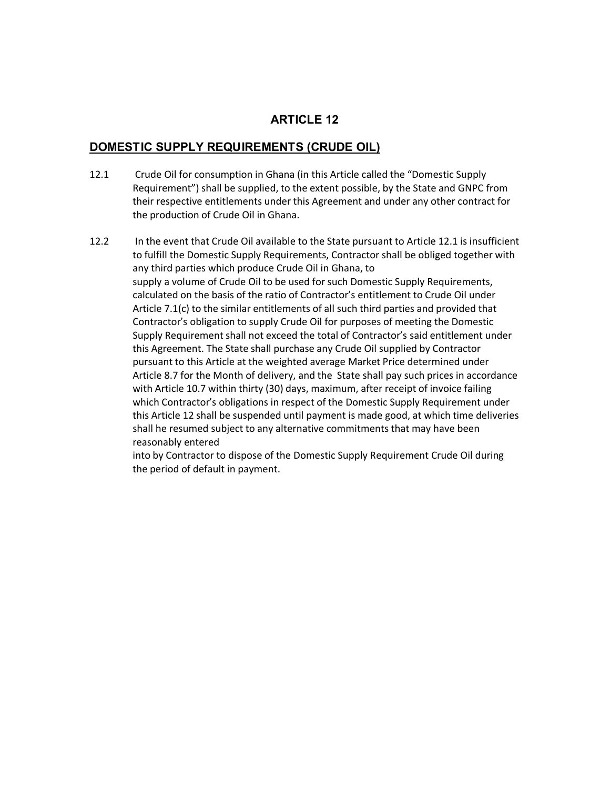#### **DOMESTIC SUPPLY REQUIREMENTS (CRUDE OIL)**

- 12.1 Crude Oil for consumption in Ghana (in this Article called the "Domestic Supply Requirement") shall be supplied, to the extent possible, by the State and GNPC from their respective entitlements under this Agreement and under any other contract for the production of Crude Oil in Ghana.
- 12.2 In the event that Crude Oil available to the State pursuant to Article 12.1 is insufficient to fulfill the Domestic Supply Requirements, Contractor shall be obliged together with any third parties which produce Crude Oil in Ghana, to supply a volume of Crude Oil to be used for such Domestic Supply Requirements, calculated on the basis of the ratio of Contractor's entitlement to Crude Oil under Article 7.1(c) to the similar entitlements of all such third parties and provided that Contractor's obligation to supply Crude Oil for purposes of meeting the Domestic Supply Requirement shall not exceed the total of Contractor's said entitlement under this Agreement. The State shall purchase any Crude Oil supplied by Contractor pursuant to this Article at the weighted average Market Price determined under Article 8.7 for the Month of delivery, and the State shall pay such prices in accordance with Article 10.7 within thirty (30) days, maximum, after receipt of invoice failing which Contractor's obligations in respect of the Domestic Supply Requirement under this Article 12 shall be suspended until payment is made good, at which time deliveries shall he resumed subject to any alternative commitments that may have been reasonably entered

into by Contractor to dispose of the Domestic Supply Requirement Crude Oil during the period of default in payment.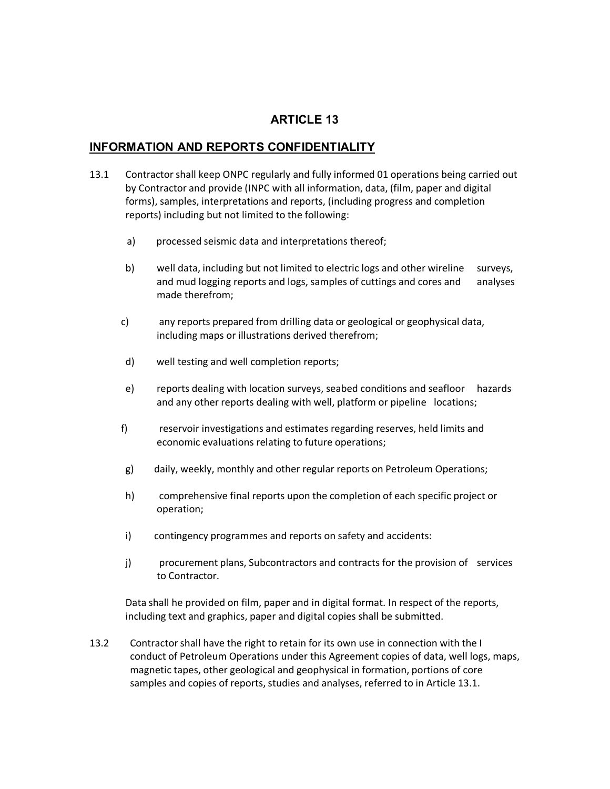#### **INFORMATION AND REPORTS CONFIDENTIALITY**

- 13.1 Contractor shall keep ONPC regularly and fully informed 01 operations being carried out by Contractor and provide (INPC with all information, data, (film, paper and digital forms), samples, interpretations and reports, (including progress and completion reports) including but not limited to the following:
	- a) processed seismic data and interpretations thereof;
	- b) well data, including but not limited to electric logs and other wireline surveys, and mud logging reports and logs, samples of cuttings and cores and analyses made therefrom;
	- c) any reports prepared from drilling data or geological or geophysical data, including maps or illustrations derived therefrom;
	- d) well testing and well completion reports;
	- e) reports dealing with location surveys, seabed conditions and seafloor hazards and any other reports dealing with well, platform or pipeline locations;
	- f) reservoir investigations and estimates regarding reserves, held limits and economic evaluations relating to future operations;
	- g) daily, weekly, monthly and other regular reports on Petroleum Operations;
	- h) comprehensive final reports upon the completion of each specific project or operation;
	- i) contingency programmes and reports on safety and accidents:
	- j) procurement plans, Subcontractors and contracts for the provision of services to Contractor.

Data shall he provided on film, paper and in digital format. In respect of the reports, including text and graphics, paper and digital copies shall be submitted.

13.2 Contractor shall have the right to retain for its own use in connection with the I conduct of Petroleum Operations under this Agreement copies of data, well logs, maps, magnetic tapes, other geological and geophysical in formation, portions of core samples and copies of reports, studies and analyses, referred to in Article 13.1.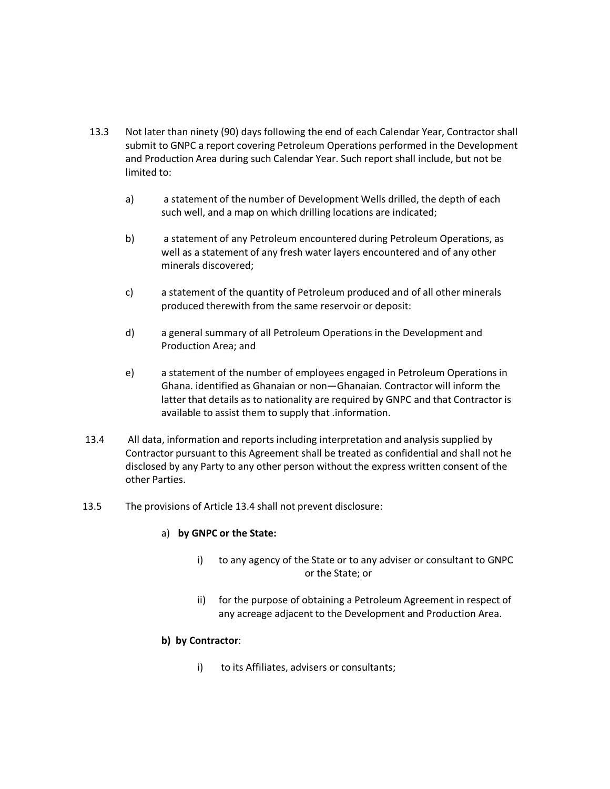- 13.3 Not later than ninety (90) days following the end of each Calendar Year, Contractor shall submit to GNPC a report covering Petroleum Operations performed in the Development and Production Area during such Calendar Year. Such report shall include, but not be limited to:
	- a) a statement of the number of Development Wells drilled, the depth of each such well, and a map on which drilling locations are indicated;
	- b) a statement of any Petroleum encountered during Petroleum Operations, as well as a statement of any fresh water layers encountered and of any other minerals discovered;
	- c) a statement of the quantity of Petroleum produced and of all other minerals produced therewith from the same reservoir or deposit:
	- d) a general summary of all Petroleum Operations in the Development and Production Area; and
	- e) a statement of the number of employees engaged in Petroleum Operations in Ghana. identified as Ghanaian or non—Ghanaian. Contractor will inform the latter that details as to nationality are required by GNPC and that Contractor is available to assist them to supply that .information.
- 13.4 All data, information and reports including interpretation and analysis supplied by Contractor pursuant to this Agreement shall be treated as confidential and shall not he disclosed by any Party to any other person without the express written consent of the other Parties.
- 13.5 The provisions of Article 13.4 shall not prevent disclosure:

#### a) **by GNPC or the State:**

- i) to any agency of the State or to any adviser or consultant to GNPC or the State; or
- ii) for the purpose of obtaining a Petroleum Agreement in respect of any acreage adjacent to the Development and Production Area.

#### **b) by Contractor**:

i) to its Affiliates, advisers or consultants;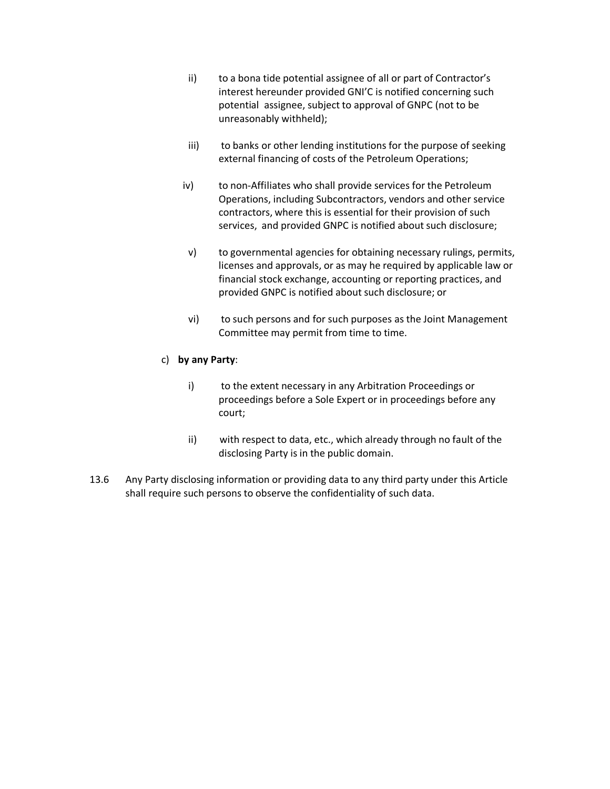- ii) to a bona tide potential assignee of all or part of Contractor's interest hereunder provided GNI'C is notified concerning such potential assignee, subject to approval of GNPC (not to be unreasonably withheld);
- iii) to banks or other lending institutions for the purpose of seeking external financing of costs of the Petroleum Operations;
- iv) to non-Affiliates who shall provide services for the Petroleum Operations, including Subcontractors, vendors and other service contractors, where this is essential for their provision of such services, and provided GNPC is notified about such disclosure;
- v) to governmental agencies for obtaining necessary rulings, permits, licenses and approvals, or as may he required by applicable law or financial stock exchange, accounting or reporting practices, and provided GNPC is notified about such disclosure; or
- vi) to such persons and for such purposes as the Joint Management Committee may permit from time to time.

#### c) **by any Party**:

- i) to the extent necessary in any Arbitration Proceedings or proceedings before a Sole Expert or in proceedings before any court;
- ii) with respect to data, etc., which already through no fault of the disclosing Party is in the public domain.
- 13.6 Any Party disclosing information or providing data to any third party under this Article shall require such persons to observe the confidentiality of such data.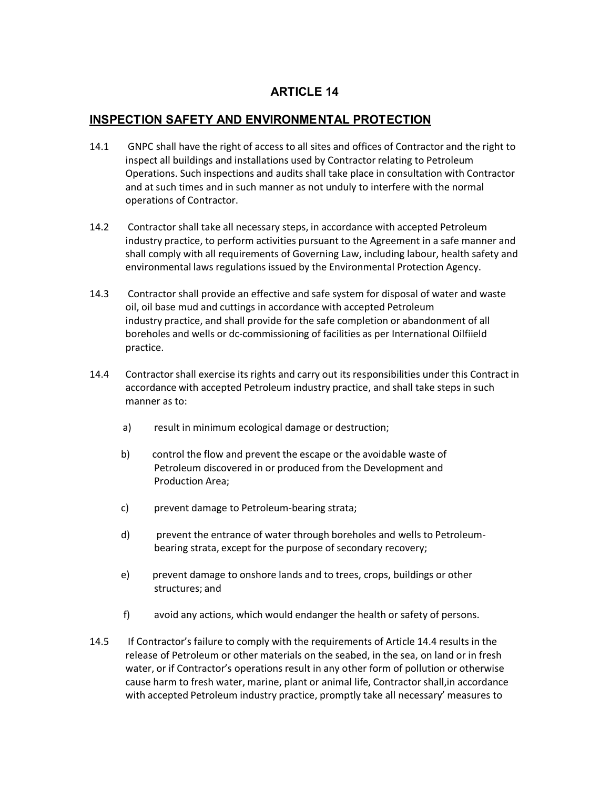# **INSPECTION SAFETY AND ENVIRONMENTAL PROTECTION**

- 14.1 GNPC shall have the right of access to all sites and offices of Contractor and the right to inspect all buildings and installations used by Contractor relating to Petroleum Operations. Such inspections and audits shall take place in consultation with Contractor and at such times and in such manner as not unduly to interfere with the normal operations of Contractor.
- 14.2 Contractor shall take all necessary steps, in accordance with accepted Petroleum industry practice, to perform activities pursuant to the Agreement in a safe manner and shall comply with all requirements of Governing Law, including labour, health safety and environmental laws regulations issued by the Environmental Protection Agency.
- 14.3 Contractor shall provide an effective and safe system for disposal of water and waste oil, oil base mud and cuttings in accordance with accepted Petroleum industry practice, and shall provide for the safe completion or abandonment of all boreholes and wells or dc-commissioning of facilities as per International Oilfiield practice.
- 14.4 Contractor shall exercise its rights and carry out its responsibilities under this Contract in accordance with accepted Petroleum industry practice, and shall take steps in such manner as to:
	- a) result in minimum ecological damage or destruction;
	- b) control the flow and prevent the escape or the avoidable waste of Petroleum discovered in or produced from the Development and Production Area;
	- c) prevent damage to Petroleum-bearing strata;
	- d) prevent the entrance of water through boreholes and wells to Petroleumbearing strata, except for the purpose of secondary recovery;
	- e) prevent damage to onshore lands and to trees, crops, buildings or other structures; and
	- f) avoid any actions, which would endanger the health or safety of persons.
- 14.5 If Contractor's failure to comply with the requirements of Article 14.4 results in the release of Petroleum or other materials on the seabed, in the sea, on land or in fresh water, or if Contractor's operations result in any other form of pollution or otherwise cause harm to fresh water, marine, plant or animal life, Contractor shall,in accordance with accepted Petroleum industry practice, promptly take all necessary' measures to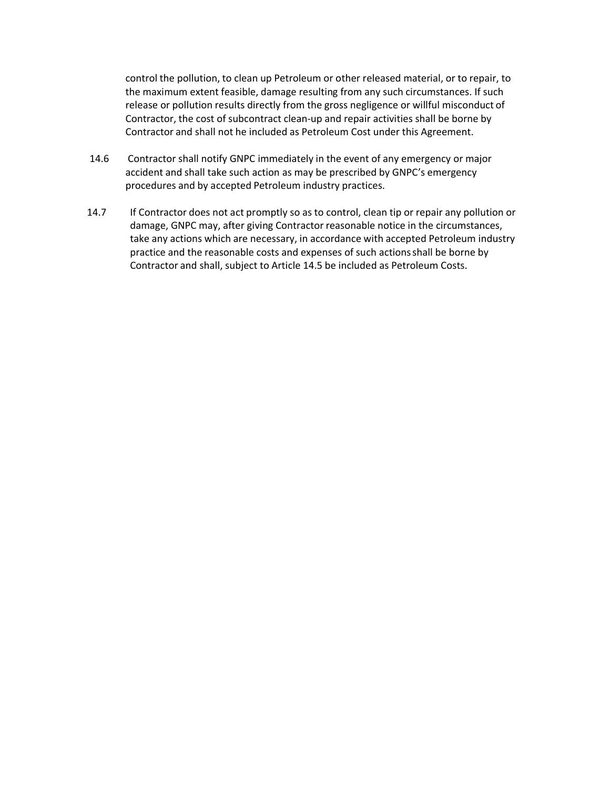control the pollution, to clean up Petroleum or other released material, or to repair, to the maximum extent feasible, damage resulting from any such circumstances. If such release or pollution results directly from the gross negligence or willful misconduct of Contractor, the cost of subcontract clean-up and repair activities shall be borne by Contractor and shall not he included as Petroleum Cost under this Agreement.

- 14.6 Contractor shall notify GNPC immediately in the event of any emergency or major accident and shall take such action as may be prescribed by GNPC's emergency procedures and by accepted Petroleum industry practices.
- 14.7 If Contractor does not act promptly so as to control, clean tip or repair any pollution or damage, GNPC may, after giving Contractor reasonable notice in the circumstances, take any actions which are necessary, in accordance with accepted Petroleum industry practice and the reasonable costs and expenses of such actionsshall be borne by Contractor and shall, subject to Article 14.5 be included as Petroleum Costs.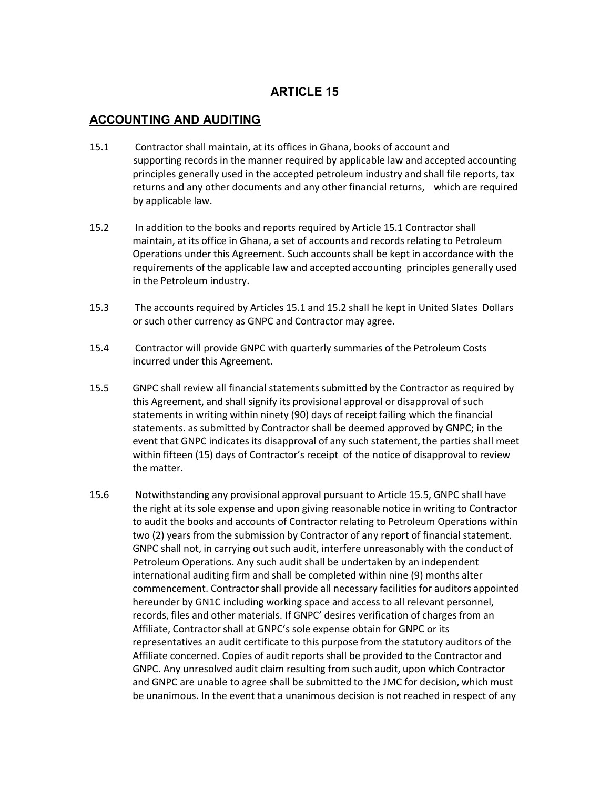# **ACCOUNTING AND AUDITING**

- 15.1 Contractor shall maintain, at its offices in Ghana, books of account and supporting records in the manner required by applicable law and accepted accounting principles generally used in the accepted petroleum industry and shall file reports, tax returns and any other documents and any other financial returns, which are required by applicable law.
- 15.2 In addition to the books and reports required by Article 15.1 Contractor shall maintain, at its office in Ghana, a set of accounts and records relating to Petroleum Operations under this Agreement. Such accounts shall be kept in accordance with the requirements of the applicable law and accepted accounting principles generally used in the Petroleum industry.
- 15.3 The accounts required by Articles 15.1 and 15.2 shall he kept in United Slates Dollars or such other currency as GNPC and Contractor may agree.
- 15.4 Contractor will provide GNPC with quarterly summaries of the Petroleum Costs incurred under this Agreement.
- 15.5 GNPC shall review all financial statements submitted by the Contractor as required by this Agreement, and shall signify its provisional approval or disapproval of such statements in writing within ninety (90) days of receipt failing which the financial statements. as submitted by Contractor shall be deemed approved by GNPC; in the event that GNPC indicates its disapproval of any such statement, the parties shall meet within fifteen (15) days of Contractor's receipt of the notice of disapproval to review the matter.
- 15.6 Notwithstanding any provisional approval pursuant to Article 15.5, GNPC shall have the right at its sole expense and upon giving reasonable notice in writing to Contractor to audit the books and accounts of Contractor relating to Petroleum Operations within two (2) years from the submission by Contractor of any report of financial statement. GNPC shall not, in carrying out such audit, interfere unreasonably with the conduct of Petroleum Operations. Any such audit shall be undertaken by an independent international auditing firm and shall be completed within nine (9) months alter commencement. Contractor shall provide all necessary facilities for auditors appointed hereunder by GN1C including working space and access to all relevant personnel, records, files and other materials. If GNPC' desires verification of charges from an Affiliate, Contractor shall at GNPC's sole expense obtain for GNPC or its representatives an audit certificate to this purpose from the statutory auditors of the Affiliate concerned. Copies of audit reports shall be provided to the Contractor and GNPC. Any unresolved audit claim resulting from such audit, upon which Contractor and GNPC are unable to agree shall be submitted to the JMC for decision, which must be unanimous. In the event that a unanimous decision is not reached in respect of any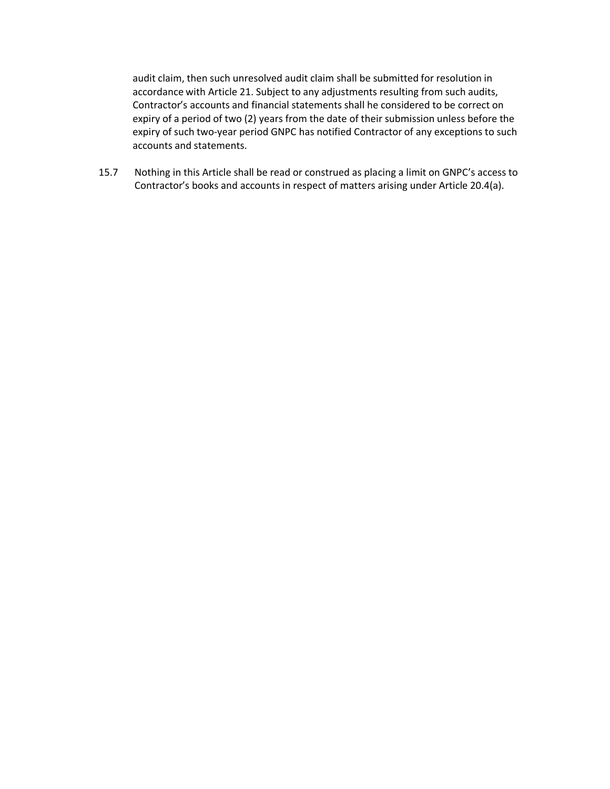audit claim, then such unresolved audit claim shall be submitted for resolution in accordance with Article 21. Subject to any adjustments resulting from such audits, Contractor's accounts and financial statements shall he considered to be correct on expiry of a period of two (2) years from the date of their submission unless before the expiry of such two-year period GNPC has notified Contractor of any exceptions to such accounts and statements.

15.7 Nothing in this Article shall be read or construed as placing a limit on GNPC's access to Contractor's books and accounts in respect of matters arising under Article 20.4(a).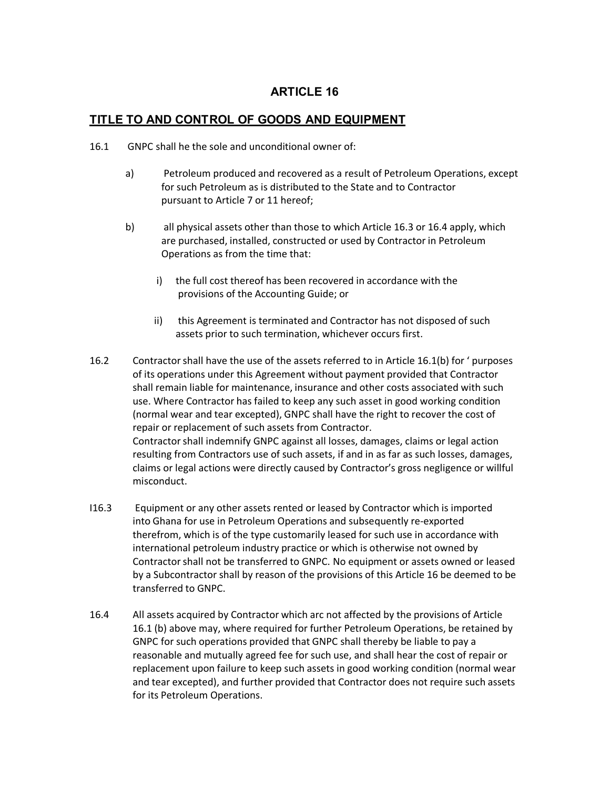# **TITLE TO AND CONTROL OF GOODS AND EQUIPMENT**

- 16.1 GNPC shall he the sole and unconditional owner of:
	- a) Petroleum produced and recovered as a result of Petroleum Operations, except for such Petroleum as is distributed to the State and to Contractor pursuant to Article 7 or 11 hereof;
	- b) all physical assets other than those to which Article 16.3 or 16.4 apply, which are purchased, installed, constructed or used by Contractor in Petroleum Operations as from the time that:
		- i) the full cost thereof has been recovered in accordance with the provisions of the Accounting Guide; or
		- ii) this Agreement is terminated and Contractor has not disposed of such assets prior to such termination, whichever occurs first.
- 16.2 Contractor shall have the use of the assets referred to in Article 16.1(b) for ' purposes of its operations under this Agreement without payment provided that Contractor shall remain liable for maintenance, insurance and other costs associated with such use. Where Contractor has failed to keep any such asset in good working condition (normal wear and tear excepted), GNPC shall have the right to recover the cost of repair or replacement of such assets from Contractor. Contractor shall indemnify GNPC against all losses, damages, claims or legal action resulting from Contractors use of such assets, if and in as far as such losses, damages, claims or legal actions were directly caused by Contractor's gross negligence or willful misconduct.
- I16.3 Equipment or any other assets rented or leased by Contractor which is imported into Ghana for use in Petroleum Operations and subsequently re-exported therefrom, which is of the type customarily leased for such use in accordance with international petroleum industry practice or which is otherwise not owned by Contractor shall not be transferred to GNPC. No equipment or assets owned or leased by a Subcontractor shall by reason of the provisions of this Article 16 be deemed to be transferred to GNPC.
- 16.4 All assets acquired by Contractor which arc not affected by the provisions of Article 16.1 (b) above may, where required for further Petroleum Operations, be retained by GNPC for such operations provided that GNPC shall thereby be liable to pay a reasonable and mutually agreed fee for such use, and shall hear the cost of repair or replacement upon failure to keep such assets in good working condition (normal wear and tear excepted), and further provided that Contractor does not require such assets for its Petroleum Operations.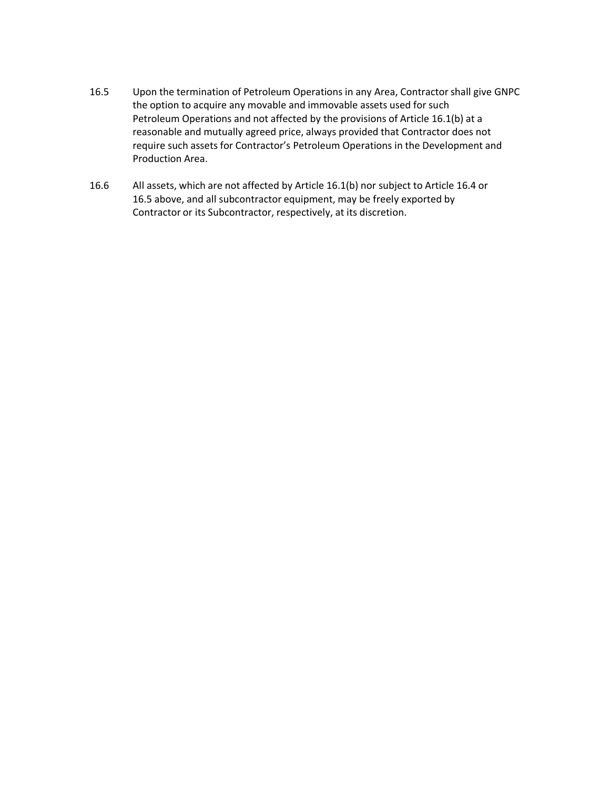- 16.5 Upon the termination of Petroleum Operations in any Area, Contractor shall give GNPC the option to acquire any movable and immovable assets used for such Petroleum Operations and not affected by the provisions of Article 16.1(b) at a reasonable and mutually agreed price, always provided that Contractor does not require such assets for Contractor's Petroleum Operations in the Development and Production Area.
- 16.6 All assets, which are not affected by Article 16.1(b) nor subject to Article 16.4 or 16.5 above, and all subcontractor equipment, may be freely exported by Contractor or its Subcontractor, respectively, at its discretion.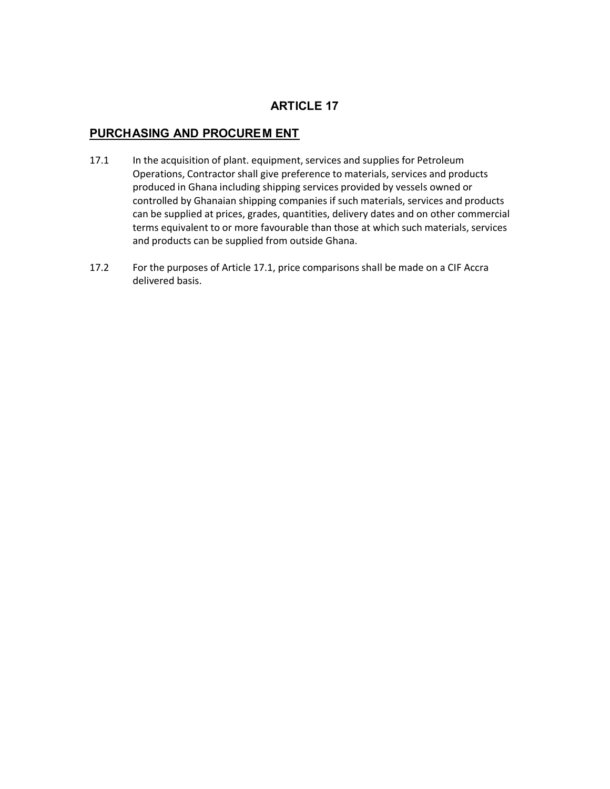# **PURCHASING AND PROCUREM ENT**

- 17.1 In the acquisition of plant. equipment, services and supplies for Petroleum Operations, Contractor shall give preference to materials, services and products produced in Ghana including shipping services provided by vessels owned or controlled by Ghanaian shipping companies if such materials, services and products can be supplied at prices, grades, quantities, delivery dates and on other commercial terms equivalent to or more favourable than those at which such materials, services and products can be supplied from outside Ghana.
- 17.2 For the purposes of Article 17.1, price comparisons shall be made on a CIF Accra delivered basis.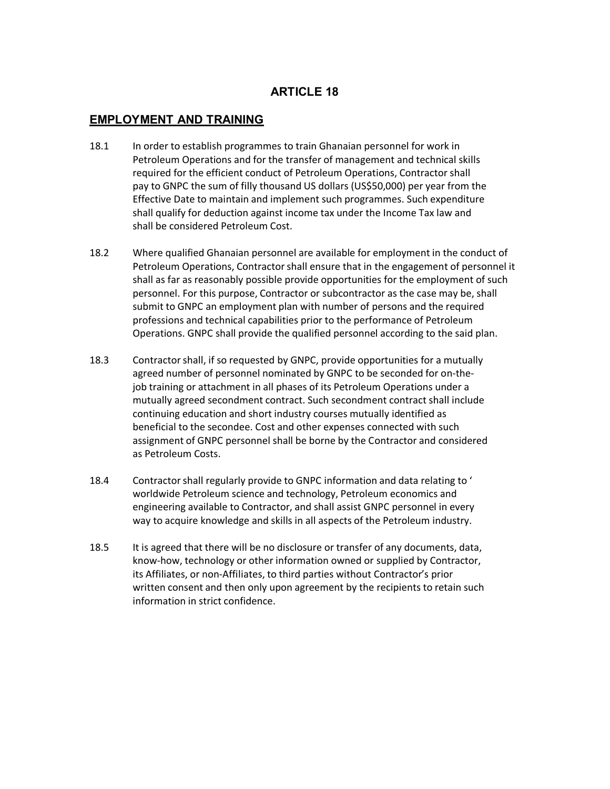## **EMPLOYMENT AND TRAINING**

- 18.1 In order to establish programmes to train Ghanaian personnel for work in Petroleum Operations and for the transfer of management and technical skills required for the efficient conduct of Petroleum Operations, Contractor shall pay to GNPC the sum of filly thousand US dollars (US\$50,000) per year from the Effective Date to maintain and implement such programmes. Such expenditure shall qualify for deduction against income tax under the Income Tax law and shall be considered Petroleum Cost.
- 18.2 Where qualified Ghanaian personnel are available for employment in the conduct of Petroleum Operations, Contractor shall ensure that in the engagement of personnel it shall as far as reasonably possible provide opportunities for the employment of such personnel. For this purpose, Contractor or subcontractor as the case may be, shall submit to GNPC an employment plan with number of persons and the required professions and technical capabilities prior to the performance of Petroleum Operations. GNPC shall provide the qualified personnel according to the said plan.
- 18.3 Contractor shall, if so requested by GNPC, provide opportunities for a mutually agreed number of personnel nominated by GNPC to be seconded for on-thejob training or attachment in all phases of its Petroleum Operations under a mutually agreed secondment contract. Such secondment contract shall include continuing education and short industry courses mutually identified as beneficial to the secondee. Cost and other expenses connected with such assignment of GNPC personnel shall be borne by the Contractor and considered as Petroleum Costs.
- 18.4 Contractor shall regularly provide to GNPC information and data relating to ' worldwide Petroleum science and technology, Petroleum economics and engineering available to Contractor, and shall assist GNPC personnel in every way to acquire knowledge and skills in all aspects of the Petroleum industry.
- 18.5 It is agreed that there will be no disclosure or transfer of any documents, data, know-how, technology or other information owned or supplied by Contractor, its Affiliates, or non-Affiliates, to third parties without Contractor's prior written consent and then only upon agreement by the recipients to retain such information in strict confidence.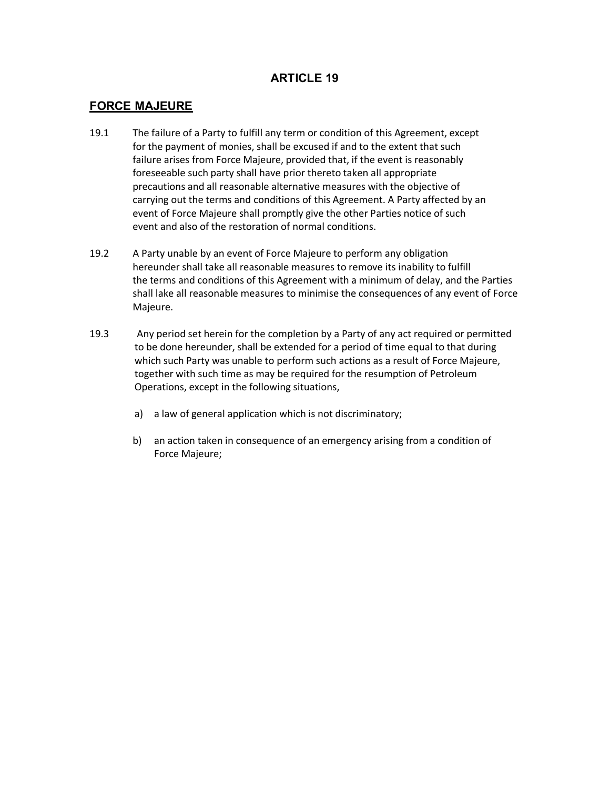## **FORCE MAJEURE**

- 19.1 The failure of a Party to fulfill any term or condition of this Agreement, except for the payment of monies, shall be excused if and to the extent that such failure arises from Force Majeure, provided that, if the event is reasonably foreseeable such party shall have prior thereto taken all appropriate precautions and all reasonable alternative measures with the objective of carrying out the terms and conditions of this Agreement. A Party affected by an event of Force Majeure shall promptly give the other Parties notice of such event and also of the restoration of normal conditions.
- 19.2 A Party unable by an event of Force Majeure to perform any obligation hereunder shall take all reasonable measures to remove its inability to fulfill the terms and conditions of this Agreement with a minimum of delay, and the Parties shall lake all reasonable measures to minimise the consequences of any event of Force Majeure.
- 19.3 Any period set herein for the completion by a Party of any act required or permitted to be done hereunder, shall be extended for a period of time equal to that during which such Party was unable to perform such actions as a result of Force Majeure, together with such time as may be required for the resumption of Petroleum Operations, except in the following situations,
	- a) a law of general application which is not discriminatory;
	- b) an action taken in consequence of an emergency arising from a condition of Force Majeure;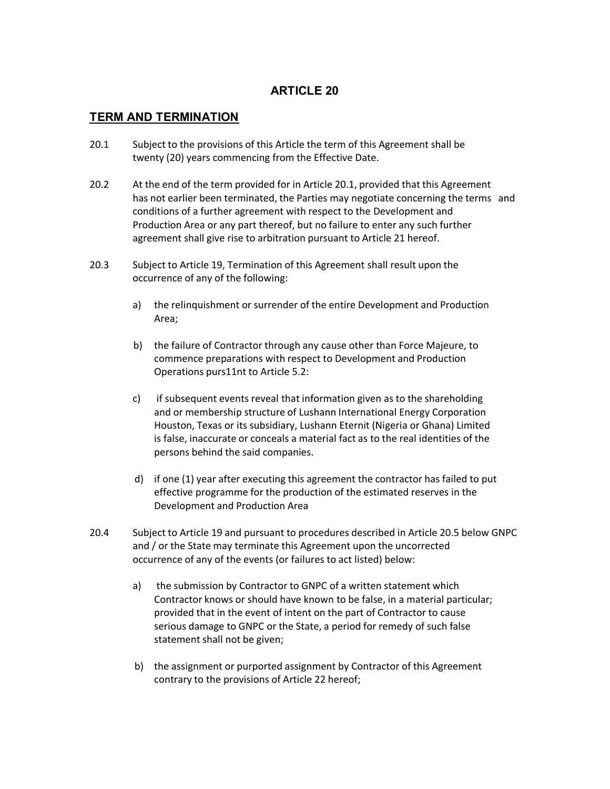## **TERM AND TERMINATION**

- 20.1 Subject to the provisions of this Article the term of this Agreement shall be twenty (20) years commencing from the Effective Date.
- 20.2 At the end of the term provided for in Article 20.1, provided that this Agreement has not earlier been terminated, the Parties may negotiate concerning the terms and conditions of a further agreement with respect to the Development and Production Area or any part thereof, but no failure to enter any such further agreement shall give rise to arbitration pursuant to Article 21 hereof.
- 20.3 Subject to Article 19, Termination of this Agreement shall result upon the occurrence of any of the following:
	- a) the relinquishment or surrender of the entire Development and Production Area;
	- b) the failure of Contractor through any cause other than Force Majeure, to commence preparations with respect to Development and Production Operations purs11nt to Article 5.2:
	- c) if subsequent events reveal that information given as to the shareholding and or membership structure of Lushann International Energy Corporation Houston, Texas or its subsidiary, Lushann Eternit (Nigeria or Ghana) Limited is false, inaccurate or conceals a material fact as to the real identities of the persons behind the said companies.
	- d) if one (1) year after executing this agreement the contractor has failed to put effective programme for the production of the estimated reserves in the Development and Production Area
- 20.4 Subject to Article 19 and pursuant to procedures described in Article 20.5 below GNPC and / or the State may terminate this Agreement upon the uncorrected occurrence of any of the events (or failures to act listed) below:
	- a) the submission by Contractor to GNPC of a written statement which Contractor knows or should have known to be false, in a material particular; provided that in the event of intent on the part of Contractor to cause serious damage to GNPC or the State, a period for remedy of such false statement shall not be given;
	- b) the assignment or purported assignment by Contractor of this Agreement contrary to the provisions of Article 22 hereof;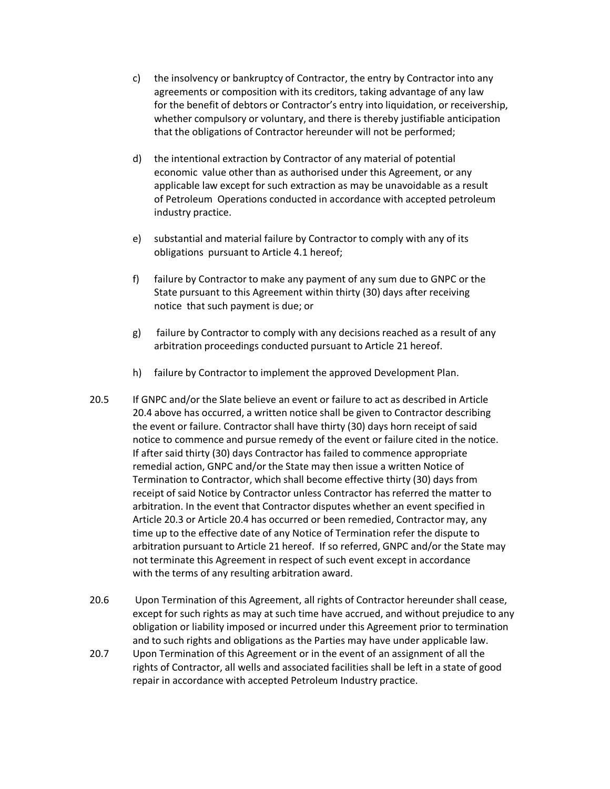- c) the insolvency or bankruptcy of Contractor, the entry by Contractor into any agreements or composition with its creditors, taking advantage of any law for the benefit of debtors or Contractor's entry into liquidation, or receivership, whether compulsory or voluntary, and there is thereby justifiable anticipation that the obligations of Contractor hereunder will not be performed;
- d) the intentional extraction by Contractor of any material of potential economic value other than as authorised under this Agreement, or any applicable law except for such extraction as may be unavoidable as a result of Petroleum Operations conducted in accordance with accepted petroleum industry practice.
- e) substantial and material failure by Contractor to comply with any of its obligations pursuant to Article 4.1 hereof;
- f) failure by Contractor to make any payment of any sum due to GNPC or the State pursuant to this Agreement within thirty (30) days after receiving notice that such payment is due; or
- g) failure by Contractor to comply with any decisions reached as a result of any arbitration proceedings conducted pursuant to Article 21 hereof.
- h) failure by Contractor to implement the approved Development Plan.
- 20.5 If GNPC and/or the Slate believe an event or failure to act as described in Article 20.4 above has occurred, a written notice shall be given to Contractor describing the event or failure. Contractor shall have thirty (30) days horn receipt of said notice to commence and pursue remedy of the event or failure cited in the notice. If after said thirty (30) days Contractor has failed to commence appropriate remedial action, GNPC and/or the State may then issue a written Notice of Termination to Contractor, which shall become effective thirty (30) days from receipt of said Notice by Contractor unless Contractor has referred the matter to arbitration. In the event that Contractor disputes whether an event specified in Article 20.3 or Article 20.4 has occurred or been remedied, Contractor may, any time up to the effective date of any Notice of Termination refer the dispute to arbitration pursuant to Article 21 hereof. If so referred, GNPC and/or the State may not terminate this Agreement in respect of such event except in accordance with the terms of any resulting arbitration award.
- 20.6 Upon Termination of this Agreement, all rights of Contractor hereunder shall cease, except for such rights as may at such time have accrued, and without prejudice to any obligation or liability imposed or incurred under this Agreement prior to termination and to such rights and obligations as the Parties may have under applicable law.
- 20.7 Upon Termination of this Agreement or in the event of an assignment of all the rights of Contractor, all wells and associated facilities shall be left in a state of good repair in accordance with accepted Petroleum Industry practice.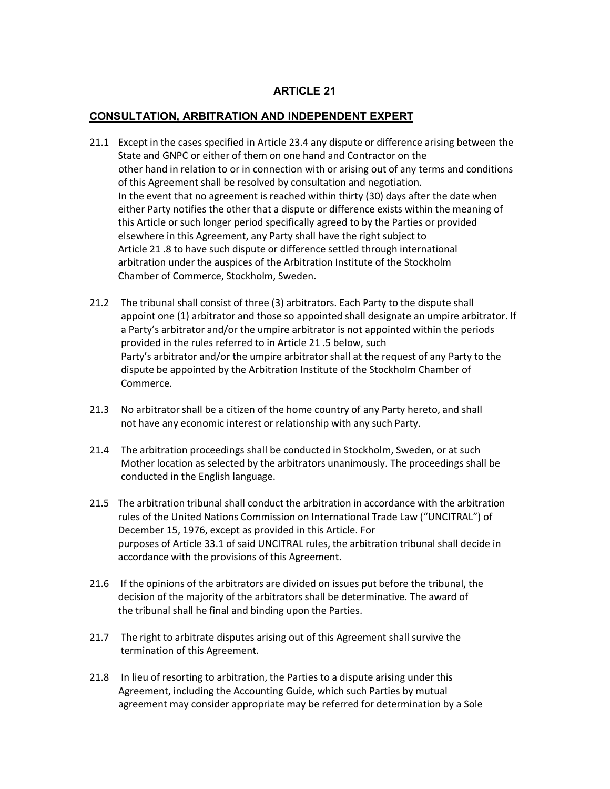## **CONSULTATION, ARBITRATION AND INDEPENDENT EXPERT**

- 21.1 Except in the cases specified in Article 23.4 any dispute or difference arising between the State and GNPC or either of them on one hand and Contractor on the other hand in relation to or in connection with or arising out of any terms and conditions of this Agreement shall be resolved by consultation and negotiation. In the event that no agreement is reached within thirty (30) days after the date when either Party notifies the other that a dispute or difference exists within the meaning of this Article or such longer period specifically agreed to by the Parties or provided elsewhere in this Agreement, any Party shall have the right subject to Article 21 .8 to have such dispute or difference settled through international arbitration under the auspices of the Arbitration Institute of the Stockholm Chamber of Commerce, Stockholm, Sweden.
- 21.2 The tribunal shall consist of three (3) arbitrators. Each Party to the dispute shall appoint one (1) arbitrator and those so appointed shall designate an umpire arbitrator. If a Party's arbitrator and/or the umpire arbitrator is not appointed within the periods provided in the rules referred to in Article 21 .5 below, such Party's arbitrator and/or the umpire arbitrator shall at the request of any Party to the dispute be appointed by the Arbitration Institute of the Stockholm Chamber of Commerce.
- 21.3 No arbitrator shall be a citizen of the home country of any Party hereto, and shall not have any economic interest or relationship with any such Party.
- 21.4 The arbitration proceedings shall be conducted in Stockholm, Sweden, or at such Mother location as selected by the arbitrators unanimously. The proceedings shall be conducted in the English language.
- 21.5 The arbitration tribunal shall conduct the arbitration in accordance with the arbitration rules of the United Nations Commission on International Trade Law ("UNCITRAL") of December 15, 1976, except as provided in this Article. For purposes of Article 33.1 of said UNCITRAL rules, the arbitration tribunal shall decide in accordance with the provisions of this Agreement.
- 21.6 If the opinions of the arbitrators are divided on issues put before the tribunal, the decision of the majority of the arbitrators shall be determinative. The award of the tribunal shall he final and binding upon the Parties.
- 21.7 The right to arbitrate disputes arising out of this Agreement shall survive the termination of this Agreement.
- 21.8 In lieu of resorting to arbitration, the Parties to a dispute arising under this Agreement, including the Accounting Guide, which such Parties by mutual agreement may consider appropriate may be referred for determination by a Sole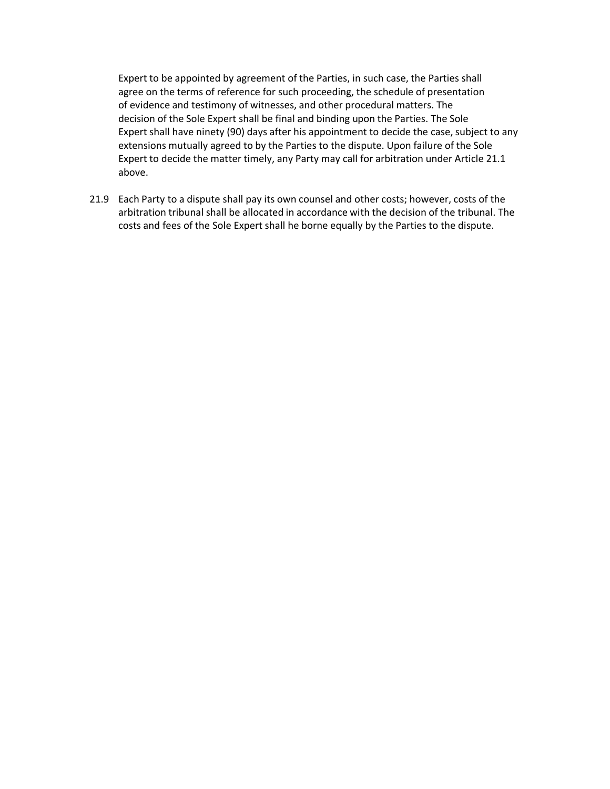Expert to be appointed by agreement of the Parties, in such case, the Parties shall agree on the terms of reference for such proceeding, the schedule of presentation of evidence and testimony of witnesses, and other procedural matters. The decision of the Sole Expert shall be final and binding upon the Parties. The Sole Expert shall have ninety (90) days after his appointment to decide the case, subject to any extensions mutually agreed to by the Parties to the dispute. Upon failure of the Sole Expert to decide the matter timely, any Party may call for arbitration under Article 21.1 above.

21.9 Each Party to a dispute shall pay its own counsel and other costs; however, costs of the arbitration tribunal shall be allocated in accordance with the decision of the tribunal. The costs and fees of the Sole Expert shall he borne equally by the Parties to the dispute.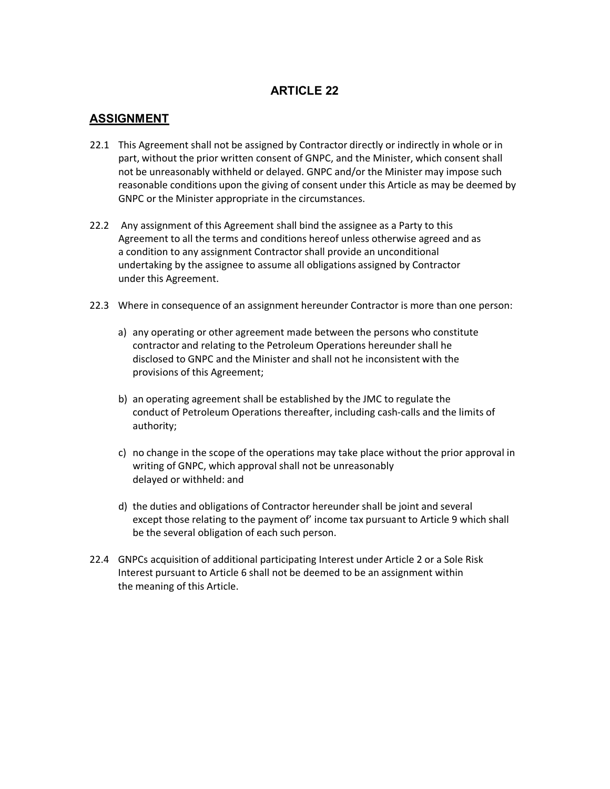## **ASSIGNMENT**

- 22.1 This Agreement shall not be assigned by Contractor directly or indirectly in whole or in part, without the prior written consent of GNPC, and the Minister, which consent shall not be unreasonably withheld or delayed. GNPC and/or the Minister may impose such reasonable conditions upon the giving of consent under this Article as may be deemed by GNPC or the Minister appropriate in the circumstances.
- 22.2 Any assignment of this Agreement shall bind the assignee as a Party to this Agreement to all the terms and conditions hereof unless otherwise agreed and as a condition to any assignment Contractor shall provide an unconditional undertaking by the assignee to assume all obligations assigned by Contractor under this Agreement.
- 22.3 Where in consequence of an assignment hereunder Contractor is more than one person:
	- a) any operating or other agreement made between the persons who constitute contractor and relating to the Petroleum Operations hereunder shall he disclosed to GNPC and the Minister and shall not he inconsistent with the provisions of this Agreement;
	- b) an operating agreement shall be established by the JMC to regulate the conduct of Petroleum Operations thereafter, including cash-calls and the limits of authority;
	- c) no change in the scope of the operations may take place without the prior approval in writing of GNPC, which approval shall not be unreasonably delayed or withheld: and
	- d) the duties and obligations of Contractor hereunder shall be joint and several except those relating to the payment of' income tax pursuant to Article 9 which shall be the several obligation of each such person.
- 22.4 GNPCs acquisition of additional participating Interest under Article 2 or a Sole Risk Interest pursuant to Article 6 shall not be deemed to be an assignment within the meaning of this Article.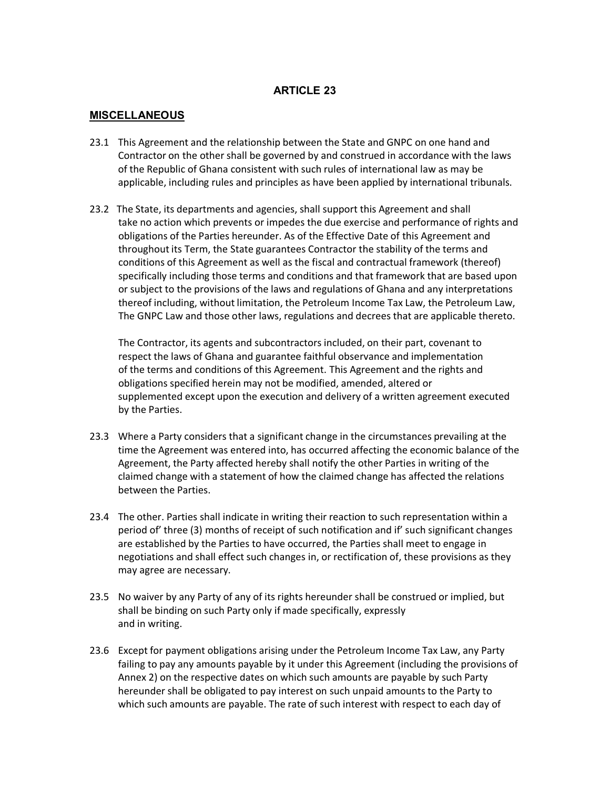## **MISCELLANEOUS**

- 23.1 This Agreement and the relationship between the State and GNPC on one hand and Contractor on the other shall be governed by and construed in accordance with the laws of the Republic of Ghana consistent with such rules of international law as may be applicable, including rules and principles as have been applied by international tribunals.
- 23.2 The State, its departments and agencies, shall support this Agreement and shall take no action which prevents or impedes the due exercise and performance of rights and obligations of the Parties hereunder. As of the Effective Date of this Agreement and throughout its Term, the State guarantees Contractor the stability of the terms and conditions of this Agreement as well as the fiscal and contractual framework (thereof) specifically including those terms and conditions and that framework that are based upon or subject to the provisions of the laws and regulations of Ghana and any interpretations thereof including, without limitation, the Petroleum Income Tax Law, the Petroleum Law, The GNPC Law and those other laws, regulations and decrees that are applicable thereto.

The Contractor, its agents and subcontractors included, on their part, covenant to respect the laws of Ghana and guarantee faithful observance and implementation of the terms and conditions of this Agreement. This Agreement and the rights and obligations specified herein may not be modified, amended, altered or supplemented except upon the execution and delivery of a written agreement executed by the Parties.

- 23.3 Where a Party considers that a significant change in the circumstances prevailing at the time the Agreement was entered into, has occurred affecting the economic balance of the Agreement, the Party affected hereby shall notify the other Parties in writing of the claimed change with a statement of how the claimed change has affected the relations between the Parties.
- 23.4 The other. Parties shall indicate in writing their reaction to such representation within a period of' three (3) months of receipt of such notification and if' such significant changes are established by the Parties to have occurred, the Parties shall meet to engage in negotiations and shall effect such changes in, or rectification of, these provisions as they may agree are necessary.
- 23.5 No waiver by any Party of any of its rights hereunder shall be construed or implied, but shall be binding on such Party only if made specifically, expressly and in writing.
- 23.6 Except for payment obligations arising under the Petroleum Income Tax Law, any Party failing to pay any amounts payable by it under this Agreement (including the provisions of Annex 2) on the respective dates on which such amounts are payable by such Party hereunder shall be obligated to pay interest on such unpaid amounts to the Party to which such amounts are payable. The rate of such interest with respect to each day of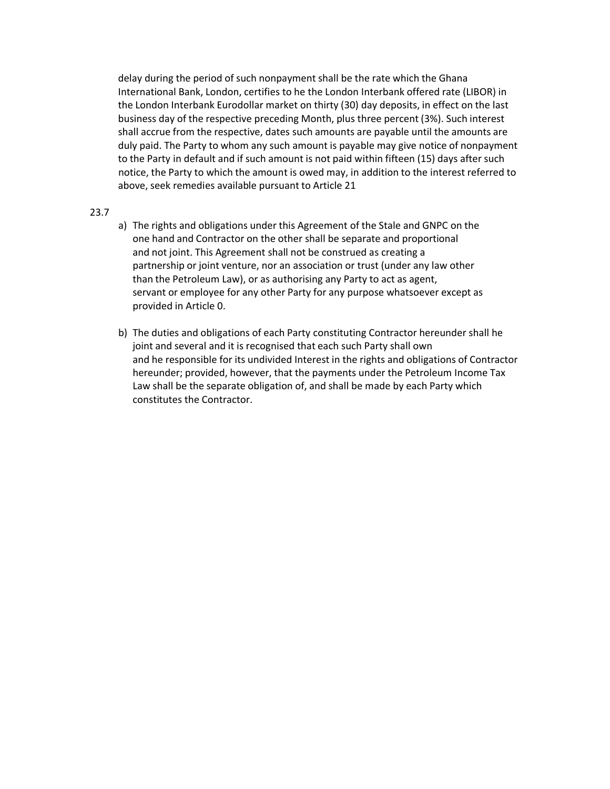delay during the period of such nonpayment shall be the rate which the Ghana International Bank, London, certifies to he the London Interbank offered rate (LIBOR) in the London Interbank Eurodollar market on thirty (30) day deposits, in effect on the last business day of the respective preceding Month, plus three percent (3%). Such interest shall accrue from the respective, dates such amounts are payable until the amounts are duly paid. The Party to whom any such amount is payable may give notice of nonpayment to the Party in default and if such amount is not paid within fifteen (15) days after such notice, the Party to which the amount is owed may, in addition to the interest referred to above, seek remedies available pursuant to Article 21

#### 23.7

- a) The rights and obligations under this Agreement of the Stale and GNPC on the one hand and Contractor on the other shall be separate and proportional and not joint. This Agreement shall not be construed as creating a partnership or joint venture, nor an association or trust (under any law other than the Petroleum Law), or as authorising any Party to act as agent, servant or employee for any other Party for any purpose whatsoever except as provided in Article 0.
- b) The duties and obligations of each Party constituting Contractor hereunder shall he joint and several and it is recognised that each such Party shall own and he responsible for its undivided Interest in the rights and obligations of Contractor hereunder; provided, however, that the payments under the Petroleum Income Tax Law shall be the separate obligation of, and shall be made by each Party which constitutes the Contractor.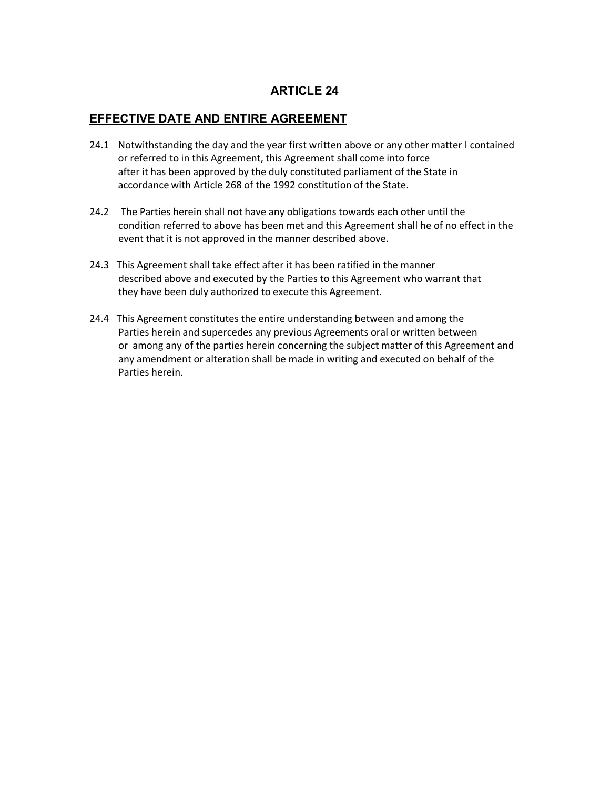# **EFFECTIVE DATE AND ENTIRE AGREEMENT**

- 24.1 Notwithstanding the day and the year first written above or any other matter I contained or referred to in this Agreement, this Agreement shall come into force after it has been approved by the duly constituted parliament of the State in accordance with Article 268 of the 1992 constitution of the State.
- 24.2 The Parties herein shall not have any obligations towards each other until the condition referred to above has been met and this Agreement shall he of no effect in the event that it is not approved in the manner described above.
- 24.3 This Agreement shall take effect after it has been ratified in the manner described above and executed by the Parties to this Agreement who warrant that they have been duly authorized to execute this Agreement.
- 24.4 This Agreement constitutes the entire understanding between and among the Parties herein and supercedes any previous Agreements oral or written between or among any of the parties herein concerning the subject matter of this Agreement and any amendment or alteration shall be made in writing and executed on behalf of the Parties herein.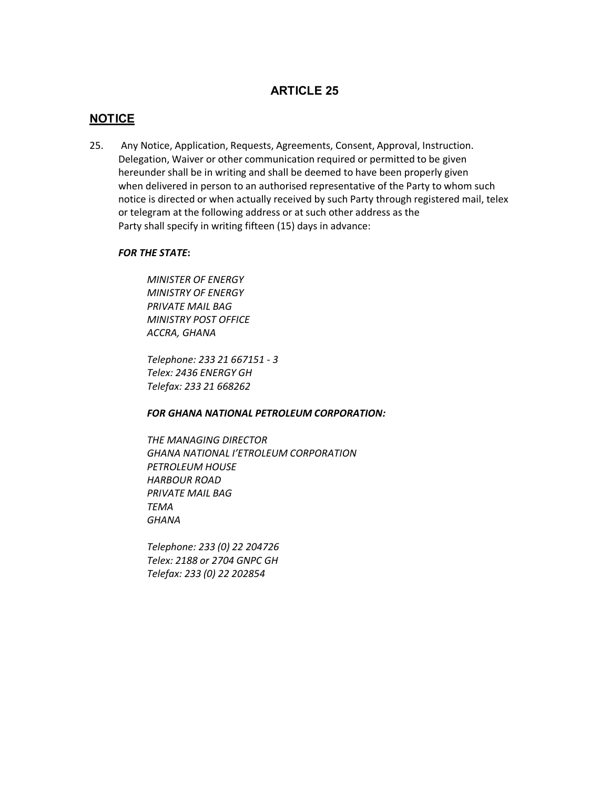## **NOTICE**

25. Any Notice, Application, Requests, Agreements, Consent, Approval, Instruction. Delegation, Waiver or other communication required or permitted to be given hereunder shall be in writing and shall be deemed to have been properly given when delivered in person to an authorised representative of the Party to whom such notice is directed or when actually received by such Party through registered mail, telex or telegram at the following address or at such other address as the Party shall specify in writing fifteen (15) days in advance:

#### *FOR THE STATE***:**

*MINISTER OF ENERGY MINISTRY OF ENERGY PRIVATE MAIL BAG MINISTRY POST OFFICE ACCRA, GHANA*

*Telephone: 233 21 667151 - 3 Telex: 2436 ENERGY GH Telefax: 233 21 668262*

#### *FOR GHANA NATIONAL PETROLEUM CORPORATION:*

*THE MANAGING DIRECTOR GHANA NATIONAL I'ETROLEUM CORPORATION PETROLEUM HOUSE HARBOUR ROAD PRIVATE MAIL BAG TEMA GHANA*

*Telephone: 233 (0) 22 204726 Telex: 2188 or 2704 GNPC GH Telefax: 233 (0) 22 202854*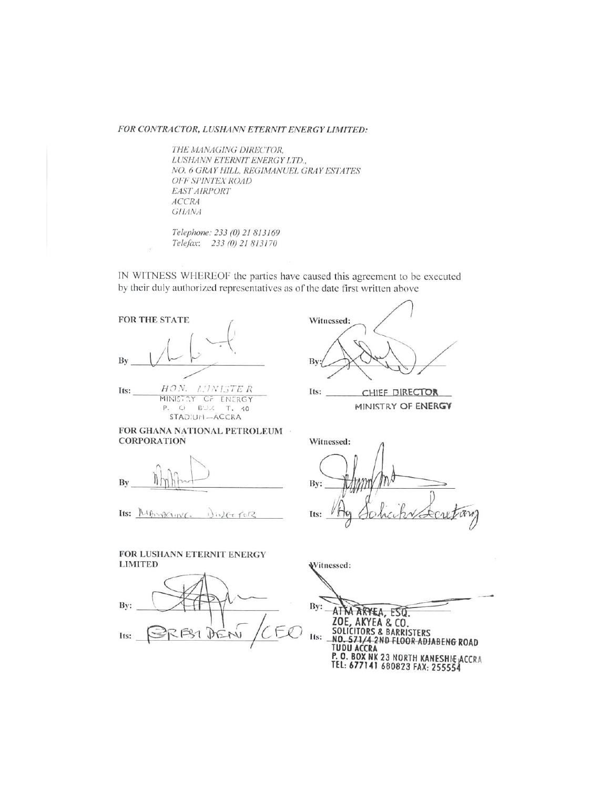#### FOR CONTRACTOR, LUSHANN ETERNIT ENERGY LIMITED:

THE MANAGING DIRECTOR, LUSHANN ETERNIT ENERGY LTD., NO. 6 GRAY HILL, REGIMANUEL GRAY ESTATES OFF SPINTEX ROAD EAST AIRPORT **ACCRA GHANA** 

Telephone: 233 (0) 21 813169 Telefax: 233 (0) 21 813170

IN WITNESS WHEREOF the parties have caused this agreement to be executed by their duly authorized representatives as of the date first written above

FOR THE STATE By

HON. LINISTER Its: MINISTRY OF ENERGY P. O BUX T. 40 STADIUM-ACCRA

Witnessed: By

Its: CHIEF DIRECTOR MINISTRY OF ENERGY

FOR GHANA NATIONAL PETROLEUM **CORPORATION** 

By

Its:  $M \oplus N \oplus N$  $1)$ is)  $47.70$ 

FOR LUSHANN ETERNIT ENERGY

DE  $M$ 

**LIMITED** 

Bv:

Its:

Witnessed: By: Its:

Witnessed:  $By:$ ATTA ARYEA, ESO. **20E, AKYEA & CO.<br>SOLICITORS & BARRISTERS<br>NO. 571/4 2ND FLOOR ADJABENG ROAD** Its:  $\overline{\phantom{a}}$ TUDU ACCRA<br>P. O. BOX NK 23 NORTH KANESHIE ACCRA<br>TEL: 677141 680823 FAX: 255554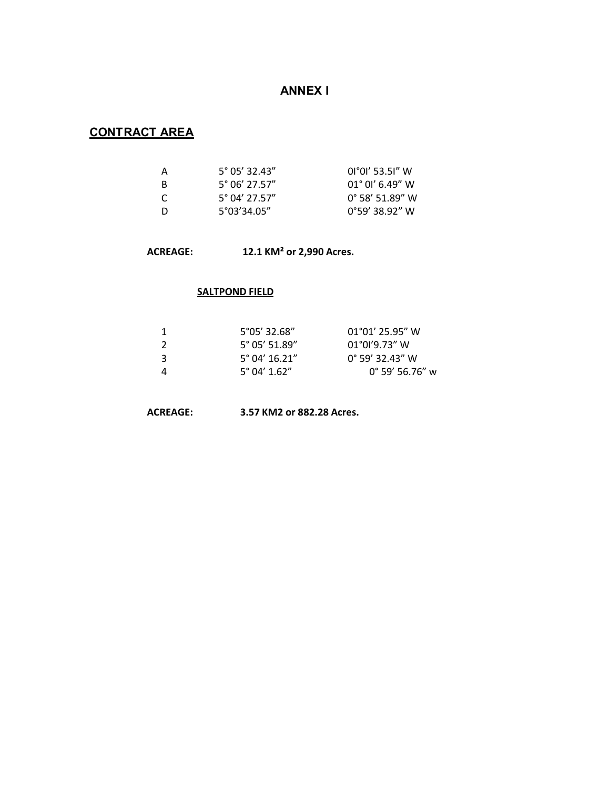# **ANNEX I**

# **CONTRACT AREA**

| A              | $5^{\circ}$ 05' 32.43" | $0°0'$ 53.51" W          |
|----------------|------------------------|--------------------------|
| -B             | $5^{\circ}$ 06' 27.57" | $01^{\circ}$ 01' 6.49" W |
| <sup>-</sup> C | $5^{\circ}$ 04' 27.57" | $0^{\circ}$ 58' 51.89" W |
| -D             | $5^{\circ}03'34.05''$  | $0°59'$ 38.92" W         |

## **ACREAGE: 12.1 KM² or 2,990 Acres.**

## **SALTPOND FIELD**

|    | 5°05′ 32.68″           | $01^{\circ}01'$ 25.95" W |
|----|------------------------|--------------------------|
| -2 | $5^{\circ}$ 05' 51.89" | $01^{\circ}01'9.73''$ W  |
| 3  | $5^{\circ}$ 04' 16.21" | $0^{\circ}$ 59' 32.43" W |
| 4  | $5^{\circ}$ 04' 1.62"  | $0^{\circ}$ 59' 56.76" w |

**ACREAGE: 3.57 KM2 or 882.28 Acres.**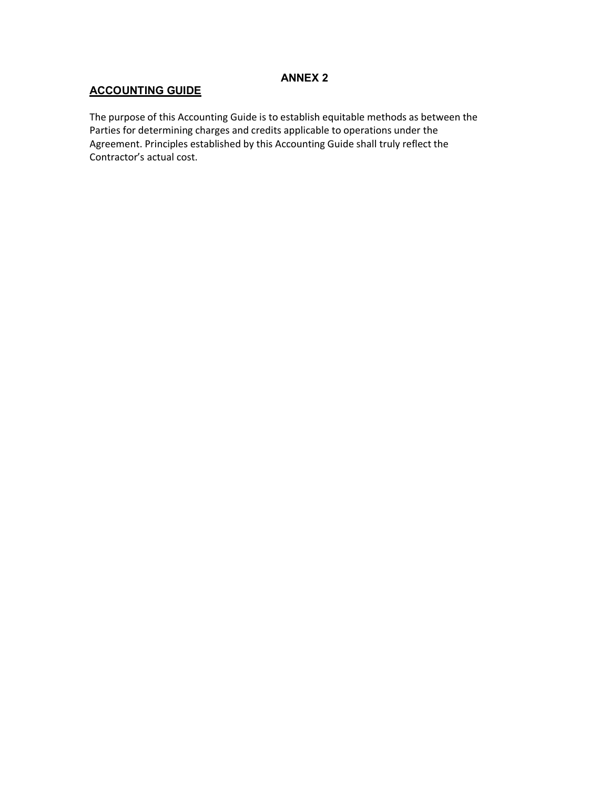## **ANNEX 2**

# **ACCOUNTING GUIDE**

The purpose of this Accounting Guide is to establish equitable methods as between the Parties for determining charges and credits applicable to operations under the Agreement. Principles established by this Accounting Guide shall truly reflect the Contractor's actual cost.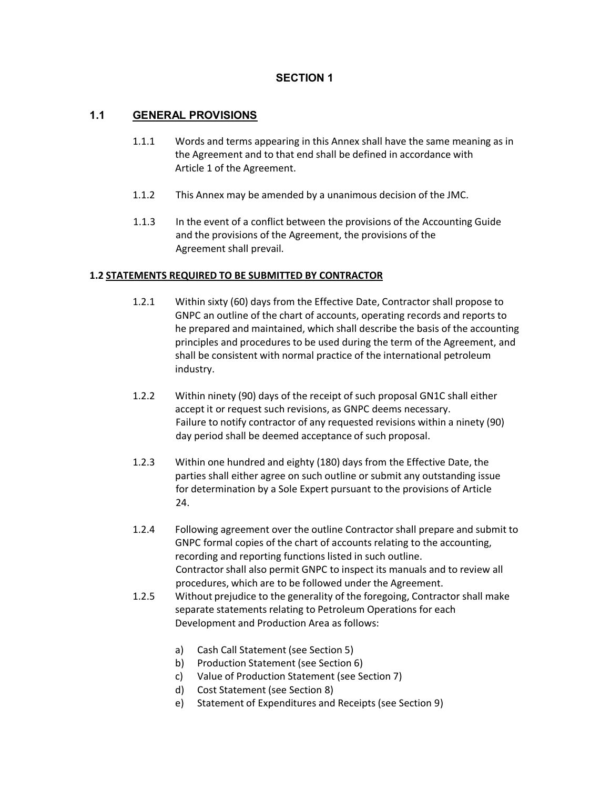## **SECTION 1**

## **1.1 GENERAL PROVISIONS**

- 1.1.1 Words and terms appearing in this Annex shall have the same meaning as in the Agreement and to that end shall be defined in accordance with Article 1 of the Agreement.
- 1.1.2 This Annex may be amended by a unanimous decision of the JMC.
- 1.1.3 In the event of a conflict between the provisions of the Accounting Guide and the provisions of the Agreement, the provisions of the Agreement shall prevail.

## **1.2 STATEMENTS REQUIRED TO BE SUBMITTED BY CONTRACTOR**

- 1.2.1 Within sixty (60) days from the Effective Date, Contractor shall propose to GNPC an outline of the chart of accounts, operating records and reports to he prepared and maintained, which shall describe the basis of the accounting principles and procedures to be used during the term of the Agreement, and shall be consistent with normal practice of the international petroleum industry.
- 1.2.2 Within ninety (90) days of the receipt of such proposal GN1C shall either accept it or request such revisions, as GNPC deems necessary. Failure to notify contractor of any requested revisions within a ninety (90) day period shall be deemed acceptance of such proposal.
- 1.2.3 Within one hundred and eighty (180) days from the Effective Date, the parties shall either agree on such outline or submit any outstanding issue for determination by a Sole Expert pursuant to the provisions of Article 24.
- 1.2.4 Following agreement over the outline Contractor shall prepare and submit to GNPC formal copies of the chart of accounts relating to the accounting, recording and reporting functions listed in such outline. Contractor shall also permit GNPC to inspect its manuals and to review all procedures, which are to be followed under the Agreement.
- 1.2.5 Without prejudice to the generality of the foregoing, Contractor shall make separate statements relating to Petroleum Operations for each Development and Production Area as follows:
	- a) Cash Call Statement (see Section 5)
	- b) Production Statement (see Section 6)
	- c) Value of Production Statement (see Section 7)
	- d) Cost Statement (see Section 8)
	- e) Statement of Expenditures and Receipts (see Section 9)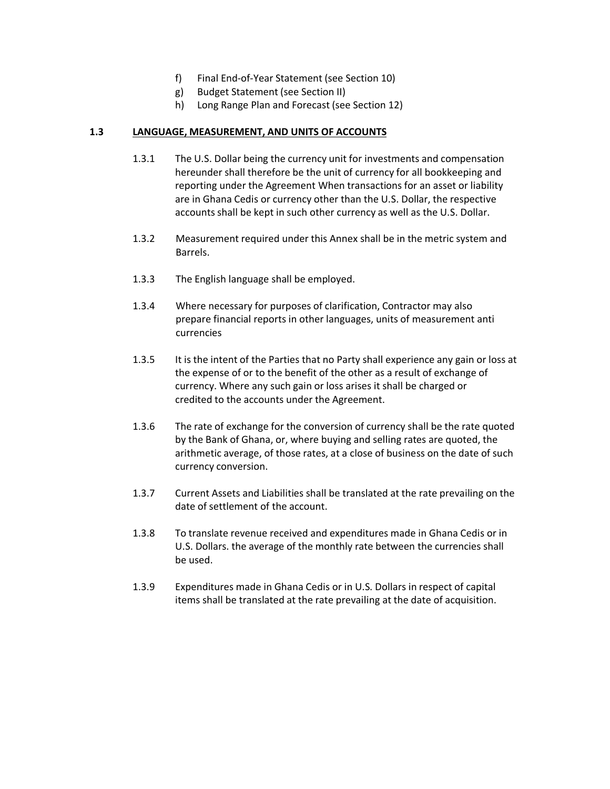- f) Final End-of-Year Statement (see Section 10)
- g) Budget Statement (see Section II)
- h) Long Range Plan and Forecast (see Section 12)

#### **1.3 LANGUAGE, MEASUREMENT, AND UNITS OF ACCOUNTS**

- 1.3.1 The U.S. Dollar being the currency unit for investments and compensation hereunder shall therefore be the unit of currency for all bookkeeping and reporting under the Agreement When transactions for an asset or liability are in Ghana Cedis or currency other than the U.S. Dollar, the respective accounts shall be kept in such other currency as well as the U.S. Dollar.
- 1.3.2 Measurement required under this Annex shall be in the metric system and Barrels.
- 1.3.3 The English language shall be employed.
- 1.3.4 Where necessary for purposes of clarification, Contractor may also prepare financial reports in other languages, units of measurement anti currencies
- 1.3.5 It is the intent of the Parties that no Party shall experience any gain or loss at the expense of or to the benefit of the other as a result of exchange of currency. Where any such gain or loss arises it shall be charged or credited to the accounts under the Agreement.
- 1.3.6 The rate of exchange for the conversion of currency shall be the rate quoted by the Bank of Ghana, or, where buying and selling rates are quoted, the arithmetic average, of those rates, at a close of business on the date of such currency conversion.
- 1.3.7 Current Assets and Liabilities shall be translated at the rate prevailing on the date of settlement of the account.
- 1.3.8 To translate revenue received and expenditures made in Ghana Cedis or in U.S. Dollars. the average of the monthly rate between the currencies shall be used.
- 1.3.9 Expenditures made in Ghana Cedis or in U.S. Dollars in respect of capital items shall be translated at the rate prevailing at the date of acquisition.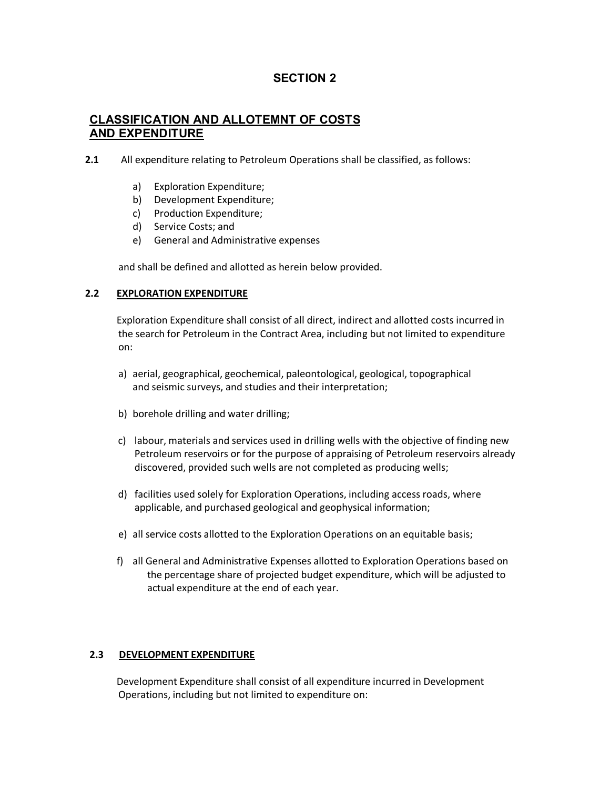# **SECTION 2**

# **CLASSIFICATION AND ALLOTEMNT OF COSTS AND EXPENDITURE**

**2.1** All expenditure relating to Petroleum Operations shall be classified, as follows:

- a) Exploration Expenditure;
- b) Development Expenditure;
- c) Production Expenditure;
- d) Service Costs; and
- e) General and Administrative expenses

and shall be defined and allotted as herein below provided.

## **2.2 EXPLORATION EXPENDITURE**

Exploration Expenditure shall consist of all direct, indirect and allotted costs incurred in the search for Petroleum in the Contract Area, including but not limited to expenditure on:

- a) aerial, geographical, geochemical, paleontological, geological, topographical and seismic surveys, and studies and their interpretation;
- b) borehole drilling and water drilling;
- c) labour, materials and services used in drilling wells with the objective of finding new Petroleum reservoirs or for the purpose of appraising of Petroleum reservoirs already discovered, provided such wells are not completed as producing wells;
- d) facilities used solely for Exploration Operations, including access roads, where applicable, and purchased geological and geophysical information;
- e) all service costs allotted to the Exploration Operations on an equitable basis;
- f) all General and Administrative Expenses allotted to Exploration Operations based on the percentage share of projected budget expenditure, which will be adjusted to actual expenditure at the end of each year.

## **2.3 DEVELOPMENT EXPENDITURE**

Development Expenditure shall consist of all expenditure incurred in Development Operations, including but not limited to expenditure on: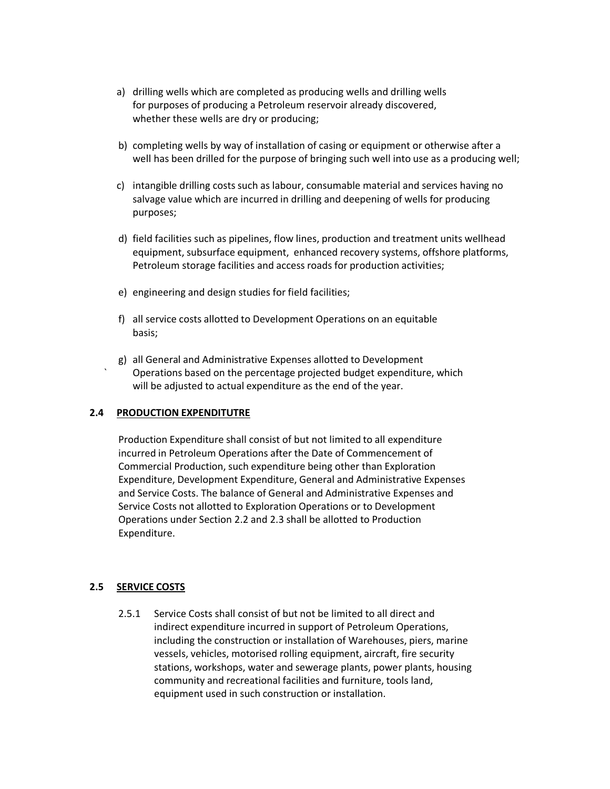- a) drilling wells which are completed as producing wells and drilling wells for purposes of producing a Petroleum reservoir already discovered, whether these wells are dry or producing;
- b) completing wells by way of installation of casing or equipment or otherwise after a well has been drilled for the purpose of bringing such well into use as a producing well;
- c) intangible drilling costs such as labour, consumable material and services having no salvage value which are incurred in drilling and deepening of wells for producing purposes;
- d) field facilities such as pipelines, flow lines, production and treatment units wellhead equipment, subsurface equipment, enhanced recovery systems, offshore platforms, Petroleum storage facilities and access roads for production activities;
- e) engineering and design studies for field facilities;
- f) all service costs allotted to Development Operations on an equitable basis;
- g) all General and Administrative Expenses allotted to Development ` Operations based on the percentage projected budget expenditure, which will be adjusted to actual expenditure as the end of the year.

## **2.4 PRODUCTION EXPENDITUTRE**

Production Expenditure shall consist of but not limited to all expenditure incurred in Petroleum Operations after the Date of Commencement of Commercial Production, such expenditure being other than Exploration Expenditure, Development Expenditure, General and Administrative Expenses and Service Costs. The balance of General and Administrative Expenses and Service Costs not allotted to Exploration Operations or to Development Operations under Section 2.2 and 2.3 shall be allotted to Production Expenditure.

## **2.5 SERVICE COSTS**

2.5.1 Service Costs shall consist of but not be limited to all direct and indirect expenditure incurred in support of Petroleum Operations, including the construction or installation of Warehouses, piers, marine vessels, vehicles, motorised rolling equipment, aircraft, fire security stations, workshops, water and sewerage plants, power plants, housing community and recreational facilities and furniture, tools land, equipment used in such construction or installation.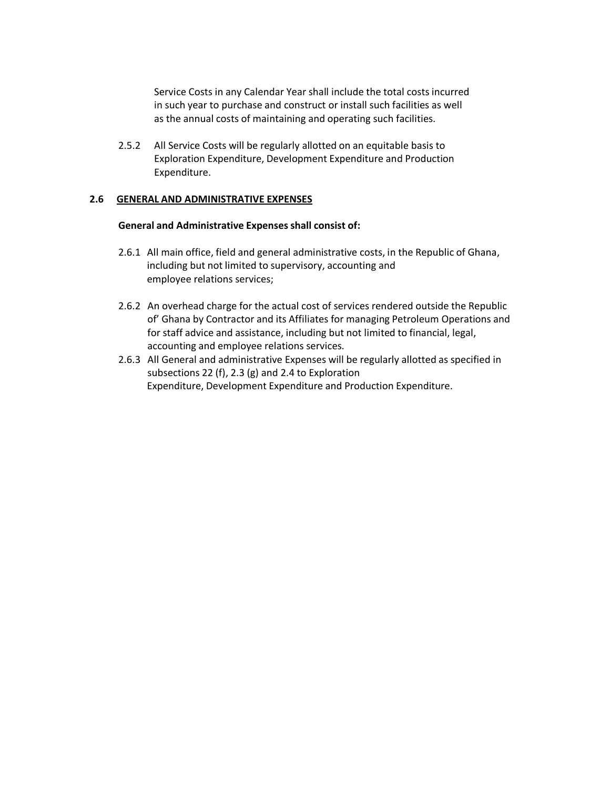Service Costs in any Calendar Year shall include the total costs incurred in such year to purchase and construct or install such facilities as well as the annual costs of maintaining and operating such facilities.

2.5.2 All Service Costs will be regularly allotted on an equitable basis to Exploration Expenditure, Development Expenditure and Production Expenditure.

### **2.6 GENERAL AND ADMINISTRATIVE EXPENSES**

#### **General and Administrative Expenses shall consist of:**

- 2.6.1 All main office, field and general administrative costs, in the Republic of Ghana, including but not limited to supervisory, accounting and employee relations services;
- 2.6.2 An overhead charge for the actual cost of services rendered outside the Republic of' Ghana by Contractor and its Affiliates for managing Petroleum Operations and for staff advice and assistance, including but not limited to financial, legal, accounting and employee relations services.
- 2.6.3 All General and administrative Expenses will be regularly allotted as specified in subsections 22 (f), 2.3 (g) and 2.4 to Exploration Expenditure, Development Expenditure and Production Expenditure.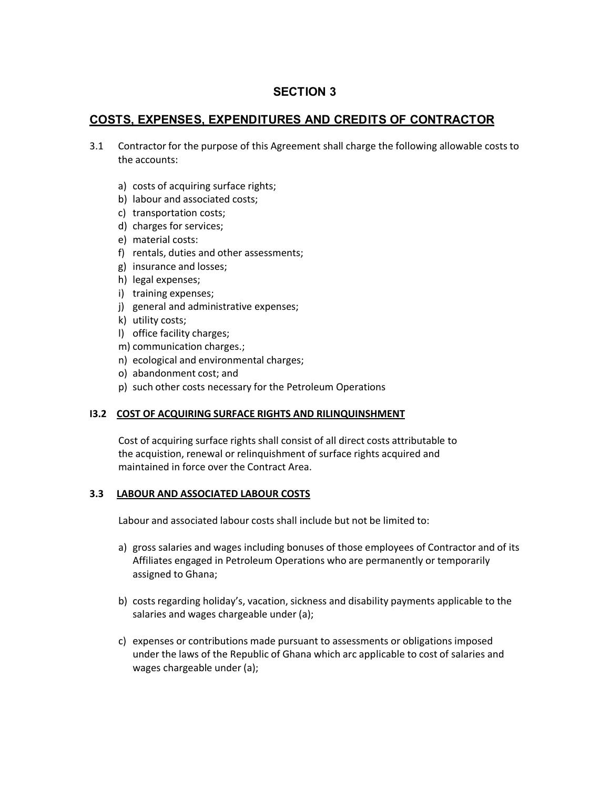# **SECTION 3**

# **COSTS, EXPENSES, EXPENDITURES AND CREDITS OF CONTRACTOR**

- 3.1 Contractor for the purpose of this Agreement shall charge the following allowable costs to the accounts:
	- a) costs of acquiring surface rights;
	- b) labour and associated costs;
	- c) transportation costs;
	- d) charges for services;
	- e) material costs:
	- f) rentals, duties and other assessments;
	- g) insurance and losses;
	- h) legal expenses;
	- i) training expenses;
	- j) general and administrative expenses;
	- k) utility costs;
	- l) office facility charges;
	- m) communication charges.;
	- n) ecological and environmental charges;
	- o) abandonment cost; and
	- p) such other costs necessary for the Petroleum Operations

## **I3.2 COST OF ACQUIRING SURFACE RIGHTS AND RILINQUINSHMENT**

Cost of acquiring surface rights shall consist of all direct costs attributable to the acquistion, renewal or relinquishment of surface rights acquired and maintained in force over the Contract Area.

## **3.3 LABOUR AND ASSOCIATED LABOUR COSTS**

Labour and associated labour costs shall include but not be limited to:

- a) gross salaries and wages including bonuses of those employees of Contractor and of its Affiliates engaged in Petroleum Operations who are permanently or temporarily assigned to Ghana;
- b) costs regarding holiday's, vacation, sickness and disability payments applicable to the salaries and wages chargeable under (a);
- c) expenses or contributions made pursuant to assessments or obligations imposed under the laws of the Republic of Ghana which arc applicable to cost of salaries and wages chargeable under (a);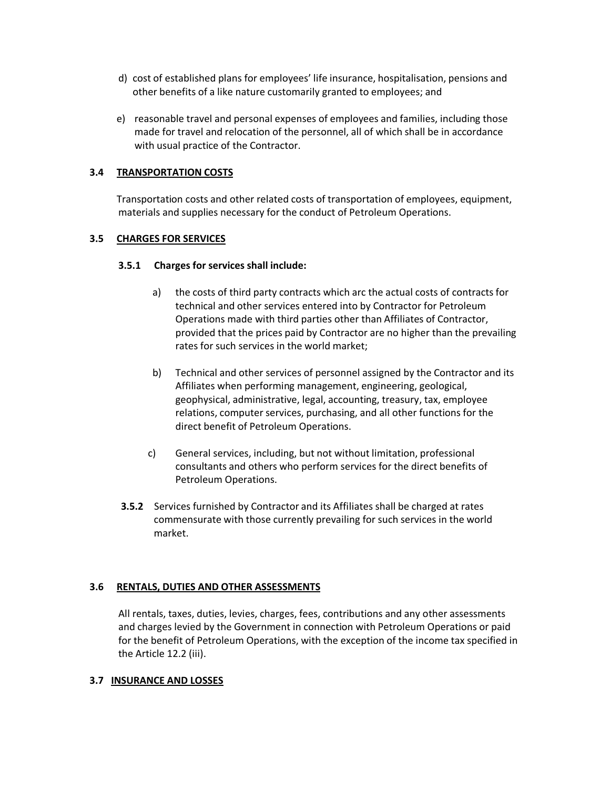- d) cost of established plans for employees' life insurance, hospitalisation, pensions and other benefits of a like nature customarily granted to employees; and
- e) reasonable travel and personal expenses of employees and families, including those made for travel and relocation of the personnel, all of which shall be in accordance with usual practice of the Contractor.

## **3.4 TRANSPORTATION COSTS**

Transportation costs and other related costs of transportation of employees, equipment, materials and supplies necessary for the conduct of Petroleum Operations.

## **3.5 CHARGES FOR SERVICES**

## **3.5.1 Charges for services shall include:**

- a) the costs of third party contracts which arc the actual costs of contracts for technical and other services entered into by Contractor for Petroleum Operations made with third parties other than Affiliates of Contractor, provided that the prices paid by Contractor are no higher than the prevailing rates for such services in the world market;
- b) Technical and other services of personnel assigned by the Contractor and its Affiliates when performing management, engineering, geological, geophysical, administrative, legal, accounting, treasury, tax, employee relations, computer services, purchasing, and all other functions for the direct benefit of Petroleum Operations.
- c) General services, including, but not without limitation, professional consultants and others who perform services for the direct benefits of Petroleum Operations.
- **3.5.2** Services furnished by Contractor and its Affiliates shall be charged at rates commensurate with those currently prevailing for such services in the world market.

## **3.6 RENTALS, DUTIES AND OTHER ASSESSMENTS**

All rentals, taxes, duties, levies, charges, fees, contributions and any other assessments and charges levied by the Government in connection with Petroleum Operations or paid for the benefit of Petroleum Operations, with the exception of the income tax specified in the Article 12.2 (iii).

#### **3.7 INSURANCE AND LOSSES**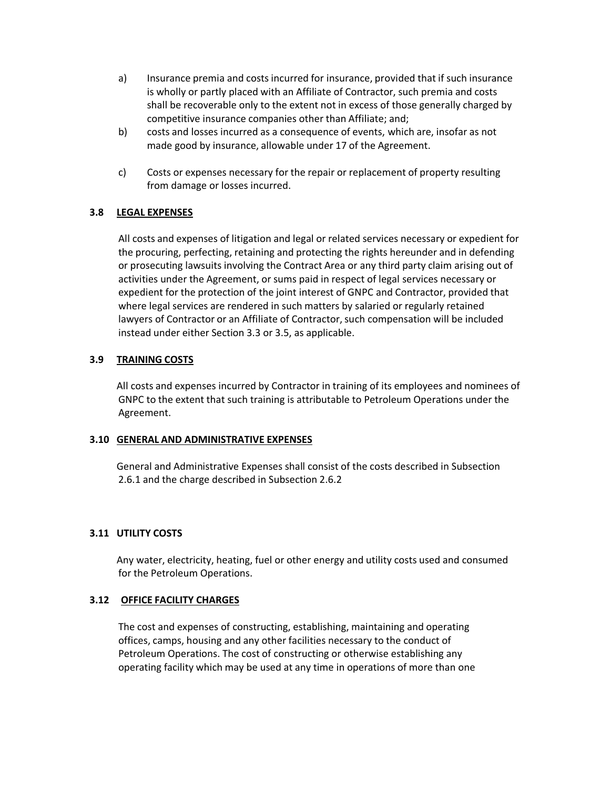- a) Insurance premia and costs incurred for insurance, provided that if such insurance is wholly or partly placed with an Affiliate of Contractor, such premia and costs shall be recoverable only to the extent not in excess of those generally charged by competitive insurance companies other than Affiliate; and;
- b) costs and losses incurred as a consequence of events, which are, insofar as not made good by insurance, allowable under 17 of the Agreement.
- c) Costs or expenses necessary for the repair or replacement of property resulting from damage or losses incurred.

## **3.8 LEGAL EXPENSES**

All costs and expenses of litigation and legal or related services necessary or expedient for the procuring, perfecting, retaining and protecting the rights hereunder and in defending or prosecuting lawsuits involving the Contract Area or any third party claim arising out of activities under the Agreement, or sums paid in respect of legal services necessary or expedient for the protection of the joint interest of GNPC and Contractor, provided that where legal services are rendered in such matters by salaried or regularly retained lawyers of Contractor or an Affiliate of Contractor, such compensation will be included instead under either Section 3.3 or 3.5, as applicable.

## **3.9 TRAINING COSTS**

All costs and expenses incurred by Contractor in training of its employees and nominees of GNPC to the extent that such training is attributable to Petroleum Operations under the Agreement.

## **3.10 GENERAL AND ADMINISTRATIVE EXPENSES**

General and Administrative Expenses shall consist of the costs described in Subsection 2.6.1 and the charge described in Subsection 2.6.2

## **3.11 UTILITY COSTS**

Any water, electricity, heating, fuel or other energy and utility costs used and consumed for the Petroleum Operations.

## **3.12 OFFICE FACILITY CHARGES**

The cost and expenses of constructing, establishing, maintaining and operating offices, camps, housing and any other facilities necessary to the conduct of Petroleum Operations. The cost of constructing or otherwise establishing any operating facility which may be used at any time in operations of more than one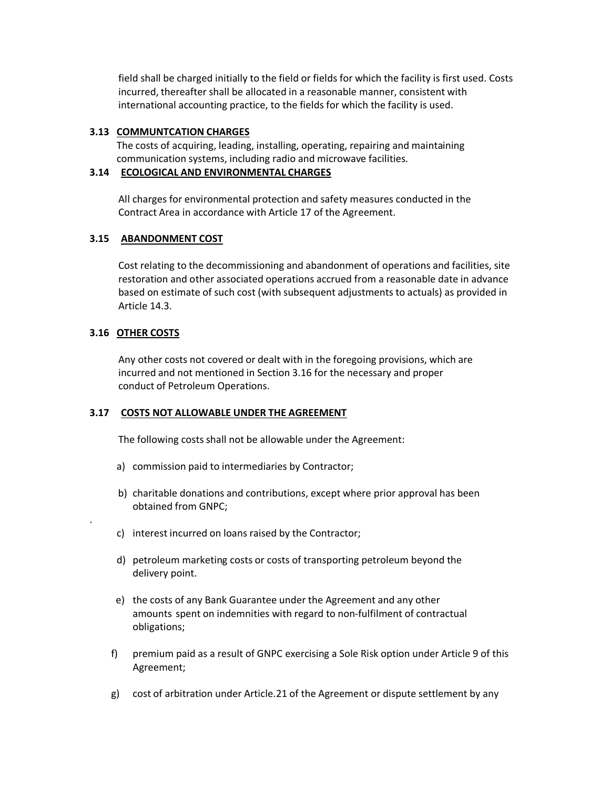field shall be charged initially to the field or fields for which the facility is first used. Costs incurred, thereafter shall be allocated in a reasonable manner, consistent with international accounting practice, to the fields for which the facility is used.

## **3.13 COMMUNTCATION CHARGES**

The costs of acquiring, leading, installing, operating, repairing and maintaining communication systems, including radio and microwave facilities.

## **3.14 ECOLOGICAL AND ENVIRONMENTAL CHARGES**

All charges for environmental protection and safety measures conducted in the Contract Area in accordance with Article 17 of the Agreement.

## **3.15 ABANDONMENT COST**

Cost relating to the decommissioning and abandonment of operations and facilities, site restoration and other associated operations accrued from a reasonable date in advance based on estimate of such cost (with subsequent adjustments to actuals) as provided in Article 14.3.

## **3.16 OTHER COSTS**

.

Any other costs not covered or dealt with in the foregoing provisions, which are incurred and not mentioned in Section 3.16 for the necessary and proper conduct of Petroleum Operations.

## **3.17 COSTS NOT ALLOWABLE UNDER THE AGREEMENT**

The following costs shall not be allowable under the Agreement:

- a) commission paid to intermediaries by Contractor;
- b) charitable donations and contributions, except where prior approval has been obtained from GNPC;
- c) interest incurred on loans raised by the Contractor;
- d) petroleum marketing costs or costs of transporting petroleum beyond the delivery point.
- e) the costs of any Bank Guarantee under the Agreement and any other amounts spent on indemnities with regard to non-fulfilment of contractual obligations;
- f) premium paid as a result of GNPC exercising a Sole Risk option under Article 9 of this Agreement;
- g) cost of arbitration under Article.21 of the Agreement or dispute settlement by any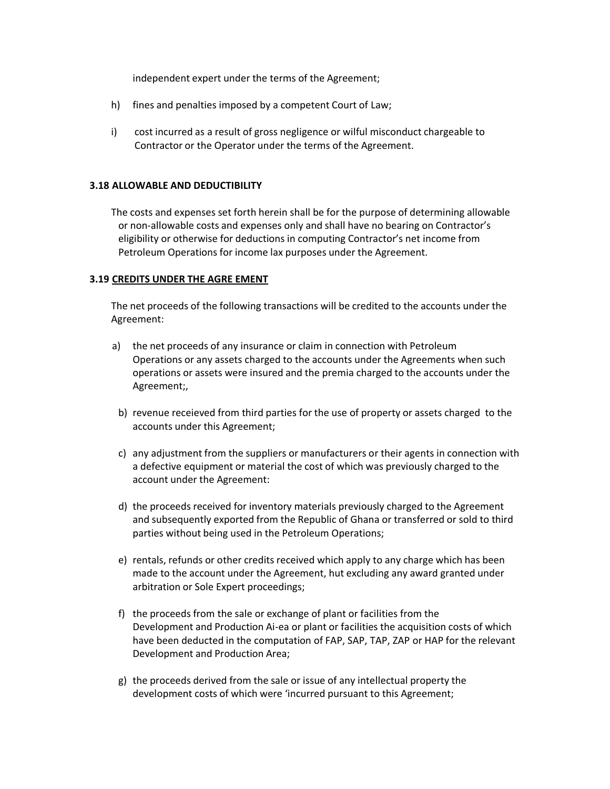independent expert under the terms of the Agreement;

- h) fines and penalties imposed by a competent Court of Law;
- i) cost incurred as a result of gross negligence or wilful misconduct chargeable to Contractor or the Operator under the terms of the Agreement.

#### **3.18 ALLOWABLE AND DEDUCTIBILITY**

The costs and expenses set forth herein shall be for the purpose of determining allowable or non-allowable costs and expenses only and shall have no bearing on Contractor's eligibility or otherwise for deductions in computing Contractor's net income from Petroleum Operations for income lax purposes under the Agreement.

### **3.19 CREDITS UNDER THE AGRE EMENT**

The net proceeds of the following transactions will be credited to the accounts under the Agreement:

- a) the net proceeds of any insurance or claim in connection with Petroleum Operations or any assets charged to the accounts under the Agreements when such operations or assets were insured and the premia charged to the accounts under the Agreement;,
	- b) revenue receieved from third parties for the use of property or assets charged to the accounts under this Agreement;
	- c) any adjustment from the suppliers or manufacturers or their agents in connection with a defective equipment or material the cost of which was previously charged to the account under the Agreement:
	- d) the proceeds received for inventory materials previously charged to the Agreement and subsequently exported from the Republic of Ghana or transferred or sold to third parties without being used in the Petroleum Operations;
	- e) rentals, refunds or other credits received which apply to any charge which has been made to the account under the Agreement, hut excluding any award granted under arbitration or Sole Expert proceedings;
	- f) the proceeds from the sale or exchange of plant or facilities from the Development and Production Ai-ea or plant or facilities the acquisition costs of which have been deducted in the computation of FAP, SAP, TAP, ZAP or HAP for the relevant Development and Production Area;
- g) the proceeds derived from the sale or issue of any intellectual property the development costs of which were 'incurred pursuant to this Agreement;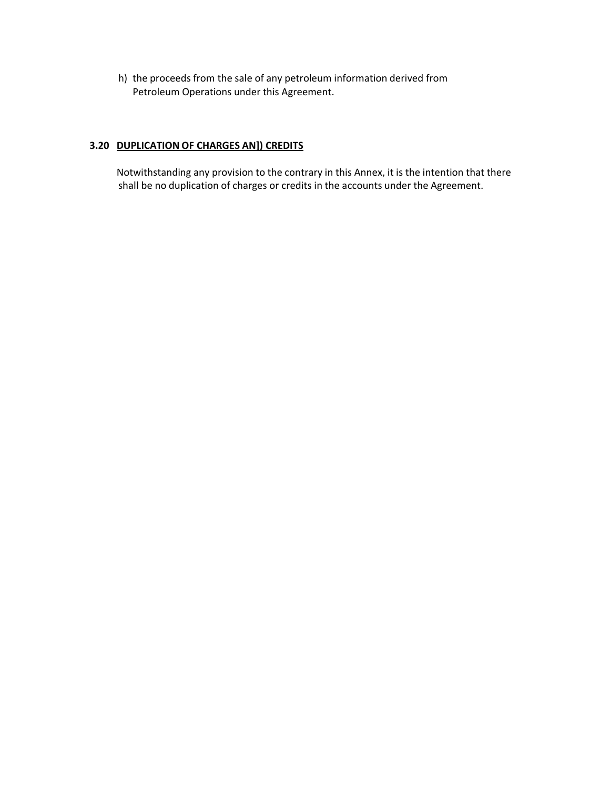h) the proceeds from the sale of any petroleum information derived from Petroleum Operations under this Agreement.

## **3.20 DUPLICATION OF CHARGES AN]) CREDITS**

Notwithstanding any provision to the contrary in this Annex, it is the intention that there shall be no duplication of charges or credits in the accounts under the Agreement.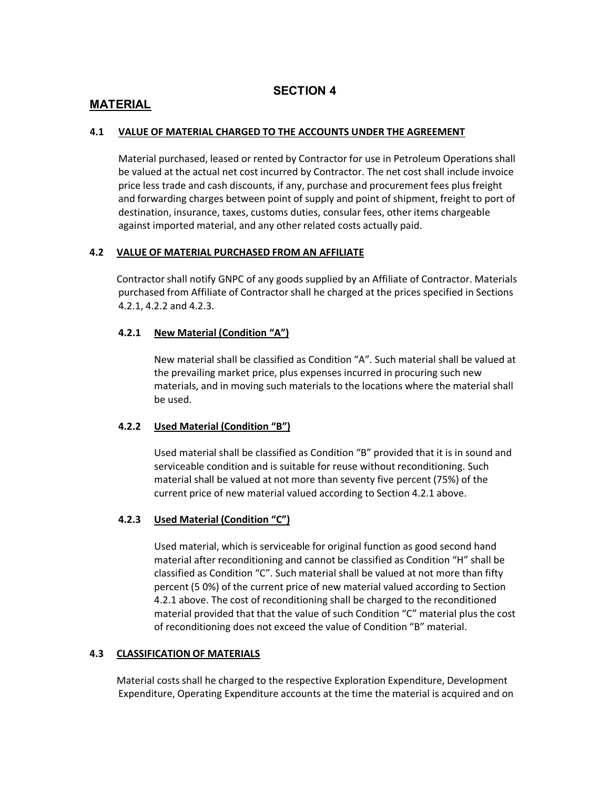## **SECTION 4**

## **MATERIAL**

## **4.1 VALUE OF MATERIAL CHARGED TO THE ACCOUNTS UNDER THE AGREEMENT**

Material purchased, leased or rented by Contractor for use in Petroleum Operations shall be valued at the actual net cost incurred by Contractor. The net cost shall include invoice price less trade and cash discounts, if any, purchase and procurement fees plus freight and forwarding charges between point of supply and point of shipment, freight to port of destination, insurance, taxes, customs duties, consular fees, other items chargeable against imported material, and any other related costs actually paid.

## **4.2 VALUE OF MATERIAL PURCHASED FROM AN AFFILIATE**

Contractor shall notify GNPC of any goods supplied by an Affiliate of Contractor. Materials purchased from Affiliate of Contractor shall he charged at the prices specified in Sections 4.2.1, 4.2.2 and 4.2.3.

## **4.2.1 New Material (Condition "A")**

New material shall be classified as Condition "A". Such material shall be valued at the prevailing market price, plus expenses incurred in procuring such new materials, and in moving such materials to the locations where the material shall be used.

## **4.2.2 Used Material (Condition "B")**

Used material shall be classified as Condition "B" provided that it is in sound and serviceable condition and is suitable for reuse without reconditioning. Such material shall be valued at not more than seventy five percent (75%) of the current price of new material valued according to Section 4.2.1 above.

## **4.2.3 Used Material (Condition "C")**

Used material, which is serviceable for original function as good second hand material after reconditioning and cannot be classified as Condition "H" shall be classified as Condition "C". Such material shall be valued at not more than fifty percent (5 0%) of the current price of new material valued according to Section 4.2.1 above. The cost of reconditioning shall be charged to the reconditioned material provided that that the value of such Condition "C" material plus the cost of reconditioning does not exceed the value of Condition "B" material.

## **4.3 CLASSIFICATION OF MATERIALS**

Material costs shall he charged to the respective Exploration Expenditure, Development Expenditure, Operating Expenditure accounts at the time the material is acquired and on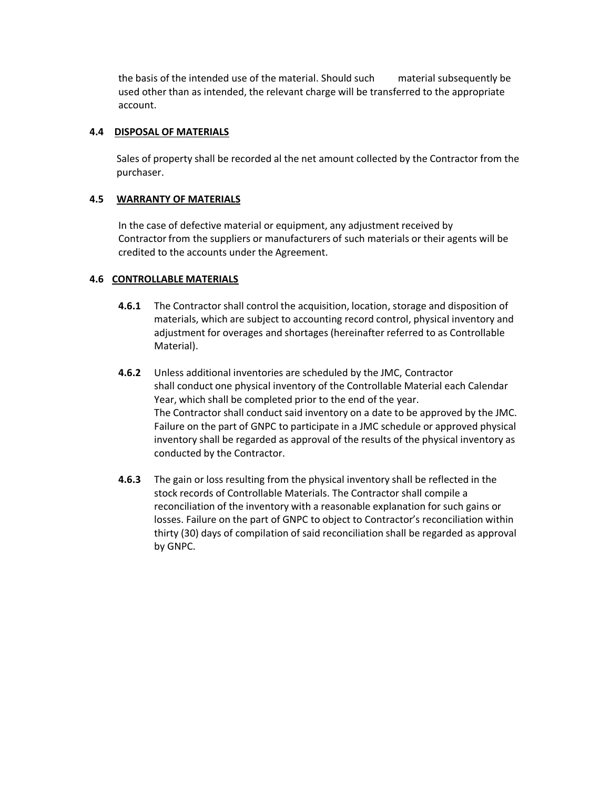the basis of the intended use of the material. Should such material subsequently be used other than as intended, the relevant charge will be transferred to the appropriate account.

### **4.4 DISPOSAL OF MATERIALS**

Sales of property shall be recorded al the net amount collected by the Contractor from the purchaser.

### **4.5 WARRANTY OF MATERIALS**

In the case of defective material or equipment, any adjustment received by Contractor from the suppliers or manufacturers of such materials or their agents will be credited to the accounts under the Agreement.

## **4.6 CONTROLLABLE MATERIALS**

- **4.6.1** The Contractor shall control the acquisition, location, storage and disposition of materials, which are subject to accounting record control, physical inventory and adjustment for overages and shortages (hereinafter referred to as Controllable Material).
- **4.6.2** Unless additional inventories are scheduled by the JMC, Contractor shall conduct one physical inventory of the Controllable Material each Calendar Year, which shall be completed prior to the end of the year. The Contractor shall conduct said inventory on a date to be approved by the JMC. Failure on the part of GNPC to participate in a JMC schedule or approved physical inventory shall be regarded as approval of the results of the physical inventory as conducted by the Contractor.
- **4.6.3** The gain or loss resulting from the physical inventory shall be reflected in the stock records of Controllable Materials. The Contractor shall compile a reconciliation of the inventory with a reasonable explanation for such gains or losses. Failure on the part of GNPC to object to Contractor's reconciliation within thirty (30) days of compilation of said reconciliation shall be regarded as approval by GNPC.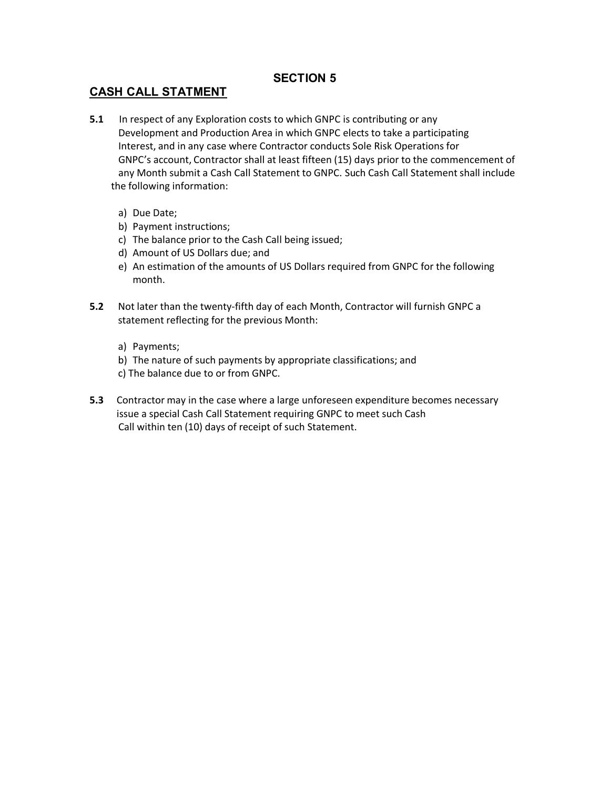# **SECTION 5**

# **CASH CALL STATMENT**

- **5.1** In respect of any Exploration costs to which GNPC is contributing or any Development and Production Area in which GNPC elects to take a participating Interest, and in any case where Contractor conducts Sole Risk Operations for GNPC's account, Contractor shall at least fifteen (15) days prior to the commencement of any Month submit a Cash Call Statement to GNPC. Such Cash Call Statement shall include the following information:
	- a) Due Date;
	- b) Payment instructions;
	- c) The balance prior to the Cash Call being issued;
	- d) Amount of US Dollars due; and
	- e) An estimation of the amounts of US Dollars required from GNPC for the following month.
- **5.2** Not later than the twenty-fifth day of each Month, Contractor will furnish GNPC a statement reflecting for the previous Month:
	- a) Payments;
	- b) The nature of such payments by appropriate classifications; and
	- c) The balance due to or from GNPC.
- **5.3** Contractor may in the case where a large unforeseen expenditure becomes necessary issue a special Cash Call Statement requiring GNPC to meet such Cash Call within ten (10) days of receipt of such Statement.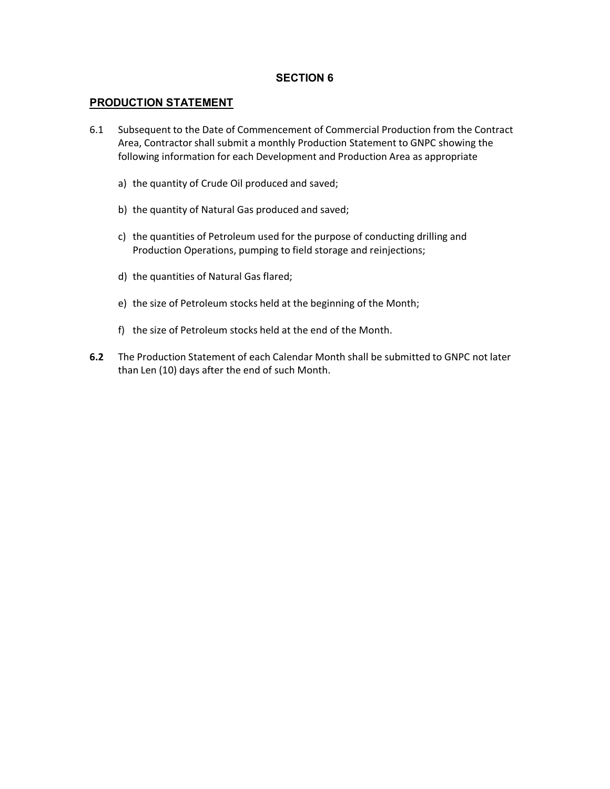## **SECTION 6**

## **PRODUCTION STATEMENT**

- 6.1 Subsequent to the Date of Commencement of Commercial Production from the Contract Area, Contractor shall submit a monthly Production Statement to GNPC showing the following information for each Development and Production Area as appropriate
	- a) the quantity of Crude Oil produced and saved;
	- b) the quantity of Natural Gas produced and saved;
	- c) the quantities of Petroleum used for the purpose of conducting drilling and Production Operations, pumping to field storage and reinjections;
	- d) the quantities of Natural Gas flared;
	- e) the size of Petroleum stocks held at the beginning of the Month;
	- f) the size of Petroleum stocks held at the end of the Month.
- **6.2** The Production Statement of each Calendar Month shall be submitted to GNPC not later than Len (10) days after the end of such Month.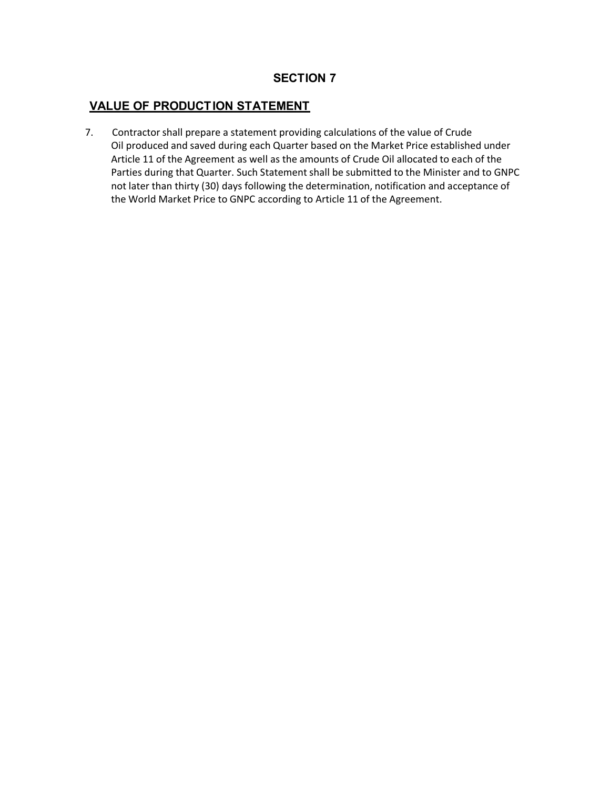# **VALUE OF PRODUCTION STATEMENT**

7. Contractor shall prepare a statement providing calculations of the value of Crude Oil produced and saved during each Quarter based on the Market Price established under Article 11 of the Agreement as well as the amounts of Crude Oil allocated to each of the Parties during that Quarter. Such Statement shall be submitted to the Minister and to GNPC not later than thirty (30) days following the determination, notification and acceptance of the World Market Price to GNPC according to Article 11 of the Agreement.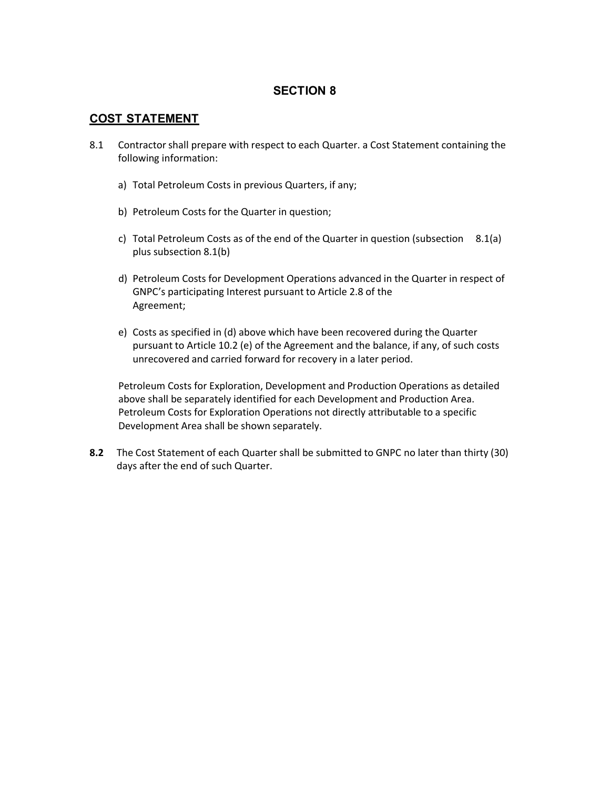### **COST STATEMENT**

- 8.1 Contractor shall prepare with respect to each Quarter. a Cost Statement containing the following information:
	- a) Total Petroleum Costs in previous Quarters, if any;
	- b) Petroleum Costs for the Quarter in question;
	- c) Total Petroleum Costs as of the end of the Quarter in question (subsection 8.1(a) plus subsection 8.1(b)
	- d) Petroleum Costs for Development Operations advanced in the Quarter in respect of GNPC's participating Interest pursuant to Article 2.8 of the Agreement;
	- e) Costs as specified in (d) above which have been recovered during the Quarter pursuant to Article 10.2 (e) of the Agreement and the balance, if any, of such costs unrecovered and carried forward for recovery in a later period.

Petroleum Costs for Exploration, Development and Production Operations as detailed above shall be separately identified for each Development and Production Area. Petroleum Costs for Exploration Operations not directly attributable to a specific Development Area shall be shown separately.

**8.2** The Cost Statement of each Quarter shall be submitted to GNPC no later than thirty (30) days after the end of such Quarter.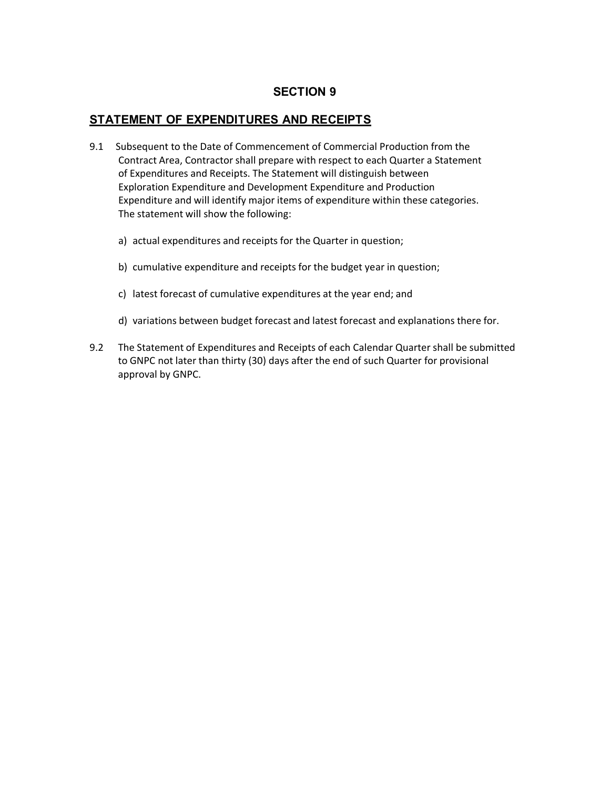## **STATEMENT OF EXPENDITURES AND RECEIPTS**

- 9.1 Subsequent to the Date of Commencement of Commercial Production from the Contract Area, Contractor shall prepare with respect to each Quarter a Statement of Expenditures and Receipts. The Statement will distinguish between Exploration Expenditure and Development Expenditure and Production Expenditure and will identify major items of expenditure within these categories. The statement will show the following:
	- a) actual expenditures and receipts for the Quarter in question;
	- b) cumulative expenditure and receipts for the budget year in question;
	- c) latest forecast of cumulative expenditures at the year end; and
	- d) variations between budget forecast and latest forecast and explanations there for.
- 9.2 The Statement of Expenditures and Receipts of each Calendar Quarter shall be submitted to GNPC not later than thirty (30) days after the end of such Quarter for provisional approval by GNPC.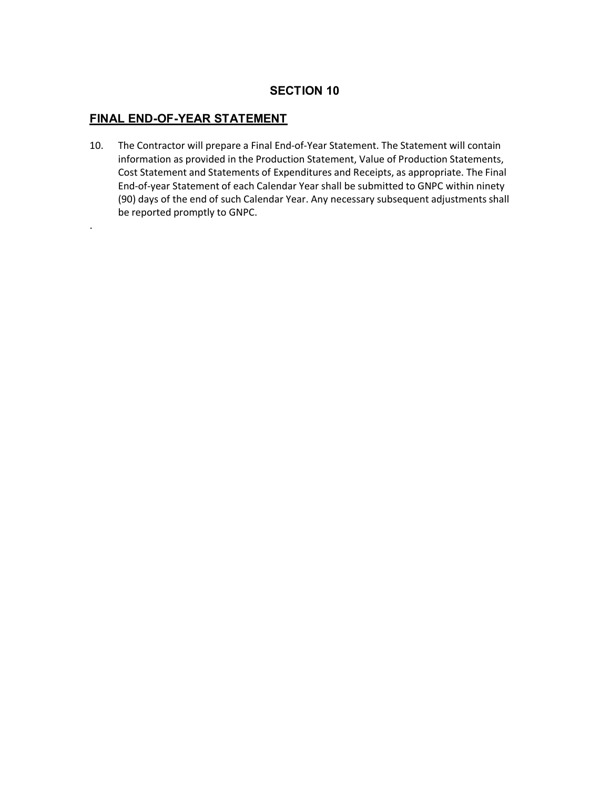# **FINAL END-OF-YEAR STATEMENT**

.

10. The Contractor will prepare a Final End-of-Year Statement. The Statement will contain information as provided in the Production Statement, Value of Production Statements, Cost Statement and Statements of Expenditures and Receipts, as appropriate. The Final End-of-year Statement of each Calendar Year shall be submitted to GNPC within ninety (90) days of the end of such Calendar Year. Any necessary subsequent adjustments shall be reported promptly to GNPC.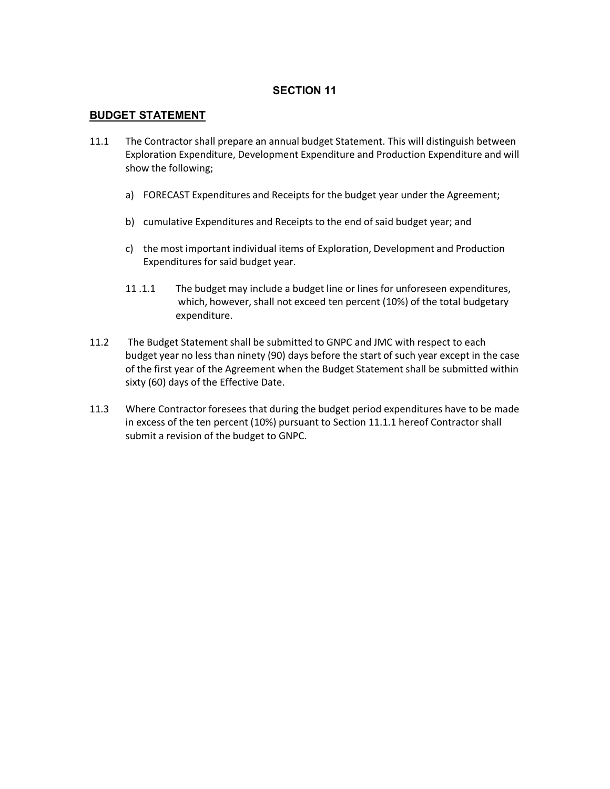#### **BUDGET STATEMENT**

- 11.1 The Contractor shall prepare an annual budget Statement. This will distinguish between Exploration Expenditure, Development Expenditure and Production Expenditure and will show the following;
	- a) FORECAST Expenditures and Receipts for the budget year under the Agreement;
	- b) cumulative Expenditures and Receipts to the end of said budget year; and
	- c) the most important individual items of Exploration, Development and Production Expenditures for said budget year.
	- 11 .1.1 The budget may include a budget line or lines for unforeseen expenditures, which, however, shall not exceed ten percent (10%) of the total budgetary expenditure.
- 11.2 The Budget Statement shall be submitted to GNPC and JMC with respect to each budget year no less than ninety (90) days before the start of such year except in the case of the first year of the Agreement when the Budget Statement shall be submitted within sixty (60) days of the Effective Date.
- 11.3 Where Contractor foresees that during the budget period expenditures have to be made in excess of the ten percent (10%) pursuant to Section 11.1.1 hereof Contractor shall submit a revision of the budget to GNPC.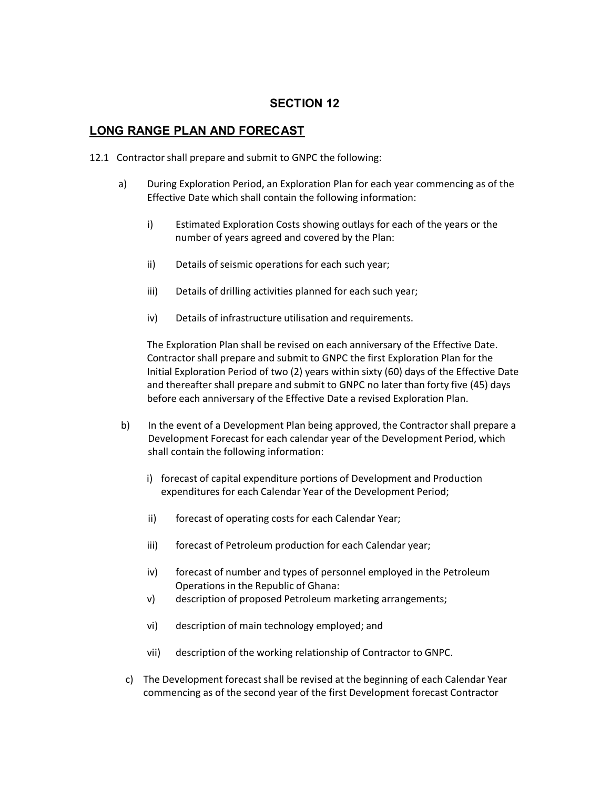### **LONG RANGE PLAN AND FORECAST**

- 12.1 Contractor shall prepare and submit to GNPC the following:
	- a) During Exploration Period, an Exploration Plan for each year commencing as of the Effective Date which shall contain the following information:
		- i) Estimated Exploration Costs showing outlays for each of the years or the number of years agreed and covered by the Plan:
		- ii) Details of seismic operations for each such year;
		- iii) Details of drilling activities planned for each such year;
		- iv) Details of infrastructure utilisation and requirements.

The Exploration Plan shall be revised on each anniversary of the Effective Date. Contractor shall prepare and submit to GNPC the first Exploration Plan for the Initial Exploration Period of two (2) years within sixty (60) days of the Effective Date and thereafter shall prepare and submit to GNPC no later than forty five (45) days before each anniversary of the Effective Date a revised Exploration Plan.

- b) In the event of a Development Plan being approved, the Contractor shall prepare a Development Forecast for each calendar year of the Development Period, which shall contain the following information:
	- i) forecast of capital expenditure portions of Development and Production expenditures for each Calendar Year of the Development Period;
	- ii) forecast of operating costs for each Calendar Year;
	- iii) forecast of Petroleum production for each Calendar year;
	- iv) forecast of number and types of personnel employed in the Petroleum Operations in the Republic of Ghana:
	- v) description of proposed Petroleum marketing arrangements;
	- vi) description of main technology employed; and
	- vii) description of the working relationship of Contractor to GNPC.
- c) The Development forecast shall be revised at the beginning of each Calendar Year commencing as of the second year of the first Development forecast Contractor